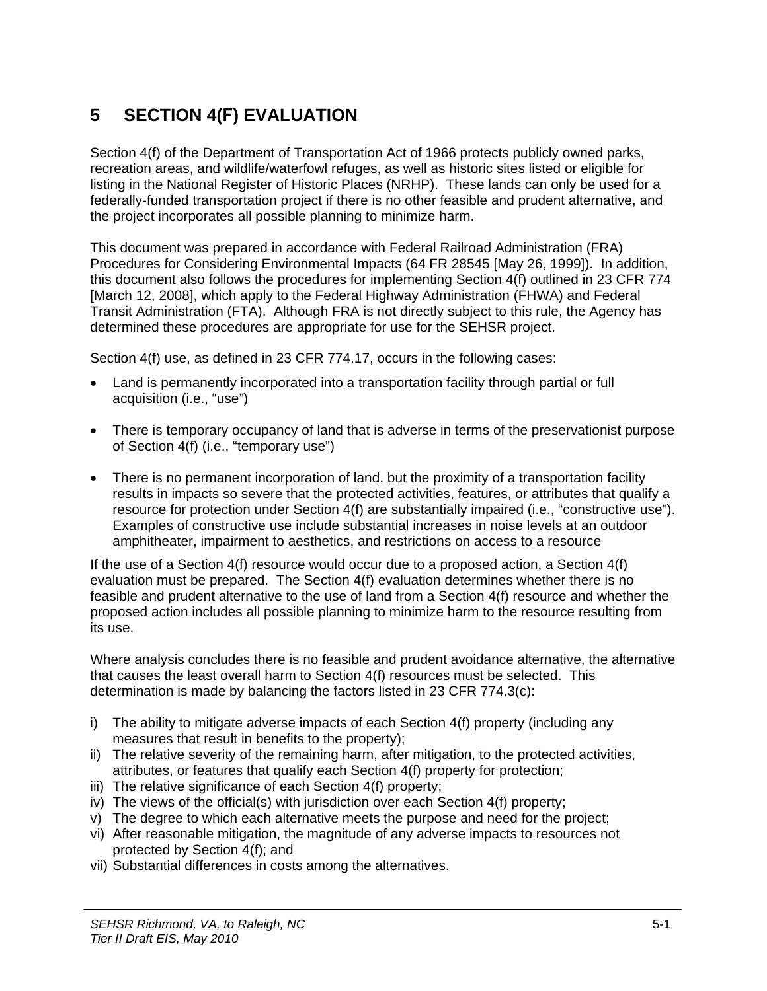# **5 SECTION 4(F) EVALUATION**

Section 4(f) of the Department of Transportation Act of 1966 protects publicly owned parks, recreation areas, and wildlife/waterfowl refuges, as well as historic sites listed or eligible for listing in the National Register of Historic Places (NRHP). These lands can only be used for a federally-funded transportation project if there is no other feasible and prudent alternative, and the project incorporates all possible planning to minimize harm.

This document was prepared in accordance with Federal Railroad Administration (FRA) Procedures for Considering Environmental Impacts (64 FR 28545 [May 26, 1999]). In addition, this document also follows the procedures for implementing Section 4(f) outlined in 23 CFR 774 [March 12, 2008], which apply to the Federal Highway Administration (FHWA) and Federal Transit Administration (FTA). Although FRA is not directly subject to this rule, the Agency has determined these procedures are appropriate for use for the SEHSR project.

Section 4(f) use, as defined in 23 CFR 774.17, occurs in the following cases:

- Land is permanently incorporated into a transportation facility through partial or full acquisition (i.e., "use")
- There is temporary occupancy of land that is adverse in terms of the preservationist purpose of Section 4(f) (i.e., "temporary use")
- There is no permanent incorporation of land, but the proximity of a transportation facility results in impacts so severe that the protected activities, features, or attributes that qualify a resource for protection under Section 4(f) are substantially impaired (i.e., "constructive use"). Examples of constructive use include substantial increases in noise levels at an outdoor amphitheater, impairment to aesthetics, and restrictions on access to a resource

If the use of a Section 4(f) resource would occur due to a proposed action, a Section 4(f) evaluation must be prepared. The Section 4(f) evaluation determines whether there is no feasible and prudent alternative to the use of land from a Section 4(f) resource and whether the proposed action includes all possible planning to minimize harm to the resource resulting from its use.

Where analysis concludes there is no feasible and prudent avoidance alternative, the alternative that causes the least overall harm to Section 4(f) resources must be selected. This determination is made by balancing the factors listed in 23 CFR 774.3(c):

- i) The ability to mitigate adverse impacts of each Section 4(f) property (including any measures that result in benefits to the property);
- ii) The relative severity of the remaining harm, after mitigation, to the protected activities, attributes, or features that qualify each Section 4(f) property for protection;
- iii) The relative significance of each Section 4(f) property:
- iv) The views of the official(s) with jurisdiction over each Section 4(f) property;
- v) The degree to which each alternative meets the purpose and need for the project;
- vi) After reasonable mitigation, the magnitude of any adverse impacts to resources not protected by Section 4(f); and
- vii) Substantial differences in costs among the alternatives.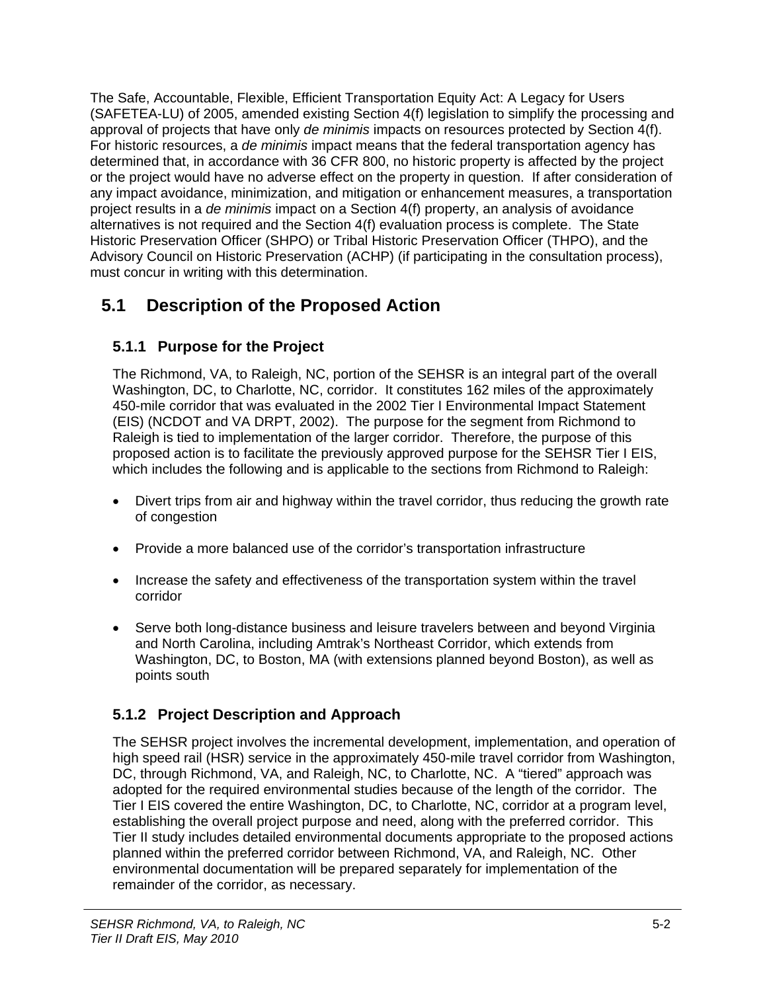The Safe, Accountable, Flexible, Efficient Transportation Equity Act: A Legacy for Users (SAFETEA-LU) of 2005, amended existing Section 4(f) legislation to simplify the processing and approval of projects that have only *de minimis* impacts on resources protected by Section 4(f). For historic resources, a *de minimis* impact means that the federal transportation agency has determined that, in accordance with 36 CFR 800, no historic property is affected by the project or the project would have no adverse effect on the property in question. If after consideration of any impact avoidance, minimization, and mitigation or enhancement measures, a transportation project results in a *de minimis* impact on a Section 4(f) property, an analysis of avoidance alternatives is not required and the Section 4(f) evaluation process is complete. The State Historic Preservation Officer (SHPO) or Tribal Historic Preservation Officer (THPO), and the Advisory Council on Historic Preservation (ACHP) (if participating in the consultation process), must concur in writing with this determination.

# **5.1 Description of the Proposed Action**

## **5.1.1 Purpose for the Project**

The Richmond, VA, to Raleigh, NC, portion of the SEHSR is an integral part of the overall Washington, DC, to Charlotte, NC, corridor. It constitutes 162 miles of the approximately 450-mile corridor that was evaluated in the 2002 Tier I Environmental Impact Statement (EIS) (NCDOT and VA DRPT, 2002). The purpose for the segment from Richmond to Raleigh is tied to implementation of the larger corridor. Therefore, the purpose of this proposed action is to facilitate the previously approved purpose for the SEHSR Tier I EIS, which includes the following and is applicable to the sections from Richmond to Raleigh:

- Divert trips from air and highway within the travel corridor, thus reducing the growth rate of congestion
- Provide a more balanced use of the corridor's transportation infrastructure
- Increase the safety and effectiveness of the transportation system within the travel corridor
- Serve both long-distance business and leisure travelers between and beyond Virginia and North Carolina, including Amtrak's Northeast Corridor, which extends from Washington, DC, to Boston, MA (with extensions planned beyond Boston), as well as points south

## **5.1.2 Project Description and Approach**

The SEHSR project involves the incremental development, implementation, and operation of high speed rail (HSR) service in the approximately 450-mile travel corridor from Washington, DC, through Richmond, VA, and Raleigh, NC, to Charlotte, NC. A "tiered" approach was adopted for the required environmental studies because of the length of the corridor. The Tier I EIS covered the entire Washington, DC, to Charlotte, NC, corridor at a program level, establishing the overall project purpose and need, along with the preferred corridor. This Tier II study includes detailed environmental documents appropriate to the proposed actions planned within the preferred corridor between Richmond, VA, and Raleigh, NC. Other environmental documentation will be prepared separately for implementation of the remainder of the corridor, as necessary.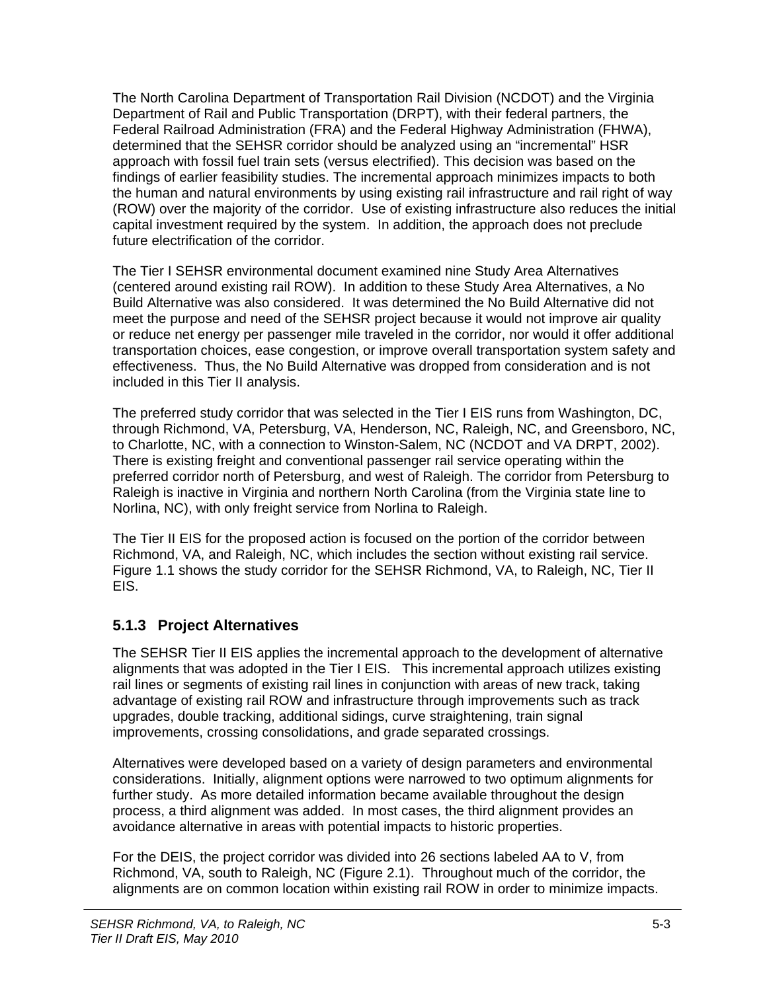The North Carolina Department of Transportation Rail Division (NCDOT) and the Virginia Department of Rail and Public Transportation (DRPT), with their federal partners, the Federal Railroad Administration (FRA) and the Federal Highway Administration (FHWA), determined that the SEHSR corridor should be analyzed using an "incremental" HSR approach with fossil fuel train sets (versus electrified). This decision was based on the findings of earlier feasibility studies. The incremental approach minimizes impacts to both the human and natural environments by using existing rail infrastructure and rail right of way (ROW) over the majority of the corridor. Use of existing infrastructure also reduces the initial capital investment required by the system. In addition, the approach does not preclude future electrification of the corridor.

The Tier I SEHSR environmental document examined nine Study Area Alternatives (centered around existing rail ROW). In addition to these Study Area Alternatives, a No Build Alternative was also considered. It was determined the No Build Alternative did not meet the purpose and need of the SEHSR project because it would not improve air quality or reduce net energy per passenger mile traveled in the corridor, nor would it offer additional transportation choices, ease congestion, or improve overall transportation system safety and effectiveness. Thus, the No Build Alternative was dropped from consideration and is not included in this Tier II analysis.

The preferred study corridor that was selected in the Tier I EIS runs from Washington, DC, through Richmond, VA, Petersburg, VA, Henderson, NC, Raleigh, NC, and Greensboro, NC, to Charlotte, NC, with a connection to Winston-Salem, NC (NCDOT and VA DRPT, 2002). There is existing freight and conventional passenger rail service operating within the preferred corridor north of Petersburg, and west of Raleigh. The corridor from Petersburg to Raleigh is inactive in Virginia and northern North Carolina (from the Virginia state line to Norlina, NC), with only freight service from Norlina to Raleigh.

The Tier II EIS for the proposed action is focused on the portion of the corridor between Richmond, VA, and Raleigh, NC, which includes the section without existing rail service. Figure 1.1 shows the study corridor for the SEHSR Richmond, VA, to Raleigh, NC, Tier II EIS.

#### **5.1.3 Project Alternatives**

The SEHSR Tier II EIS applies the incremental approach to the development of alternative alignments that was adopted in the Tier I EIS. This incremental approach utilizes existing rail lines or segments of existing rail lines in conjunction with areas of new track, taking advantage of existing rail ROW and infrastructure through improvements such as track upgrades, double tracking, additional sidings, curve straightening, train signal improvements, crossing consolidations, and grade separated crossings.

Alternatives were developed based on a variety of design parameters and environmental considerations. Initially, alignment options were narrowed to two optimum alignments for further study. As more detailed information became available throughout the design process, a third alignment was added. In most cases, the third alignment provides an avoidance alternative in areas with potential impacts to historic properties.

For the DEIS, the project corridor was divided into 26 sections labeled AA to V, from Richmond, VA, south to Raleigh, NC (Figure 2.1). Throughout much of the corridor, the alignments are on common location within existing rail ROW in order to minimize impacts.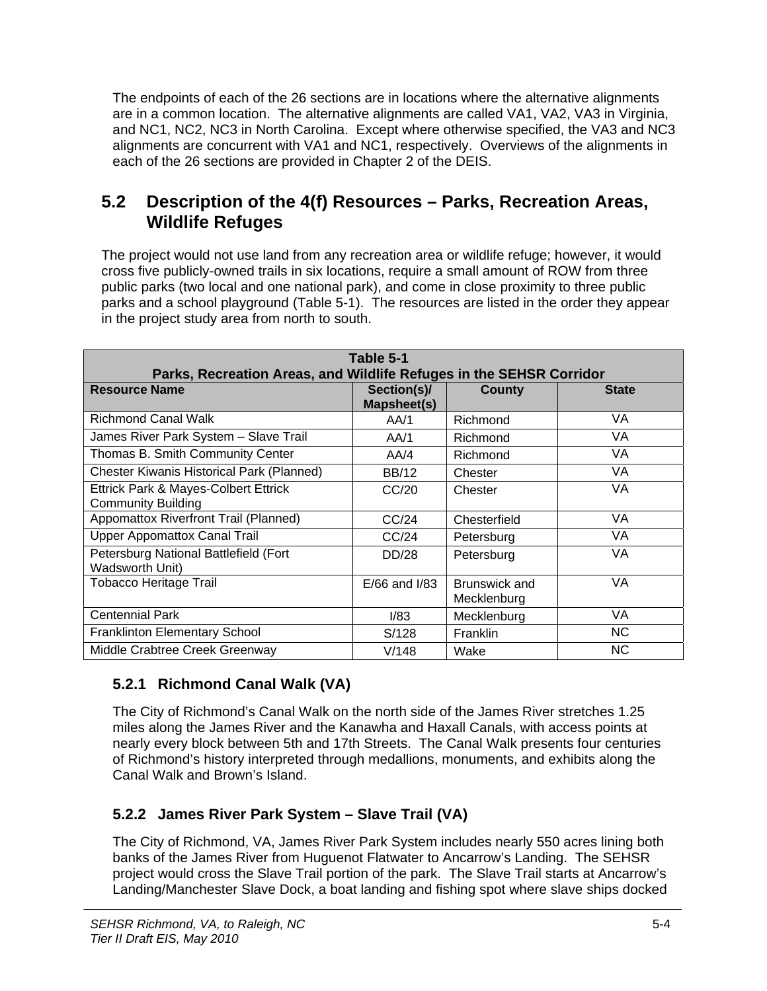The endpoints of each of the 26 sections are in locations where the alternative alignments are in a common location. The alternative alignments are called VA1, VA2, VA3 in Virginia, and NC1, NC2, NC3 in North Carolina. Except where otherwise specified, the VA3 and NC3 alignments are concurrent with VA1 and NC1, respectively. Overviews of the alignments in each of the 26 sections are provided in Chapter 2 of the DEIS.

## **5.2 Description of the 4(f) Resources – Parks, Recreation Areas, Wildlife Refuges**

The project would not use land from any recreation area or wildlife refuge; however, it would cross five publicly-owned trails in six locations, require a small amount of ROW from three public parks (two local and one national park), and come in close proximity to three public parks and a school playground (Table 5-1). The resources are listed in the order they appear in the project study area from north to south.

| Table 5-1<br>Parks, Recreation Areas, and Wildlife Refuges in the SEHSR Corridor |                            |                              |              |  |  |  |  |
|----------------------------------------------------------------------------------|----------------------------|------------------------------|--------------|--|--|--|--|
| <b>Resource Name</b>                                                             | Section(s)/<br>Mapsheet(s) | County                       | <b>State</b> |  |  |  |  |
| <b>Richmond Canal Walk</b>                                                       | AA/1                       | Richmond                     | VA.          |  |  |  |  |
| James River Park System - Slave Trail                                            | AA/1                       | Richmond                     | VA.          |  |  |  |  |
| Thomas B. Smith Community Center                                                 | AA/4                       | Richmond                     | VA           |  |  |  |  |
| <b>Chester Kiwanis Historical Park (Planned)</b>                                 | <b>BB/12</b>               | Chester                      | VA           |  |  |  |  |
| Ettrick Park & Mayes-Colbert Ettrick<br><b>Community Building</b>                | CC/20                      | Chester                      | VA           |  |  |  |  |
| Appomattox Riverfront Trail (Planned)                                            | CC/24                      | Chesterfield                 | VA           |  |  |  |  |
| <b>Upper Appomattox Canal Trail</b>                                              | CC/24                      | Petersburg                   | VA.          |  |  |  |  |
| Petersburg National Battlefield (Fort<br><b>Wadsworth Unit)</b>                  | DD/28                      | Petersburg                   | VA           |  |  |  |  |
| <b>Tobacco Heritage Trail</b>                                                    | $E/66$ and $I/83$          | Brunswick and<br>Mecklenburg | VA           |  |  |  |  |
| <b>Centennial Park</b>                                                           | 1/83                       | Mecklenburg                  | VA           |  |  |  |  |
| <b>Franklinton Elementary School</b>                                             | S/128                      | Franklin                     | <b>NC</b>    |  |  |  |  |
| Middle Crabtree Creek Greenway                                                   | V/148                      | Wake                         | <b>NC</b>    |  |  |  |  |

## **5.2.1 Richmond Canal Walk (VA)**

The City of Richmond's Canal Walk on the north side of the James River stretches 1.25 miles along the James River and the Kanawha and Haxall Canals, with access points at nearly every block between 5th and 17th Streets. The Canal Walk presents four centuries of Richmond's history interpreted through medallions, monuments, and exhibits along the Canal Walk and Brown's Island.

## **5.2.2 James River Park System – Slave Trail (VA)**

The City of Richmond, VA, James River Park System includes nearly 550 acres lining both banks of the James River from Huguenot Flatwater to Ancarrow's Landing. The SEHSR project would cross the Slave Trail portion of the park. The Slave Trail starts at Ancarrow's Landing/Manchester Slave Dock, a boat landing and fishing spot where slave ships docked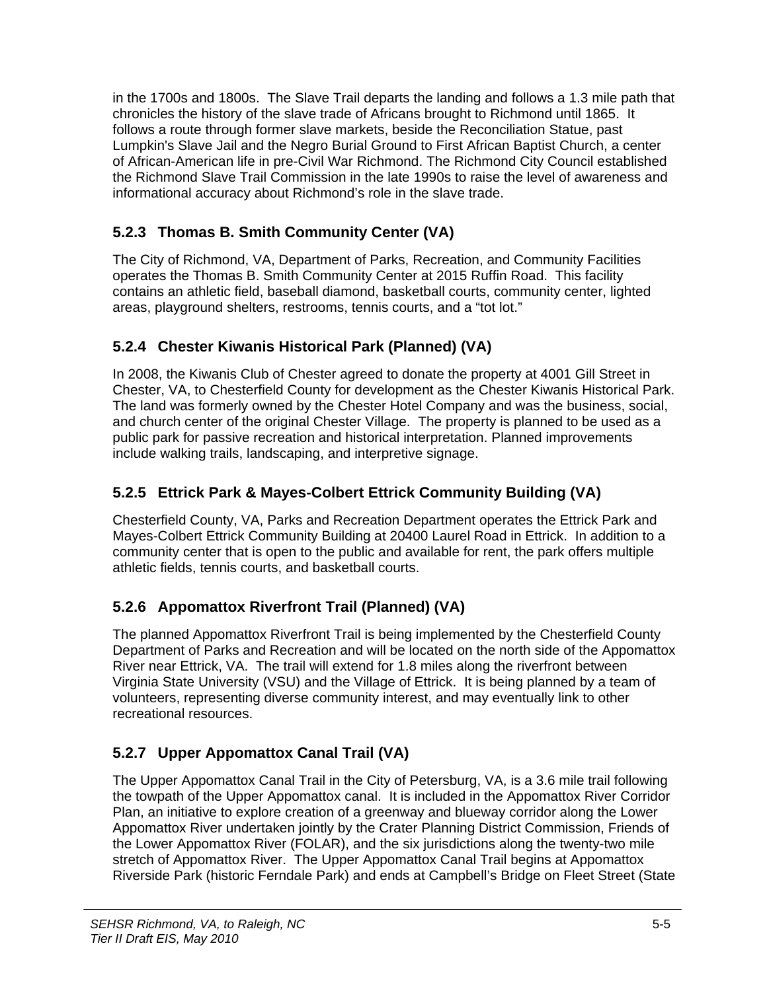in the 1700s and 1800s. The Slave Trail departs the landing and follows a 1.3 mile path that chronicles the history of the slave trade of Africans brought to Richmond until 1865. It follows a route through former slave markets, beside the Reconciliation Statue, past Lumpkin's Slave Jail and the Negro Burial Ground to First African Baptist Church, a center of African-American life in pre-Civil War Richmond. The Richmond City Council established the Richmond Slave Trail Commission in the late 1990s to raise the level of awareness and informational accuracy about Richmond's role in the slave trade.

## **5.2.3 Thomas B. Smith Community Center (VA)**

The City of Richmond, VA, Department of Parks, Recreation, and Community Facilities operates the Thomas B. Smith Community Center at 2015 Ruffin Road. This facility contains an athletic field, baseball diamond, basketball courts, community center, lighted areas, playground shelters, restrooms, tennis courts, and a "tot lot."

## **5.2.4 Chester Kiwanis Historical Park (Planned) (VA)**

In 2008, the Kiwanis Club of Chester agreed to donate the property at 4001 Gill Street in Chester, VA, to Chesterfield County for development as the Chester Kiwanis Historical Park. The land was formerly owned by the Chester Hotel Company and was the business, social, and church center of the original Chester Village. The property is planned to be used as a public park for passive recreation and historical interpretation. Planned improvements include walking trails, landscaping, and interpretive signage.

### **5.2.5 Ettrick Park & Mayes-Colbert Ettrick Community Building (VA)**

Chesterfield County, VA, Parks and Recreation Department operates the Ettrick Park and Mayes-Colbert Ettrick Community Building at 20400 Laurel Road in Ettrick. In addition to a community center that is open to the public and available for rent, the park offers multiple athletic fields, tennis courts, and basketball courts.

## **5.2.6 Appomattox Riverfront Trail (Planned) (VA)**

The planned Appomattox Riverfront Trail is being implemented by the Chesterfield County Department of Parks and Recreation and will be located on the north side of the Appomattox River near Ettrick, VA. The trail will extend for 1.8 miles along the riverfront between Virginia State University (VSU) and the Village of Ettrick. It is being planned by a team of volunteers, representing diverse community interest, and may eventually link to other recreational resources.

## **5.2.7 Upper Appomattox Canal Trail (VA)**

The Upper Appomattox Canal Trail in the City of Petersburg, VA, is a 3.6 mile trail following the towpath of the Upper Appomattox canal. It is included in the Appomattox River Corridor Plan, an initiative to explore creation of a greenway and blueway corridor along the Lower Appomattox River undertaken jointly by the Crater Planning District Commission, Friends of the Lower Appomattox River (FOLAR), and the six jurisdictions along the twenty-two mile stretch of Appomattox River. The Upper Appomattox Canal Trail begins at Appomattox Riverside Park (historic Ferndale Park) and ends at Campbell's Bridge on Fleet Street (State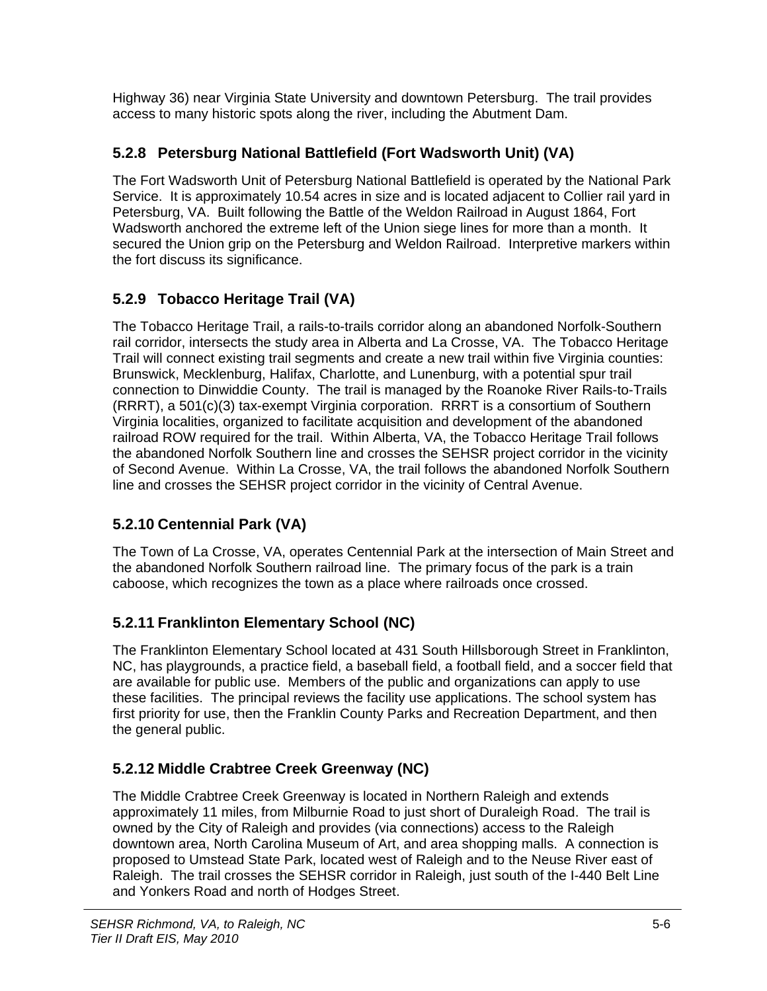Highway 36) near Virginia State University and downtown Petersburg. The trail provides access to many historic spots along the river, including the Abutment Dam.

## **5.2.8 Petersburg National Battlefield (Fort Wadsworth Unit) (VA)**

The Fort Wadsworth Unit of Petersburg National Battlefield is operated by the National Park Service. It is approximately 10.54 acres in size and is located adjacent to Collier rail yard in Petersburg, VA. Built following the Battle of the Weldon Railroad in August 1864, Fort Wadsworth anchored the extreme left of the Union siege lines for more than a month. It secured the Union grip on the Petersburg and Weldon Railroad. Interpretive markers within the fort discuss its significance.

## **5.2.9 Tobacco Heritage Trail (VA)**

The Tobacco Heritage Trail, a rails-to-trails corridor along an abandoned Norfolk-Southern rail corridor, intersects the study area in Alberta and La Crosse, VA. The Tobacco Heritage Trail will connect existing trail segments and create a new trail within five Virginia counties: Brunswick, Mecklenburg, Halifax, Charlotte, and Lunenburg, with a potential spur trail connection to Dinwiddie County. The trail is managed by the Roanoke River Rails-to-Trails (RRRT), a 501(c)(3) tax-exempt Virginia corporation. RRRT is a consortium of Southern Virginia localities, organized to facilitate acquisition and development of the abandoned railroad ROW required for the trail. Within Alberta, VA, the Tobacco Heritage Trail follows the abandoned Norfolk Southern line and crosses the SEHSR project corridor in the vicinity of Second Avenue. Within La Crosse, VA, the trail follows the abandoned Norfolk Southern line and crosses the SEHSR project corridor in the vicinity of Central Avenue.

## **5.2.10 Centennial Park (VA)**

The Town of La Crosse, VA, operates Centennial Park at the intersection of Main Street and the abandoned Norfolk Southern railroad line. The primary focus of the park is a train caboose, which recognizes the town as a place where railroads once crossed.

## **5.2.11 Franklinton Elementary School (NC)**

The Franklinton Elementary School located at 431 South Hillsborough Street in Franklinton, NC, has playgrounds, a practice field, a baseball field, a football field, and a soccer field that are available for public use. Members of the public and organizations can apply to use these facilities. The principal reviews the facility use applications. The school system has first priority for use, then the Franklin County Parks and Recreation Department, and then the general public.

## **5.2.12 Middle Crabtree Creek Greenway (NC)**

The Middle Crabtree Creek Greenway is located in Northern Raleigh and extends approximately 11 miles, from Milburnie Road to just short of Duraleigh Road. The trail is owned by the City of Raleigh and provides (via connections) access to the Raleigh downtown area, North Carolina Museum of Art, and area shopping malls. A connection is proposed to Umstead State Park, located west of Raleigh and to the Neuse River east of Raleigh. The trail crosses the SEHSR corridor in Raleigh, just south of the I-440 Belt Line and Yonkers Road and north of Hodges Street.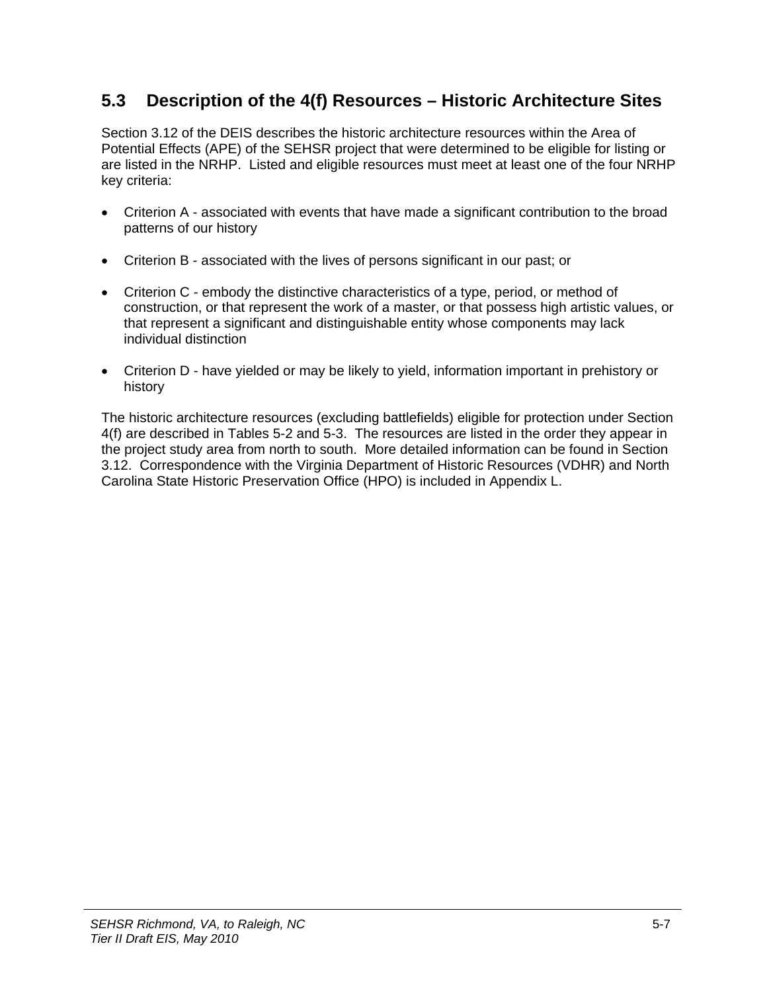# **5.3 Description of the 4(f) Resources – Historic Architecture Sites**

Section 3.12 of the DEIS describes the historic architecture resources within the Area of Potential Effects (APE) of the SEHSR project that were determined to be eligible for listing or are listed in the NRHP. Listed and eligible resources must meet at least one of the four NRHP key criteria:

- Criterion A associated with events that have made a significant contribution to the broad patterns of our history
- Criterion B associated with the lives of persons significant in our past; or
- Criterion C embody the distinctive characteristics of a type, period, or method of construction, or that represent the work of a master, or that possess high artistic values, or that represent a significant and distinguishable entity whose components may lack individual distinction
- Criterion D have yielded or may be likely to yield, information important in prehistory or history

The historic architecture resources (excluding battlefields) eligible for protection under Section 4(f) are described in Tables 5-2 and 5-3. The resources are listed in the order they appear in the project study area from north to south. More detailed information can be found in Section 3.12. Correspondence with the Virginia Department of Historic Resources (VDHR) and North Carolina State Historic Preservation Office (HPO) is included in Appendix L.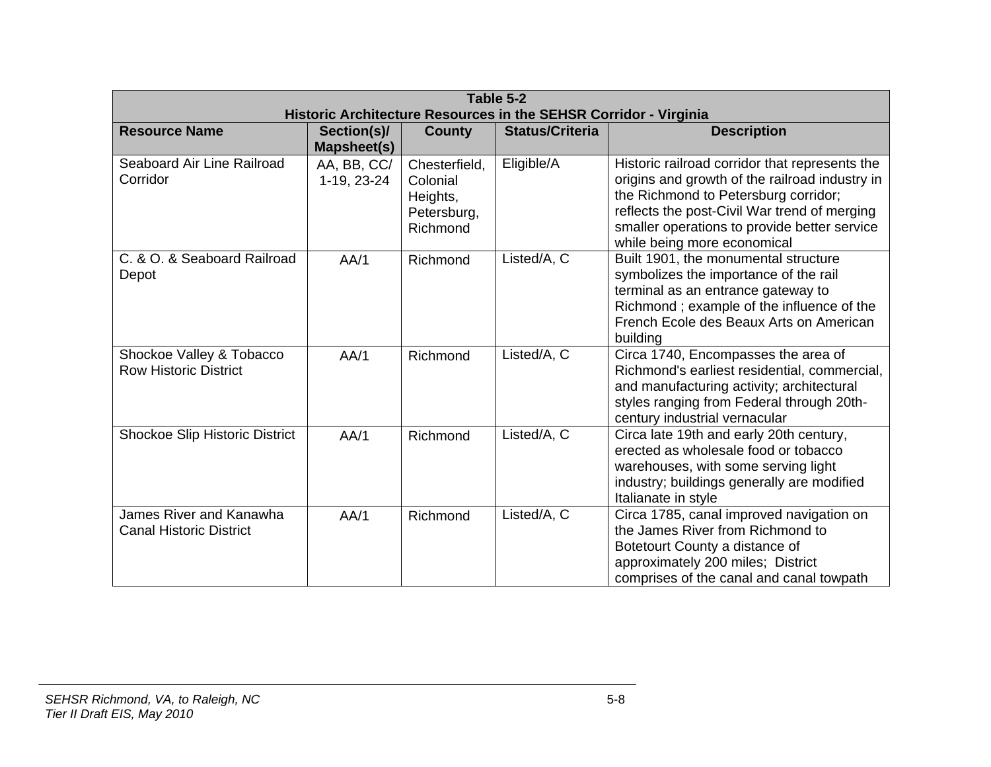| Table 5-2<br>Historic Architecture Resources in the SEHSR Corridor - Virginia |                                   |                                                                  |                        |                                                                                                                                                                                                                                                                         |  |
|-------------------------------------------------------------------------------|-----------------------------------|------------------------------------------------------------------|------------------------|-------------------------------------------------------------------------------------------------------------------------------------------------------------------------------------------------------------------------------------------------------------------------|--|
| <b>Resource Name</b>                                                          | Section(s)/<br><b>Mapsheet(s)</b> | <b>County</b>                                                    | <b>Status/Criteria</b> | <b>Description</b>                                                                                                                                                                                                                                                      |  |
| Seaboard Air Line Railroad<br>Corridor                                        | AA, BB, CC/<br>1-19, 23-24        | Chesterfield,<br>Colonial<br>Heights,<br>Petersburg,<br>Richmond | Eligible/A             | Historic railroad corridor that represents the<br>origins and growth of the railroad industry in<br>the Richmond to Petersburg corridor;<br>reflects the post-Civil War trend of merging<br>smaller operations to provide better service<br>while being more economical |  |
| C. & O. & Seaboard Railroad<br>Depot                                          | AA/1                              | Richmond                                                         | Listed/A, C            | Built 1901, the monumental structure<br>symbolizes the importance of the rail<br>terminal as an entrance gateway to<br>Richmond; example of the influence of the<br>French Ecole des Beaux Arts on American<br>building                                                 |  |
| Shockoe Valley & Tobacco<br><b>Row Historic District</b>                      | AA/1                              | Richmond                                                         | Listed/A, C            | Circa 1740, Encompasses the area of<br>Richmond's earliest residential, commercial,<br>and manufacturing activity; architectural<br>styles ranging from Federal through 20th-<br>century industrial vernacular                                                          |  |
| <b>Shockoe Slip Historic District</b>                                         | AA/1                              | Richmond                                                         | Listed/A, C            | Circa late 19th and early 20th century,<br>erected as wholesale food or tobacco<br>warehouses, with some serving light<br>industry; buildings generally are modified<br>Italianate in style                                                                             |  |
| <b>James River and Kanawha</b><br><b>Canal Historic District</b>              | AA/1                              | Richmond                                                         | Listed/A, C            | Circa 1785, canal improved navigation on<br>the James River from Richmond to<br>Botetourt County a distance of<br>approximately 200 miles; District<br>comprises of the canal and canal towpath                                                                         |  |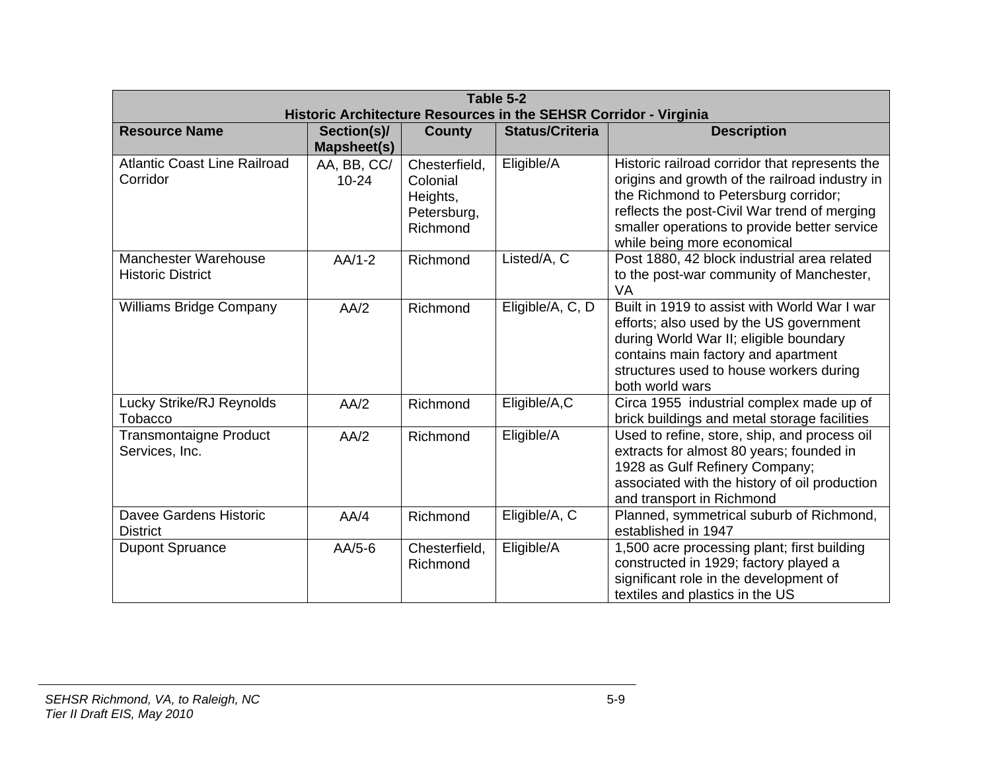| Table 5-2<br>Historic Architecture Resources in the SEHSR Corridor - Virginia |                                   |                                                                  |                        |                                                                                                                                                                                                                                                                         |
|-------------------------------------------------------------------------------|-----------------------------------|------------------------------------------------------------------|------------------------|-------------------------------------------------------------------------------------------------------------------------------------------------------------------------------------------------------------------------------------------------------------------------|
| <b>Resource Name</b>                                                          | Section(s)/<br><b>Mapsheet(s)</b> | <b>County</b>                                                    | <b>Status/Criteria</b> | <b>Description</b>                                                                                                                                                                                                                                                      |
| <b>Atlantic Coast Line Railroad</b><br>Corridor                               | AA, BB, CC/<br>$10 - 24$          | Chesterfield,<br>Colonial<br>Heights,<br>Petersburg,<br>Richmond | Eligible/A             | Historic railroad corridor that represents the<br>origins and growth of the railroad industry in<br>the Richmond to Petersburg corridor;<br>reflects the post-Civil War trend of merging<br>smaller operations to provide better service<br>while being more economical |
| <b>Manchester Warehouse</b><br><b>Historic District</b>                       | $AA/1-2$                          | Richmond                                                         | Listed/A, C            | Post 1880, 42 block industrial area related<br>to the post-war community of Manchester,<br>VA                                                                                                                                                                           |
| <b>Williams Bridge Company</b>                                                | AA/2                              | Richmond                                                         | Eligible/A, C, D       | Built in 1919 to assist with World War I war<br>efforts; also used by the US government<br>during World War II; eligible boundary<br>contains main factory and apartment<br>structures used to house workers during<br>both world wars                                  |
| <b>Lucky Strike/RJ Reynolds</b><br>Tobacco                                    | AA/2                              | Richmond                                                         | Eligible/A,C           | Circa 1955 industrial complex made up of<br>brick buildings and metal storage facilities                                                                                                                                                                                |
| <b>Transmontaigne Product</b><br>Services, Inc.                               | AA/2                              | Richmond                                                         | Eligible/A             | Used to refine, store, ship, and process oil<br>extracts for almost 80 years; founded in<br>1928 as Gulf Refinery Company;<br>associated with the history of oil production<br>and transport in Richmond                                                                |
| Davee Gardens Historic<br><b>District</b>                                     | AA/4                              | Richmond                                                         | Eligible/A, C          | Planned, symmetrical suburb of Richmond,<br>established in 1947                                                                                                                                                                                                         |
| <b>Dupont Spruance</b>                                                        | $AA/5-6$                          | Chesterfield,<br>Richmond                                        | Eligible/A             | 1,500 acre processing plant; first building<br>constructed in 1929; factory played a<br>significant role in the development of<br>textiles and plastics in the US                                                                                                       |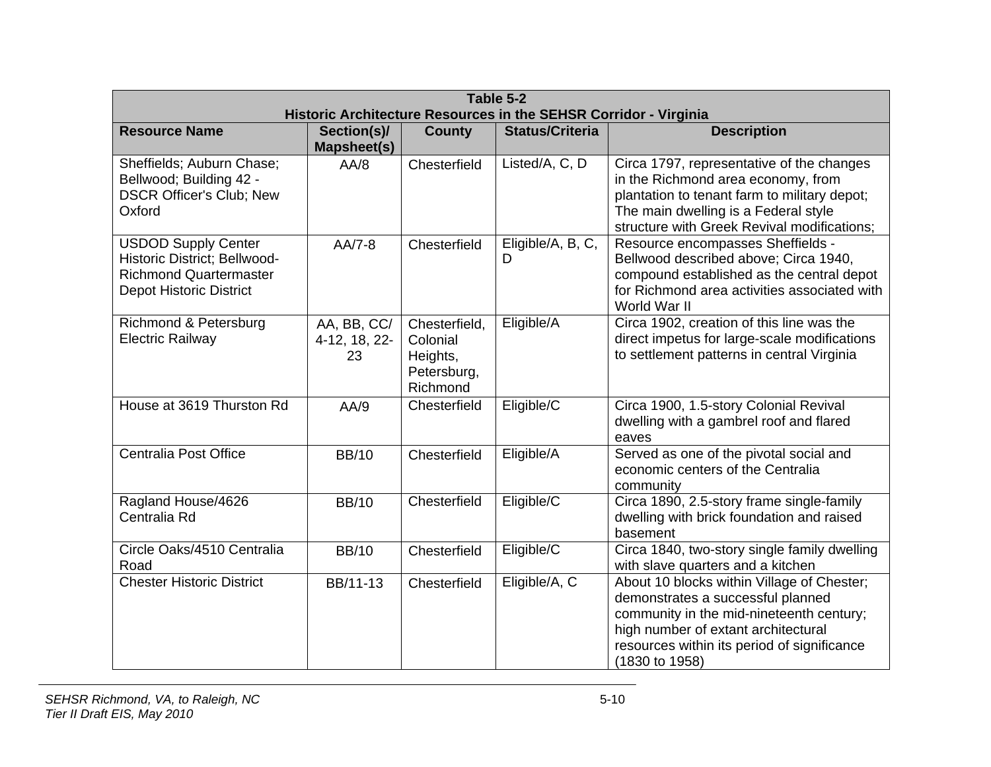|                                                                                                                               | Table 5-2<br>Historic Architecture Resources in the SEHSR Corridor - Virginia |                                                                  |                        |                                                                                                                                                                                                                                     |  |  |
|-------------------------------------------------------------------------------------------------------------------------------|-------------------------------------------------------------------------------|------------------------------------------------------------------|------------------------|-------------------------------------------------------------------------------------------------------------------------------------------------------------------------------------------------------------------------------------|--|--|
| <b>Resource Name</b>                                                                                                          | Section(s)/<br><b>Mapsheet(s)</b>                                             | <b>County</b>                                                    | <b>Status/Criteria</b> | <b>Description</b>                                                                                                                                                                                                                  |  |  |
| Sheffields; Auburn Chase;<br>Bellwood; Building 42 -<br><b>DSCR Officer's Club; New</b><br>Oxford                             | AA/8                                                                          | Chesterfield                                                     | Listed/A, C, D         | Circa 1797, representative of the changes<br>in the Richmond area economy, from<br>plantation to tenant farm to military depot;<br>The main dwelling is a Federal style<br>structure with Greek Revival modifications;              |  |  |
| <b>USDOD Supply Center</b><br>Historic District; Bellwood-<br><b>Richmond Quartermaster</b><br><b>Depot Historic District</b> | $AA/7-8$                                                                      | Chesterfield                                                     | Eligible/A, B, C,<br>D | Resource encompasses Sheffields -<br>Bellwood described above; Circa 1940,<br>compound established as the central depot<br>for Richmond area activities associated with<br>World War II                                             |  |  |
| Richmond & Petersburg<br><b>Electric Railway</b>                                                                              | AA, BB, CC/<br>4-12, 18, 22-<br>23                                            | Chesterfield,<br>Colonial<br>Heights,<br>Petersburg,<br>Richmond | Eligible/A             | Circa 1902, creation of this line was the<br>direct impetus for large-scale modifications<br>to settlement patterns in central Virginia                                                                                             |  |  |
| House at 3619 Thurston Rd                                                                                                     | AA/9                                                                          | Chesterfield                                                     | Eligible/C             | Circa 1900, 1.5-story Colonial Revival<br>dwelling with a gambrel roof and flared<br>eaves                                                                                                                                          |  |  |
| Centralia Post Office                                                                                                         | <b>BB/10</b>                                                                  | Chesterfield                                                     | Eligible/A             | Served as one of the pivotal social and<br>economic centers of the Centralia<br>community                                                                                                                                           |  |  |
| Ragland House/4626<br>Centralia Rd                                                                                            | <b>BB/10</b>                                                                  | Chesterfield                                                     | Eligible/C             | Circa 1890, 2.5-story frame single-family<br>dwelling with brick foundation and raised<br>basement                                                                                                                                  |  |  |
| Circle Oaks/4510 Centralia<br>Road                                                                                            | <b>BB/10</b>                                                                  | Chesterfield                                                     | Eligible/C             | Circa 1840, two-story single family dwelling<br>with slave quarters and a kitchen                                                                                                                                                   |  |  |
| <b>Chester Historic District</b>                                                                                              | BB/11-13                                                                      | Chesterfield                                                     | Eligible/A, C          | About 10 blocks within Village of Chester;<br>demonstrates a successful planned<br>community in the mid-nineteenth century;<br>high number of extant architectural<br>resources within its period of significance<br>(1830 to 1958) |  |  |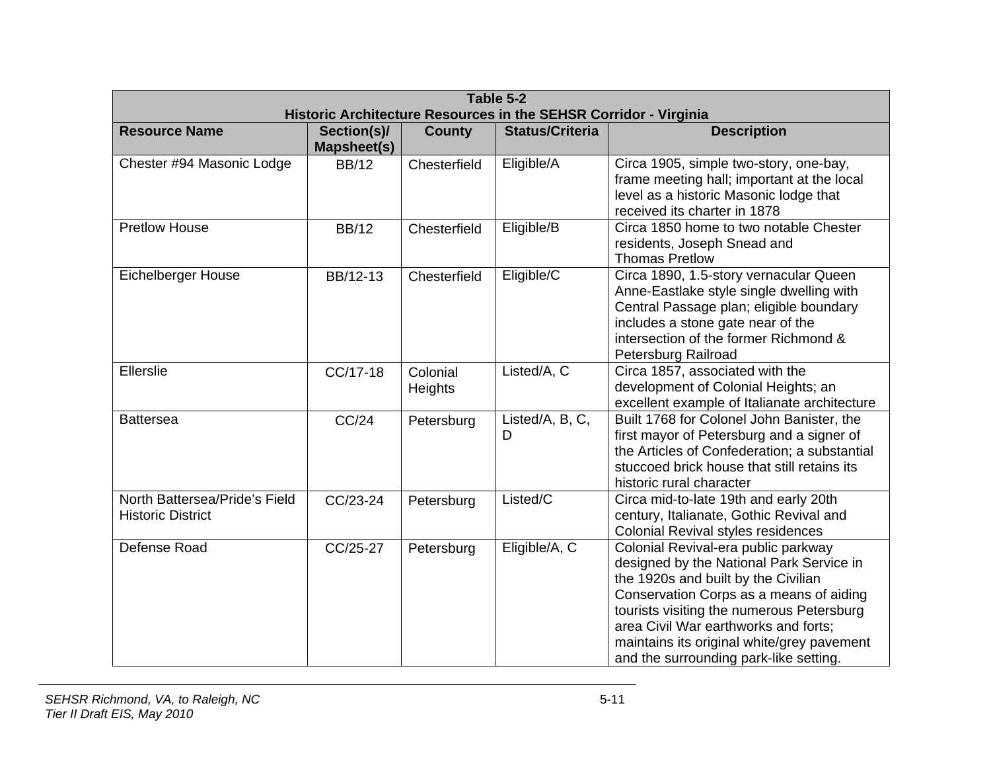| Table 5-2<br>Historic Architecture Resources in the SEHSR Corridor - Virginia |                                   |                     |                        |                                                                                                                                                                                                                                                                                                                                                |  |
|-------------------------------------------------------------------------------|-----------------------------------|---------------------|------------------------|------------------------------------------------------------------------------------------------------------------------------------------------------------------------------------------------------------------------------------------------------------------------------------------------------------------------------------------------|--|
| <b>Resource Name</b>                                                          | Section(s)/<br><b>Mapsheet(s)</b> | <b>County</b>       | <b>Status/Criteria</b> | <b>Description</b>                                                                                                                                                                                                                                                                                                                             |  |
| Chester #94 Masonic Lodge                                                     | <b>BB/12</b>                      | Chesterfield        | Eligible/A             | Circa 1905, simple two-story, one-bay,<br>frame meeting hall; important at the local<br>level as a historic Masonic lodge that<br>received its charter in 1878                                                                                                                                                                                 |  |
| <b>Pretlow House</b>                                                          | <b>BB/12</b>                      | Chesterfield        | Eligible/B             | Circa 1850 home to two notable Chester<br>residents, Joseph Snead and<br><b>Thomas Pretlow</b>                                                                                                                                                                                                                                                 |  |
| <b>Eichelberger House</b>                                                     | BB/12-13                          | Chesterfield        | Eligible/C             | Circa 1890, 1.5-story vernacular Queen<br>Anne-Eastlake style single dwelling with<br>Central Passage plan; eligible boundary<br>includes a stone gate near of the<br>intersection of the former Richmond &<br>Petersburg Railroad                                                                                                             |  |
| Ellerslie                                                                     | CC/17-18                          | Colonial<br>Heights | Listed/A, C            | Circa 1857, associated with the<br>development of Colonial Heights; an<br>excellent example of Italianate architecture                                                                                                                                                                                                                         |  |
| <b>Battersea</b>                                                              | CC/24                             | Petersburg          | Listed/A, B, C,<br>D   | Built 1768 for Colonel John Banister, the<br>first mayor of Petersburg and a signer of<br>the Articles of Confederation; a substantial<br>stuccoed brick house that still retains its<br>historic rural character                                                                                                                              |  |
| North Battersea/Pride's Field<br><b>Historic District</b>                     | CC/23-24                          | Petersburg          | Listed/C               | Circa mid-to-late 19th and early 20th<br>century, Italianate, Gothic Revival and<br><b>Colonial Revival styles residences</b>                                                                                                                                                                                                                  |  |
| Defense Road                                                                  | CC/25-27                          | Petersburg          | Eligible/A, C          | Colonial Revival-era public parkway<br>designed by the National Park Service in<br>the 1920s and built by the Civilian<br>Conservation Corps as a means of aiding<br>tourists visiting the numerous Petersburg<br>area Civil War earthworks and forts;<br>maintains its original white/grey pavement<br>and the surrounding park-like setting. |  |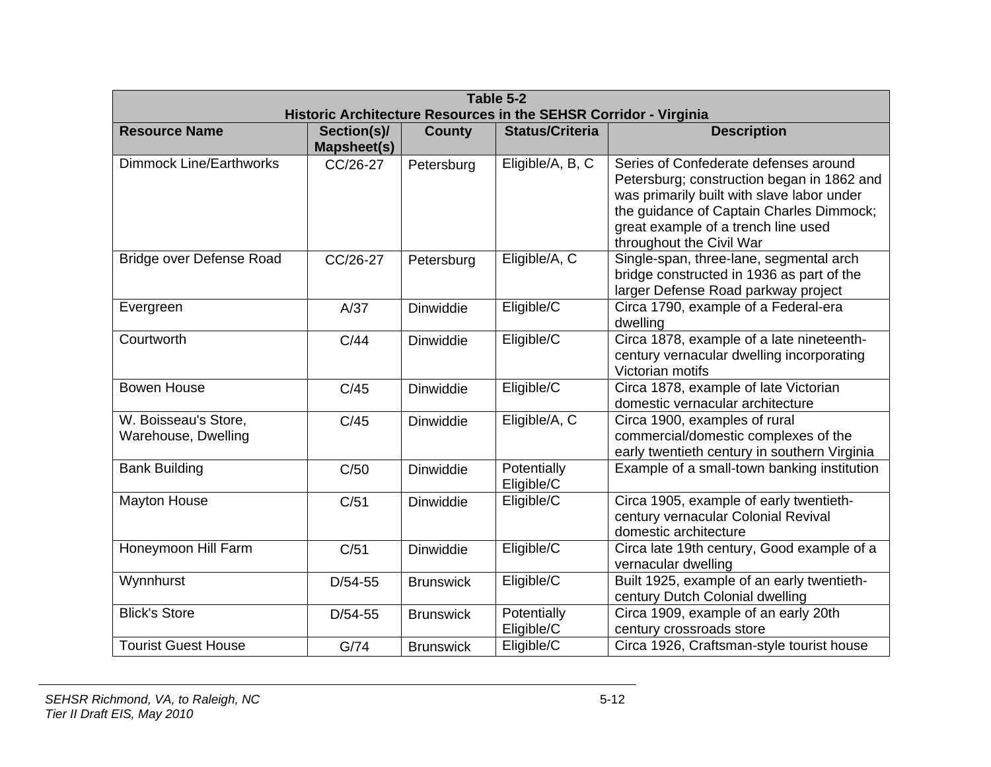| Table 5-2<br>Historic Architecture Resources in the SEHSR Corridor - Virginia |                                   |                  |                           |                                                                                                                                                                                                                                                  |  |
|-------------------------------------------------------------------------------|-----------------------------------|------------------|---------------------------|--------------------------------------------------------------------------------------------------------------------------------------------------------------------------------------------------------------------------------------------------|--|
| <b>Resource Name</b>                                                          | Section(s)/<br><b>Mapsheet(s)</b> | <b>County</b>    | <b>Status/Criteria</b>    | <b>Description</b>                                                                                                                                                                                                                               |  |
| <b>Dimmock Line/Earthworks</b>                                                | CC/26-27                          | Petersburg       | Eligible/A, B, C          | Series of Confederate defenses around<br>Petersburg; construction began in 1862 and<br>was primarily built with slave labor under<br>the guidance of Captain Charles Dimmock;<br>great example of a trench line used<br>throughout the Civil War |  |
| Bridge over Defense Road                                                      | CC/26-27                          | Petersburg       | Eligible/A, C             | Single-span, three-lane, segmental arch<br>bridge constructed in 1936 as part of the<br>larger Defense Road parkway project                                                                                                                      |  |
| Evergreen                                                                     | A/37                              | <b>Dinwiddie</b> | Eligible/C                | Circa 1790, example of a Federal-era<br>dwelling                                                                                                                                                                                                 |  |
| Courtworth                                                                    | C/44                              | <b>Dinwiddie</b> | Eligible/C                | Circa 1878, example of a late nineteenth-<br>century vernacular dwelling incorporating<br>Victorian motifs                                                                                                                                       |  |
| <b>Bowen House</b>                                                            | C/45                              | <b>Dinwiddie</b> | Eligible/C                | Circa 1878, example of late Victorian<br>domestic vernacular architecture                                                                                                                                                                        |  |
| W. Boisseau's Store,<br>Warehouse, Dwelling                                   | C/45                              | Dinwiddie        | Eligible/A, C             | Circa 1900, examples of rural<br>commercial/domestic complexes of the<br>early twentieth century in southern Virginia                                                                                                                            |  |
| <b>Bank Building</b>                                                          | C/50                              | Dinwiddie        | Potentially<br>Eligible/C | Example of a small-town banking institution                                                                                                                                                                                                      |  |
| <b>Mayton House</b>                                                           | C/51                              | <b>Dinwiddie</b> | Eligible/C                | Circa 1905, example of early twentieth-<br>century vernacular Colonial Revival<br>domestic architecture                                                                                                                                          |  |
| Honeymoon Hill Farm                                                           | C/51                              | <b>Dinwiddie</b> | Eligible/C                | Circa late 19th century, Good example of a<br>vernacular dwelling                                                                                                                                                                                |  |
| Wynnhurst                                                                     | $D/54-55$                         | <b>Brunswick</b> | Eligible/C                | Built 1925, example of an early twentieth-<br>century Dutch Colonial dwelling                                                                                                                                                                    |  |
| <b>Blick's Store</b>                                                          | $D/54-55$                         | <b>Brunswick</b> | Potentially<br>Eligible/C | Circa 1909, example of an early 20th<br>century crossroads store                                                                                                                                                                                 |  |
| <b>Tourist Guest House</b>                                                    | G/74                              | <b>Brunswick</b> | Eligible/C                | Circa 1926, Craftsman-style tourist house                                                                                                                                                                                                        |  |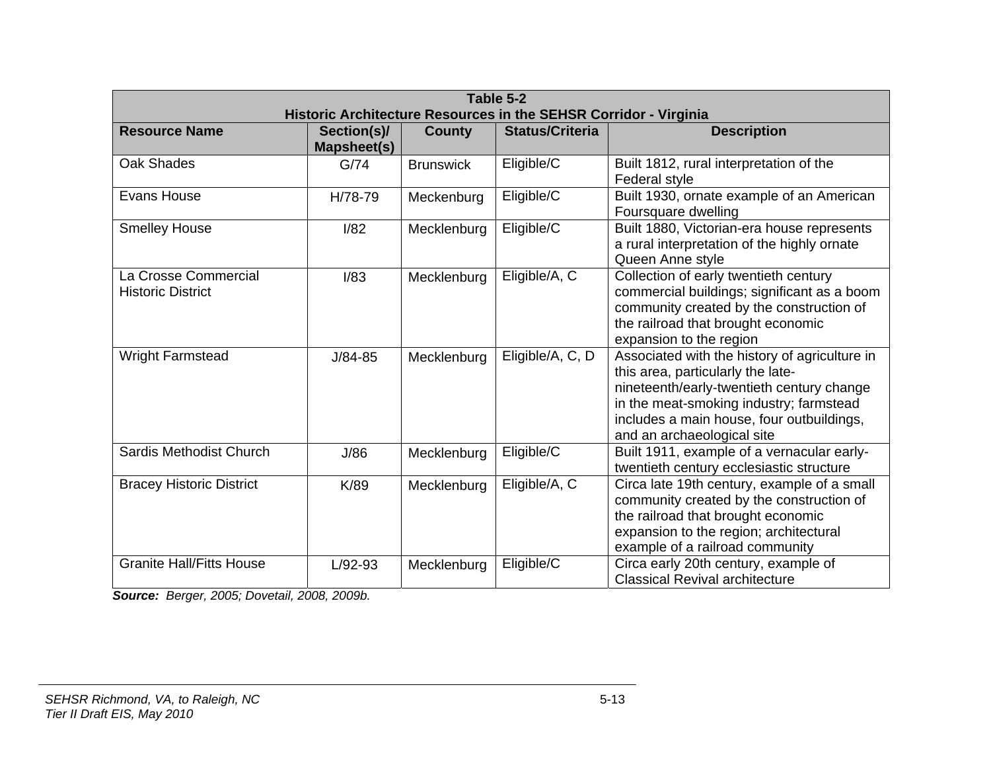| Table 5-2<br>Historic Architecture Resources in the SEHSR Corridor - Virginia |                            |                  |                        |                                                                                                                                                                                                                                                       |  |
|-------------------------------------------------------------------------------|----------------------------|------------------|------------------------|-------------------------------------------------------------------------------------------------------------------------------------------------------------------------------------------------------------------------------------------------------|--|
| <b>Resource Name</b>                                                          | Section(s)/<br>Mapsheet(s) | <b>County</b>    | <b>Status/Criteria</b> | <b>Description</b>                                                                                                                                                                                                                                    |  |
| <b>Oak Shades</b>                                                             | G/74                       | <b>Brunswick</b> | Eligible/C             | Built 1812, rural interpretation of the<br>Federal style                                                                                                                                                                                              |  |
| Evans House                                                                   | H/78-79                    | Meckenburg       | Eligible/C             | Built 1930, ornate example of an American<br>Foursquare dwelling                                                                                                                                                                                      |  |
| <b>Smelley House</b>                                                          | 1/82                       | Mecklenburg      | Eligible/C             | Built 1880, Victorian-era house represents<br>a rural interpretation of the highly ornate<br>Queen Anne style                                                                                                                                         |  |
| La Crosse Commercial<br><b>Historic District</b>                              | I/83                       | Mecklenburg      | Eligible/A, C          | Collection of early twentieth century<br>commercial buildings; significant as a boom<br>community created by the construction of<br>the railroad that brought economic<br>expansion to the region                                                     |  |
| <b>Wright Farmstead</b>                                                       | $J/84 - 85$                | Mecklenburg      | Eligible/A, C, D       | Associated with the history of agriculture in<br>this area, particularly the late-<br>nineteenth/early-twentieth century change<br>in the meat-smoking industry; farmstead<br>includes a main house, four outbuildings,<br>and an archaeological site |  |
| Sardis Methodist Church                                                       | J/86                       | Mecklenburg      | Eligible/C             | Built 1911, example of a vernacular early-<br>twentieth century ecclesiastic structure                                                                                                                                                                |  |
| <b>Bracey Historic District</b>                                               | K/89                       | Mecklenburg      | Eligible/A, C          | Circa late 19th century, example of a small<br>community created by the construction of<br>the railroad that brought economic<br>expansion to the region; architectural<br>example of a railroad community                                            |  |
| <b>Granite Hall/Fitts House</b>                                               | $L/92-93$                  | Mecklenburg      | Eligible/C             | Circa early 20th century, example of<br><b>Classical Revival architecture</b>                                                                                                                                                                         |  |

*Source: Berger, 2005; Dovetail, 2008, 2009b.*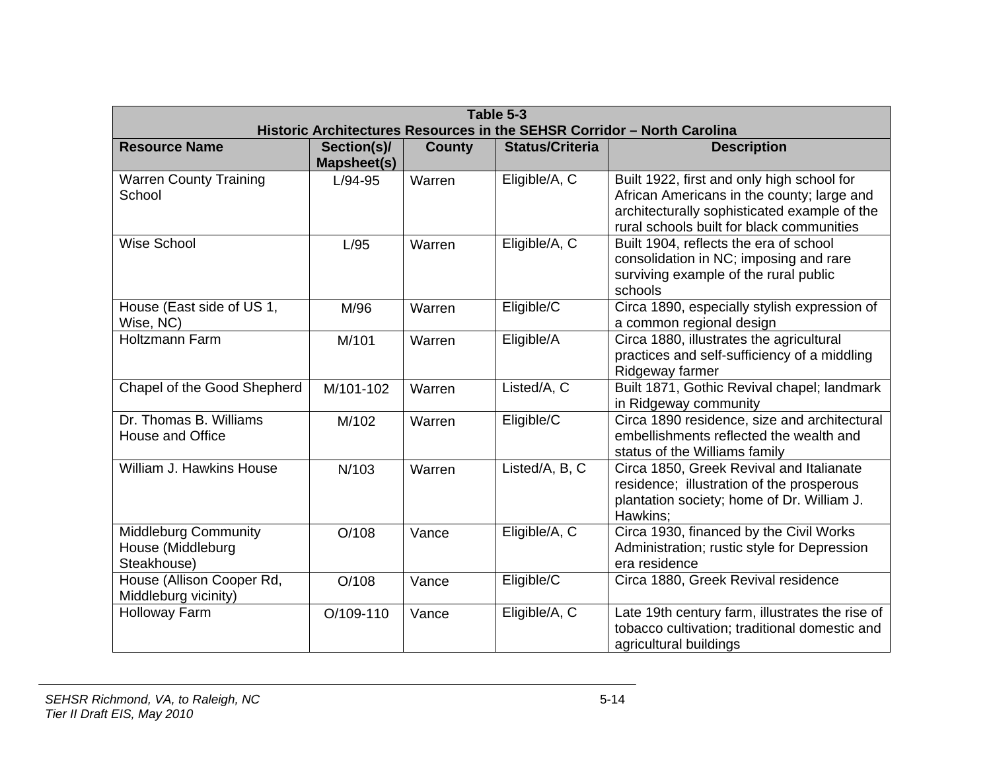| Table 5-3<br>Historic Architectures Resources in the SEHSR Corridor - North Carolina |                            |               |                        |                                                                                                                                                                                       |  |
|--------------------------------------------------------------------------------------|----------------------------|---------------|------------------------|---------------------------------------------------------------------------------------------------------------------------------------------------------------------------------------|--|
| <b>Resource Name</b>                                                                 | Section(s)/<br>Mapsheet(s) | <b>County</b> | <b>Status/Criteria</b> | <b>Description</b>                                                                                                                                                                    |  |
| <b>Warren County Training</b><br>School                                              | $L/94-95$                  | Warren        | Eligible/A, C          | Built 1922, first and only high school for<br>African Americans in the county; large and<br>architecturally sophisticated example of the<br>rural schools built for black communities |  |
| <b>Wise School</b>                                                                   | L/95                       | Warren        | Eligible/A, C          | Built 1904, reflects the era of school<br>consolidation in NC; imposing and rare<br>surviving example of the rural public<br>schools                                                  |  |
| House (East side of US 1,<br>Wise, NC)                                               | M/96                       | Warren        | Eligible/C             | Circa 1890, especially stylish expression of<br>a common regional design                                                                                                              |  |
| Holtzmann Farm                                                                       | M/101                      | Warren        | Eligible/A             | Circa 1880, illustrates the agricultural<br>practices and self-sufficiency of a middling<br>Ridgeway farmer                                                                           |  |
| Chapel of the Good Shepherd                                                          | M/101-102                  | Warren        | Listed/A, C            | Built 1871, Gothic Revival chapel; landmark<br>in Ridgeway community                                                                                                                  |  |
| Dr. Thomas B. Williams<br>House and Office                                           | M/102                      | Warren        | Eligible/C             | Circa 1890 residence, size and architectural<br>embellishments reflected the wealth and<br>status of the Williams family                                                              |  |
| William J. Hawkins House                                                             | N/103                      | Warren        | Listed/A, B, C         | Circa 1850, Greek Revival and Italianate<br>residence; illustration of the prosperous<br>plantation society; home of Dr. William J.<br>Hawkins:                                       |  |
| <b>Middleburg Community</b><br>House (Middleburg<br>Steakhouse)                      | O/108                      | Vance         | Eligible/A, C          | Circa 1930, financed by the Civil Works<br>Administration; rustic style for Depression<br>era residence                                                                               |  |
| House (Allison Cooper Rd,<br>Middleburg vicinity)                                    | O/108                      | Vance         | Eligible/C             | Circa 1880, Greek Revival residence                                                                                                                                                   |  |
| Holloway Farm                                                                        | O/109-110                  | Vance         | Eligible/A, C          | Late 19th century farm, illustrates the rise of<br>tobacco cultivation; traditional domestic and<br>agricultural buildings                                                            |  |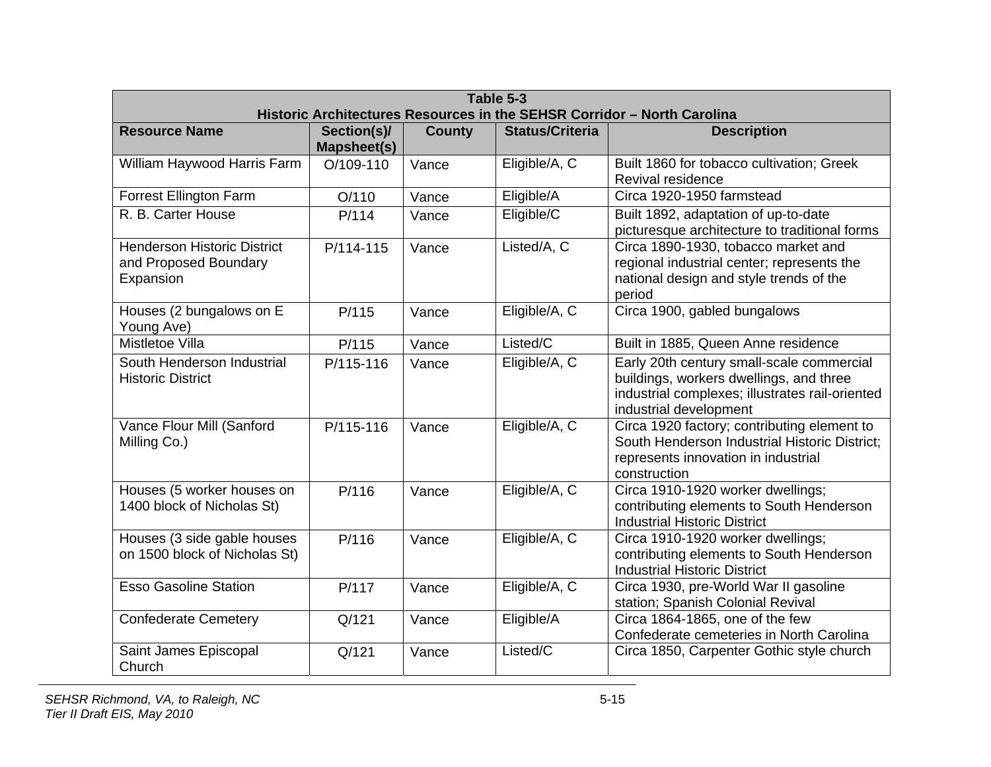| Table 5-3<br>Historic Architectures Resources in the SEHSR Corridor - North Carolina |                            |               |                        |                                                                                                                                                                   |  |  |
|--------------------------------------------------------------------------------------|----------------------------|---------------|------------------------|-------------------------------------------------------------------------------------------------------------------------------------------------------------------|--|--|
| <b>Resource Name</b>                                                                 | Section(s)/<br>Mapsheet(s) | <b>County</b> | <b>Status/Criteria</b> | <b>Description</b>                                                                                                                                                |  |  |
| William Haywood Harris Farm                                                          | O/109-110                  | Vance         | Eligible/A, C          | Built 1860 for tobacco cultivation; Greek<br>Revival residence                                                                                                    |  |  |
| <b>Forrest Ellington Farm</b>                                                        | O/110                      | Vance         | Eligible/A             | Circa 1920-1950 farmstead                                                                                                                                         |  |  |
| R. B. Carter House                                                                   | P/114                      | Vance         | Eligible/C             | Built 1892, adaptation of up-to-date<br>picturesque architecture to traditional forms                                                                             |  |  |
| <b>Henderson Historic District</b><br>and Proposed Boundary<br>Expansion             | P/114-115                  | Vance         | Listed/A, C            | Circa 1890-1930, tobacco market and<br>regional industrial center; represents the<br>national design and style trends of the<br>period                            |  |  |
| Houses (2 bungalows on E<br>Young Ave)                                               | P/115                      | Vance         | Eligible/A, C          | Circa 1900, gabled bungalows                                                                                                                                      |  |  |
| Mistletoe Villa                                                                      | P/115                      | Vance         | Listed/C               | Built in 1885, Queen Anne residence                                                                                                                               |  |  |
| South Henderson Industrial<br><b>Historic District</b>                               | P/115-116                  | Vance         | Eligible/A, C          | Early 20th century small-scale commercial<br>buildings, workers dwellings, and three<br>industrial complexes; illustrates rail-oriented<br>industrial development |  |  |
| Vance Flour Mill (Sanford<br>Milling Co.)                                            | P/115-116                  | Vance         | Eligible/A, C          | Circa 1920 factory; contributing element to<br>South Henderson Industrial Historic District;<br>represents innovation in industrial<br>construction               |  |  |
| Houses (5 worker houses on<br>1400 block of Nicholas St)                             | P/116                      | Vance         | Eligible/A, C          | Circa 1910-1920 worker dwellings;<br>contributing elements to South Henderson<br><b>Industrial Historic District</b>                                              |  |  |
| Houses (3 side gable houses<br>on 1500 block of Nicholas St)                         | P/116                      | Vance         | Eligible/A, C          | Circa 1910-1920 worker dwellings;<br>contributing elements to South Henderson<br><b>Industrial Historic District</b>                                              |  |  |
| <b>Esso Gasoline Station</b>                                                         | P/117                      | Vance         | Eligible/A, C          | Circa 1930, pre-World War II gasoline<br>station; Spanish Colonial Revival                                                                                        |  |  |
| <b>Confederate Cemetery</b>                                                          | Q/121                      | Vance         | Eligible/A             | Circa 1864-1865, one of the few<br>Confederate cemeteries in North Carolina                                                                                       |  |  |
| Saint James Episcopal<br>Church                                                      | Q/121                      | Vance         | Listed/C               | Circa 1850, Carpenter Gothic style church                                                                                                                         |  |  |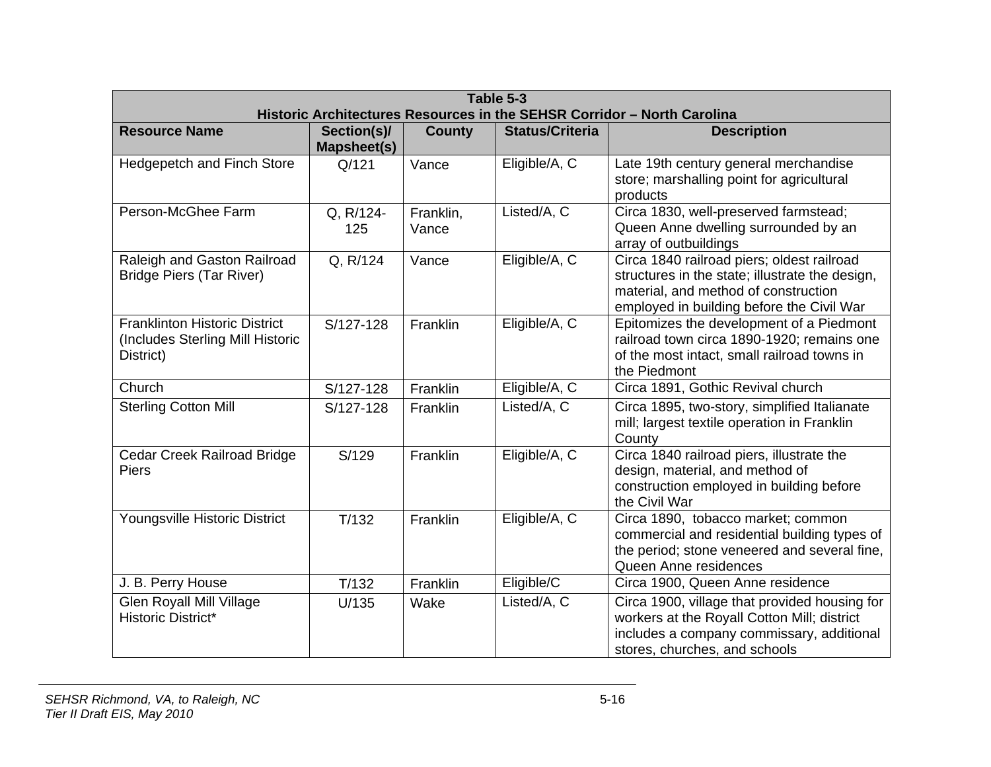| Table 5-3<br>Historic Architectures Resources in the SEHSR Corridor - North Carolina  |                            |                    |                        |                                                                                                                                                                                    |  |
|---------------------------------------------------------------------------------------|----------------------------|--------------------|------------------------|------------------------------------------------------------------------------------------------------------------------------------------------------------------------------------|--|
| <b>Resource Name</b>                                                                  | Section(s)/<br>Mapsheet(s) | <b>County</b>      | <b>Status/Criteria</b> | <b>Description</b>                                                                                                                                                                 |  |
| <b>Hedgepetch and Finch Store</b>                                                     | Q/121                      | Vance              | Eligible/A, C          | Late 19th century general merchandise<br>store; marshalling point for agricultural<br>products                                                                                     |  |
| Person-McGhee Farm                                                                    | Q, R/124-<br>125           | Franklin,<br>Vance | Listed/A, C            | Circa 1830, well-preserved farmstead;<br>Queen Anne dwelling surrounded by an<br>array of outbuildings                                                                             |  |
| Raleigh and Gaston Railroad<br><b>Bridge Piers (Tar River)</b>                        | Q, R/124                   | Vance              | Eligible/A, C          | Circa 1840 railroad piers; oldest railroad<br>structures in the state; illustrate the design,<br>material, and method of construction<br>employed in building before the Civil War |  |
| <b>Franklinton Historic District</b><br>(Includes Sterling Mill Historic<br>District) | S/127-128                  | Franklin           | Eligible/A, C          | Epitomizes the development of a Piedmont<br>railroad town circa 1890-1920; remains one<br>of the most intact, small railroad towns in<br>the Piedmont                              |  |
| Church                                                                                | S/127-128                  | Franklin           | Eligible/A, C          | Circa 1891, Gothic Revival church                                                                                                                                                  |  |
| <b>Sterling Cotton Mill</b>                                                           | S/127-128                  | Franklin           | Listed/A, C            | Circa 1895, two-story, simplified Italianate<br>mill; largest textile operation in Franklin<br>County                                                                              |  |
| Cedar Creek Railroad Bridge<br><b>Piers</b>                                           | S/129                      | Franklin           | Eligible/A, C          | Circa 1840 railroad piers, illustrate the<br>design, material, and method of<br>construction employed in building before<br>the Civil War                                          |  |
| Youngsville Historic District                                                         | T/132                      | Franklin           | Eligible/A, C          | Circa 1890, tobacco market; common<br>commercial and residential building types of<br>the period; stone veneered and several fine,<br>Queen Anne residences                        |  |
| J. B. Perry House                                                                     | T/132                      | Franklin           | Eligible/C             | Circa 1900, Queen Anne residence                                                                                                                                                   |  |
| <b>Glen Royall Mill Village</b><br><b>Historic District*</b>                          | U/135                      | Wake               | Listed/A, C            | Circa 1900, village that provided housing for<br>workers at the Royall Cotton Mill; district<br>includes a company commissary, additional<br>stores, churches, and schools         |  |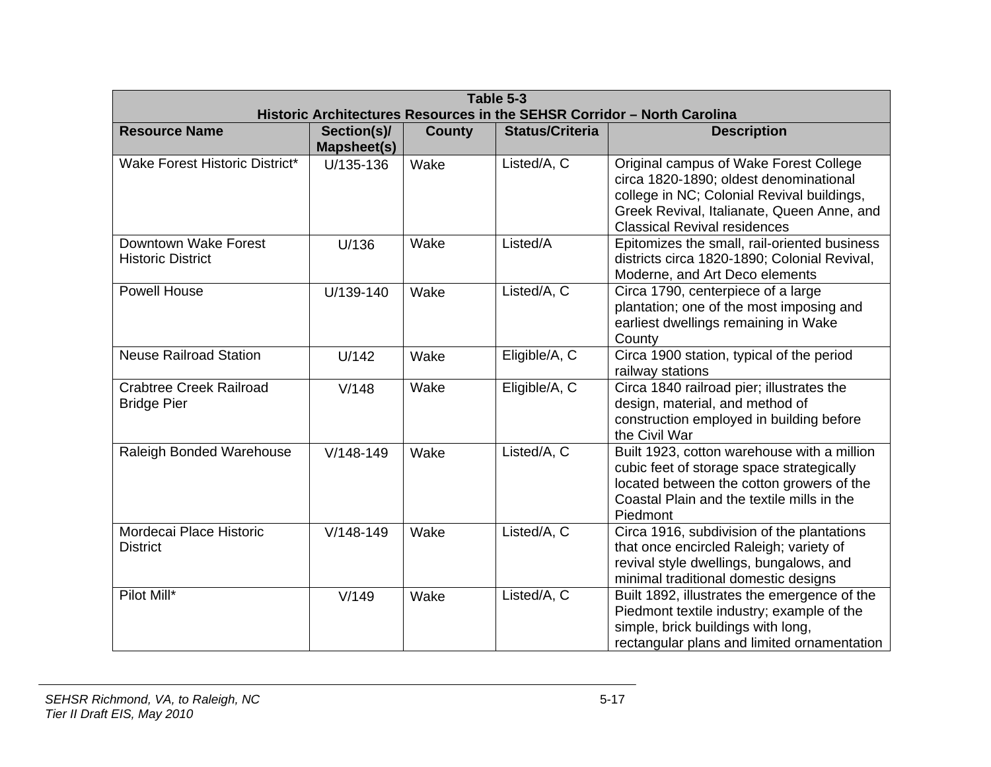| Table 5-3<br>Historic Architectures Resources in the SEHSR Corridor - North Carolina |                            |               |                        |                                                                                                                                                                                                                     |  |
|--------------------------------------------------------------------------------------|----------------------------|---------------|------------------------|---------------------------------------------------------------------------------------------------------------------------------------------------------------------------------------------------------------------|--|
| <b>Resource Name</b>                                                                 | Section(s)/<br>Mapsheet(s) | <b>County</b> | <b>Status/Criteria</b> | <b>Description</b>                                                                                                                                                                                                  |  |
| Wake Forest Historic District*                                                       | U/135-136                  | Wake          | Listed/A, C            | Original campus of Wake Forest College<br>circa 1820-1890; oldest denominational<br>college in NC; Colonial Revival buildings,<br>Greek Revival, Italianate, Queen Anne, and<br><b>Classical Revival residences</b> |  |
| Downtown Wake Forest<br><b>Historic District</b>                                     | U/136                      | Wake          | Listed/A               | Epitomizes the small, rail-oriented business<br>districts circa 1820-1890; Colonial Revival,<br>Moderne, and Art Deco elements                                                                                      |  |
| <b>Powell House</b>                                                                  | U/139-140                  | Wake          | Listed/A, C            | Circa 1790, centerpiece of a large<br>plantation; one of the most imposing and<br>earliest dwellings remaining in Wake<br>County                                                                                    |  |
| <b>Neuse Railroad Station</b>                                                        | U/142                      | Wake          | Eligible/A, C          | Circa 1900 station, typical of the period<br>railway stations                                                                                                                                                       |  |
| <b>Crabtree Creek Railroad</b><br><b>Bridge Pier</b>                                 | V/148                      | Wake          | Eligible/A, C          | Circa 1840 railroad pier; illustrates the<br>design, material, and method of<br>construction employed in building before<br>the Civil War                                                                           |  |
| Raleigh Bonded Warehouse                                                             | $V/148-149$                | Wake          | Listed/A, C            | Built 1923, cotton warehouse with a million<br>cubic feet of storage space strategically<br>located between the cotton growers of the<br>Coastal Plain and the textile mills in the<br>Piedmont                     |  |
| Mordecai Place Historic<br><b>District</b>                                           | $V/148-149$                | Wake          | Listed/A, C            | Circa 1916, subdivision of the plantations<br>that once encircled Raleigh; variety of<br>revival style dwellings, bungalows, and<br>minimal traditional domestic designs                                            |  |
| Pilot Mill*                                                                          | V/149                      | Wake          | Listed/A, C            | Built 1892, illustrates the emergence of the<br>Piedmont textile industry; example of the<br>simple, brick buildings with long,<br>rectangular plans and limited ornamentation                                      |  |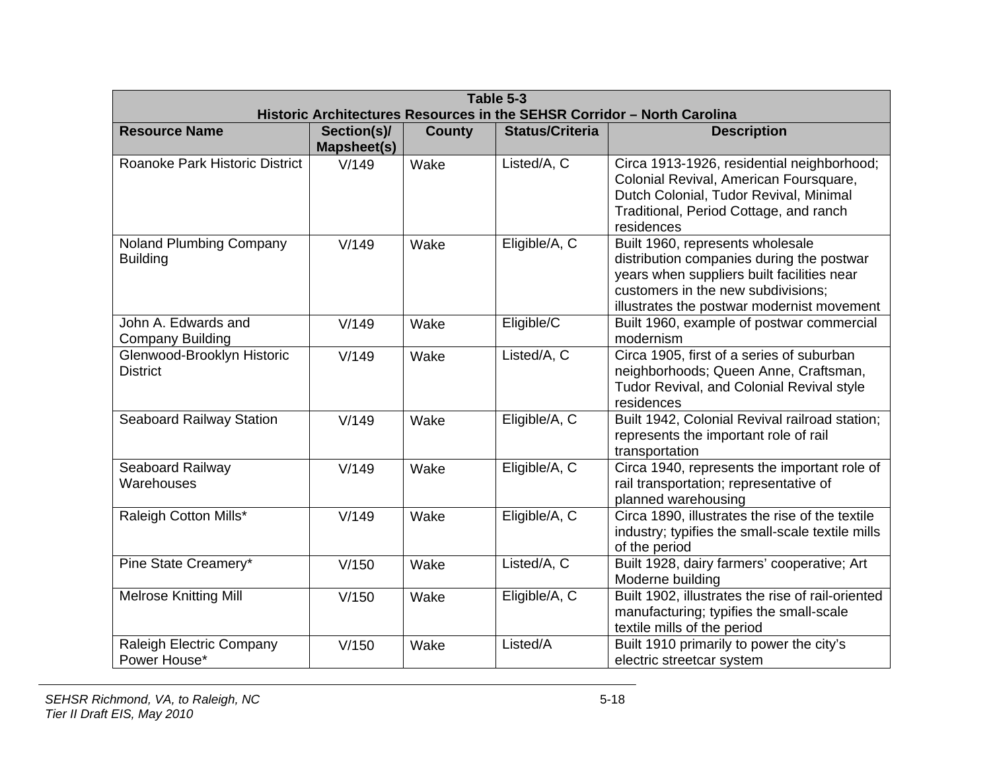| Table 5-3<br>Historic Architectures Resources in the SEHSR Corridor - North Carolina |                                   |               |                        |                                                                                                                                                                                                                 |  |  |
|--------------------------------------------------------------------------------------|-----------------------------------|---------------|------------------------|-----------------------------------------------------------------------------------------------------------------------------------------------------------------------------------------------------------------|--|--|
| <b>Resource Name</b>                                                                 | Section(s)/<br><b>Mapsheet(s)</b> | <b>County</b> | <b>Status/Criteria</b> | <b>Description</b>                                                                                                                                                                                              |  |  |
| Roanoke Park Historic District                                                       | V/149                             | Wake          | Listed/A, C            | Circa 1913-1926, residential neighborhood;<br>Colonial Revival, American Foursquare,<br>Dutch Colonial, Tudor Revival, Minimal<br>Traditional, Period Cottage, and ranch<br>residences                          |  |  |
| Noland Plumbing Company<br><b>Building</b>                                           | V/149                             | Wake          | Eligible/A, C          | Built 1960, represents wholesale<br>distribution companies during the postwar<br>years when suppliers built facilities near<br>customers in the new subdivisions;<br>illustrates the postwar modernist movement |  |  |
| John A. Edwards and<br><b>Company Building</b>                                       | V/149                             | Wake          | Eligible/C             | Built 1960, example of postwar commercial<br>modernism                                                                                                                                                          |  |  |
| Glenwood-Brooklyn Historic<br><b>District</b>                                        | V/149                             | Wake          | Listed/A, C            | Circa 1905, first of a series of suburban<br>neighborhoods; Queen Anne, Craftsman,<br>Tudor Revival, and Colonial Revival style<br>residences                                                                   |  |  |
| <b>Seaboard Railway Station</b>                                                      | V/149                             | Wake          | Eligible/A, C          | Built 1942, Colonial Revival railroad station;<br>represents the important role of rail<br>transportation                                                                                                       |  |  |
| Seaboard Railway<br>Warehouses                                                       | V/149                             | Wake          | Eligible/A, C          | Circa 1940, represents the important role of<br>rail transportation; representative of<br>planned warehousing                                                                                                   |  |  |
| Raleigh Cotton Mills*                                                                | V/149                             | Wake          | Eligible/A, C          | Circa 1890, illustrates the rise of the textile<br>industry; typifies the small-scale textile mills<br>of the period                                                                                            |  |  |
| Pine State Creamery*                                                                 | V/150                             | Wake          | Listed/A, C            | Built 1928, dairy farmers' cooperative; Art<br>Moderne building                                                                                                                                                 |  |  |
| <b>Melrose Knitting Mill</b>                                                         | V/150                             | Wake          | Eligible/A, C          | Built 1902, illustrates the rise of rail-oriented<br>manufacturing; typifies the small-scale<br>textile mills of the period                                                                                     |  |  |
| Raleigh Electric Company<br>Power House*                                             | V/150                             | Wake          | Listed/A               | Built 1910 primarily to power the city's<br>electric streetcar system                                                                                                                                           |  |  |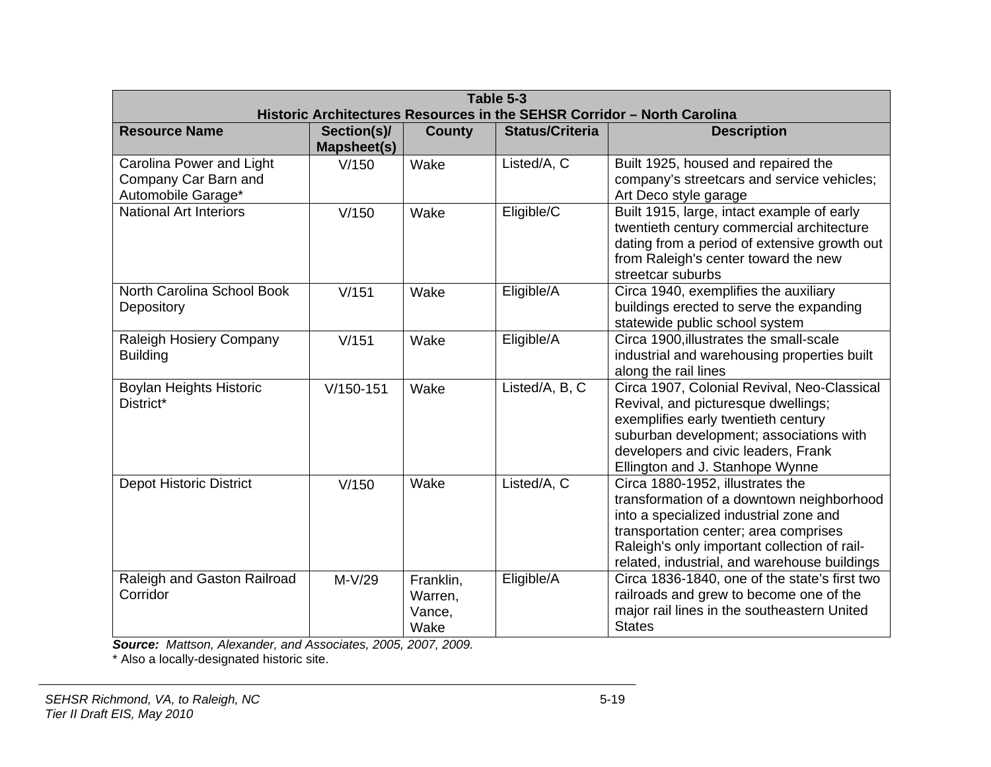| Table 5-3<br>Historic Architectures Resources in the SEHSR Corridor - North Carolina |                            |                                        |                        |                                                                                                                                                                                                                                                                  |  |
|--------------------------------------------------------------------------------------|----------------------------|----------------------------------------|------------------------|------------------------------------------------------------------------------------------------------------------------------------------------------------------------------------------------------------------------------------------------------------------|--|
| <b>Resource Name</b>                                                                 | Section(s)/<br>Mapsheet(s) | <b>County</b>                          | <b>Status/Criteria</b> | <b>Description</b>                                                                                                                                                                                                                                               |  |
| Carolina Power and Light<br>Company Car Barn and<br>Automobile Garage*               | V/150                      | Wake                                   | Listed/A, C            | Built 1925, housed and repaired the<br>company's streetcars and service vehicles;<br>Art Deco style garage                                                                                                                                                       |  |
| <b>National Art Interiors</b>                                                        | V/150                      | Wake                                   | Eligible/C             | Built 1915, large, intact example of early<br>twentieth century commercial architecture<br>dating from a period of extensive growth out<br>from Raleigh's center toward the new<br>streetcar suburbs                                                             |  |
| North Carolina School Book<br>Depository                                             | V/151                      | Wake                                   | Eligible/A             | Circa 1940, exemplifies the auxiliary<br>buildings erected to serve the expanding<br>statewide public school system                                                                                                                                              |  |
| Raleigh Hosiery Company<br><b>Building</b>                                           | V/151                      | Wake                                   | Eligible/A             | Circa 1900, illustrates the small-scale<br>industrial and warehousing properties built<br>along the rail lines                                                                                                                                                   |  |
| Boylan Heights Historic<br>District*                                                 | $V/150-151$                | Wake                                   | Listed/A, B, C         | Circa 1907, Colonial Revival, Neo-Classical<br>Revival, and picturesque dwellings;<br>exemplifies early twentieth century<br>suburban development; associations with<br>developers and civic leaders, Frank<br>Ellington and J. Stanhope Wynne                   |  |
| <b>Depot Historic District</b>                                                       | V/150                      | Wake                                   | Listed/A, C            | Circa 1880-1952, illustrates the<br>transformation of a downtown neighborhood<br>into a specialized industrial zone and<br>transportation center; area comprises<br>Raleigh's only important collection of rail-<br>related, industrial, and warehouse buildings |  |
| Raleigh and Gaston Railroad<br>Corridor                                              | $M-V/29$                   | Franklin,<br>Warren,<br>Vance,<br>Wake | Eligible/A             | Circa 1836-1840, one of the state's first two<br>railroads and grew to become one of the<br>major rail lines in the southeastern United<br><b>States</b>                                                                                                         |  |

*Source: Mattson, Alexander, and Associates, 2005, 2007, 2009.* 

\* Also a locally-designated historic site.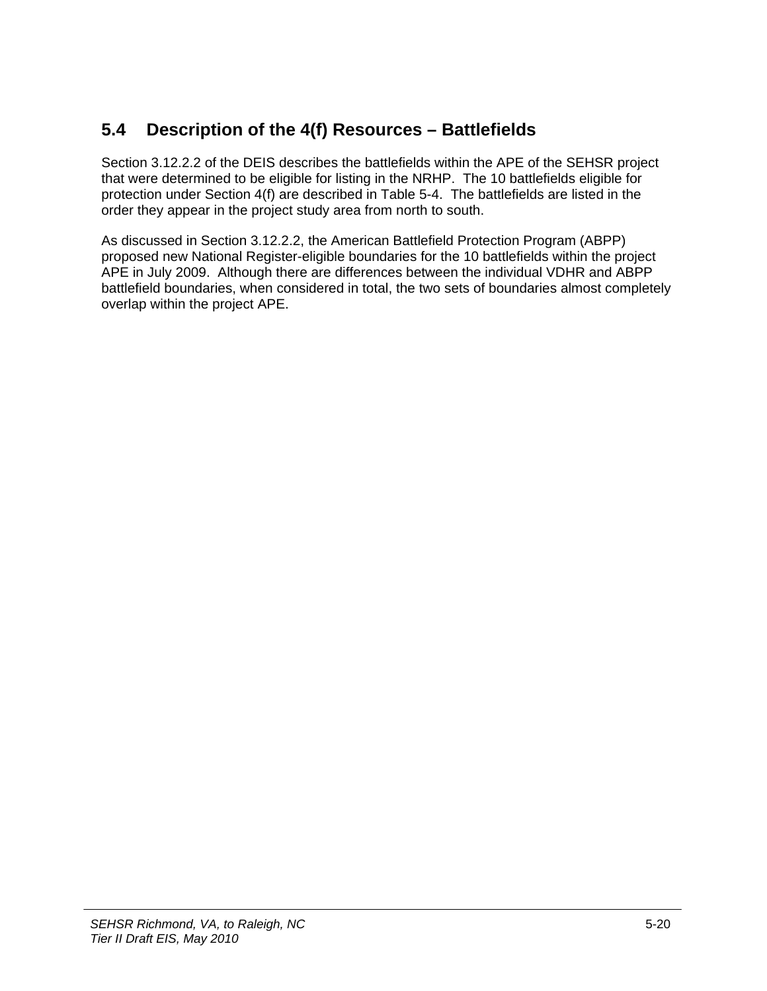# **5.4 Description of the 4(f) Resources – Battlefields**

Section 3.12.2.2 of the DEIS describes the battlefields within the APE of the SEHSR project that were determined to be eligible for listing in the NRHP. The 10 battlefields eligible for protection under Section 4(f) are described in Table 5-4. The battlefields are listed in the order they appear in the project study area from north to south.

As discussed in Section 3.12.2.2, the American Battlefield Protection Program (ABPP) proposed new National Register-eligible boundaries for the 10 battlefields within the project APE in July 2009. Although there are differences between the individual VDHR and ABPP battlefield boundaries, when considered in total, the two sets of boundaries almost completely overlap within the project APE.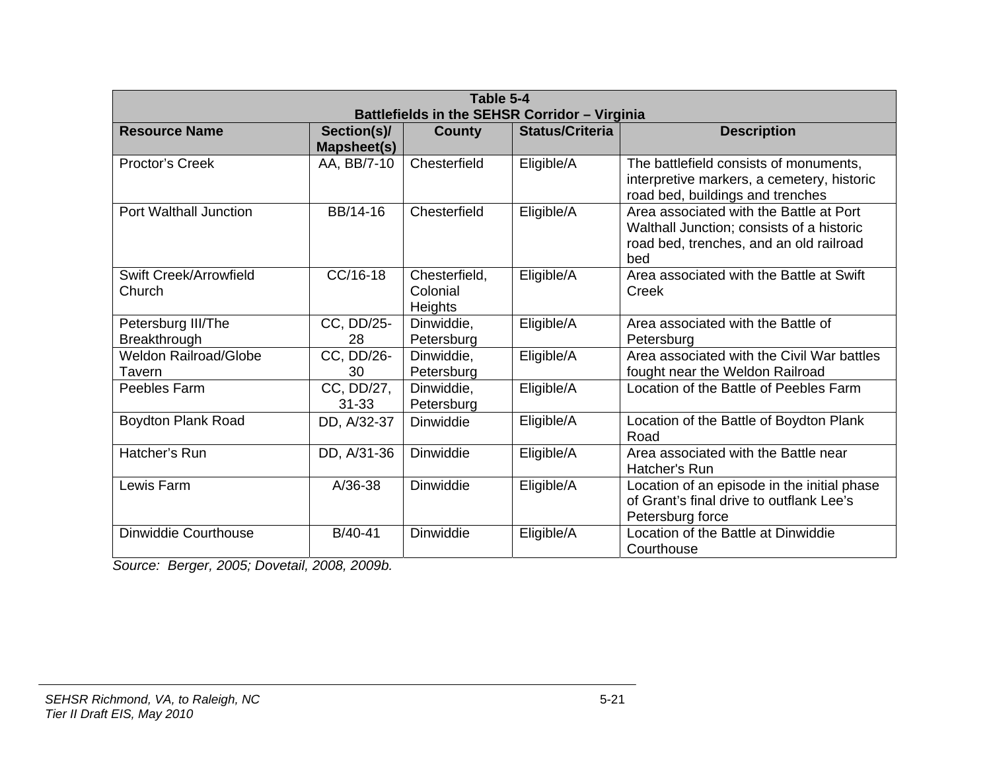| Table 5-4<br>Battlefields in the SEHSR Corridor - Virginia |                                   |                                             |                        |                                                                                                                                        |  |
|------------------------------------------------------------|-----------------------------------|---------------------------------------------|------------------------|----------------------------------------------------------------------------------------------------------------------------------------|--|
| <b>Resource Name</b>                                       | Section(s)/<br><b>Mapsheet(s)</b> | County                                      | <b>Status/Criteria</b> | <b>Description</b>                                                                                                                     |  |
| Proctor's Creek                                            | AA, BB/7-10                       | Chesterfield                                | Eligible/A             | The battlefield consists of monuments,<br>interpretive markers, a cemetery, historic<br>road bed, buildings and trenches               |  |
| <b>Port Walthall Junction</b>                              | BB/14-16                          | Chesterfield                                | Eligible/A             | Area associated with the Battle at Port<br>Walthall Junction; consists of a historic<br>road bed, trenches, and an old railroad<br>bed |  |
| Swift Creek/Arrowfield<br>Church                           | CC/16-18                          | Chesterfield,<br>Colonial<br><b>Heights</b> | Eligible/A             | Area associated with the Battle at Swift<br>Creek                                                                                      |  |
| Petersburg III/The<br>Breakthrough                         | CC, DD/25-<br>28                  | Dinwiddie,<br>Petersburg                    | Eligible/A             | Area associated with the Battle of<br>Petersburg                                                                                       |  |
| <b>Weldon Railroad/Globe</b><br>Tavern                     | CC, DD/26-<br>30                  | Dinwiddie,<br>Petersburg                    | Eligible/A             | Area associated with the Civil War battles<br>fought near the Weldon Railroad                                                          |  |
| Peebles Farm                                               | CC, DD/27,<br>$31 - 33$           | Dinwiddie,<br>Petersburg                    | Eligible/A             | Location of the Battle of Peebles Farm                                                                                                 |  |
| <b>Boydton Plank Road</b>                                  | DD, A/32-37                       | <b>Dinwiddie</b>                            | Eligible/A             | Location of the Battle of Boydton Plank<br>Road                                                                                        |  |
| Hatcher's Run                                              | DD, A/31-36                       | Dinwiddie                                   | Eligible/A             | Area associated with the Battle near<br>Hatcher's Run                                                                                  |  |
| Lewis Farm                                                 | $A/36-38$                         | <b>Dinwiddie</b>                            | Eligible/A             | Location of an episode in the initial phase<br>of Grant's final drive to outflank Lee's<br>Petersburg force                            |  |
| Dinwiddie Courthouse                                       | B/40-41                           | <b>Dinwiddie</b>                            | Eligible/A             | Location of the Battle at Dinwiddie<br>Courthouse                                                                                      |  |

*Source: Berger, 2005; Dovetail, 2008, 2009b.*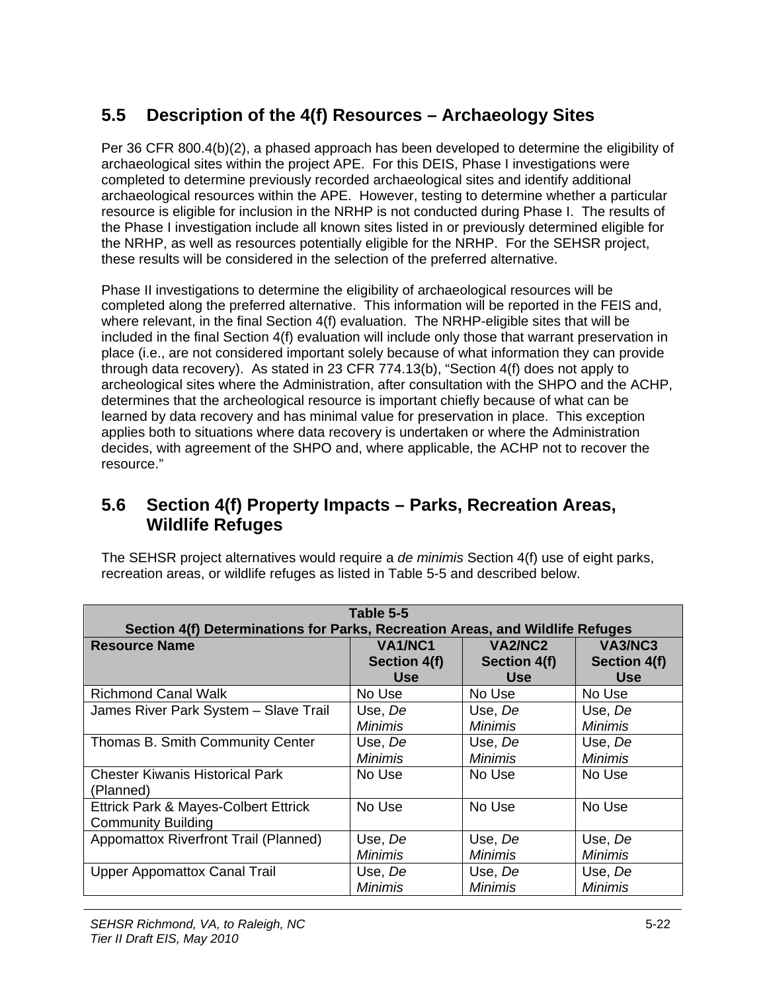# **5.5 Description of the 4(f) Resources – Archaeology Sites**

Per 36 CFR 800.4(b)(2), a phased approach has been developed to determine the eligibility of archaeological sites within the project APE. For this DEIS, Phase I investigations were completed to determine previously recorded archaeological sites and identify additional archaeological resources within the APE. However, testing to determine whether a particular resource is eligible for inclusion in the NRHP is not conducted during Phase I. The results of the Phase I investigation include all known sites listed in or previously determined eligible for the NRHP, as well as resources potentially eligible for the NRHP. For the SEHSR project, these results will be considered in the selection of the preferred alternative.

Phase II investigations to determine the eligibility of archaeological resources will be completed along the preferred alternative. This information will be reported in the FEIS and, where relevant, in the final Section 4(f) evaluation. The NRHP-eligible sites that will be included in the final Section 4(f) evaluation will include only those that warrant preservation in place (i.e., are not considered important solely because of what information they can provide through data recovery). As stated in 23 CFR 774.13(b), "Section 4(f) does not apply to archeological sites where the Administration, after consultation with the SHPO and the ACHP, determines that the archeological resource is important chiefly because of what can be learned by data recovery and has minimal value for preservation in place. This exception applies both to situations where data recovery is undertaken or where the Administration decides, with agreement of the SHPO and, where applicable, the ACHP not to recover the resource."

## **5.6 Section 4(f) Property Impacts – Parks, Recreation Areas, Wildlife Refuges**

The SEHSR project alternatives would require a *de minimis* Section 4(f) use of eight parks, recreation areas, or wildlife refuges as listed in Table 5-5 and described below.

| Table 5-5                                                                     |                |                |                |
|-------------------------------------------------------------------------------|----------------|----------------|----------------|
| Section 4(f) Determinations for Parks, Recreation Areas, and Wildlife Refuges |                |                |                |
| <b>Resource Name</b>                                                          | VA1/NC1        | VA2/NC2        | VA3/NC3        |
|                                                                               | Section 4(f)   | Section 4(f)   | Section 4(f)   |
|                                                                               | <b>Use</b>     | <b>Use</b>     | <b>Use</b>     |
| <b>Richmond Canal Walk</b>                                                    | No Use         | No Use         | No Use         |
| James River Park System - Slave Trail                                         | Use, De        | Use, De        | Use, De        |
|                                                                               | Minimis        | Minimis        | Minimis        |
| Thomas B. Smith Community Center                                              | Use, De        | Use, De        | Use, De        |
|                                                                               | Minimis        | Minimis        | Minimis        |
| <b>Chester Kiwanis Historical Park</b>                                        | No Use         | No Use         | No Use         |
| (Planned)                                                                     |                |                |                |
| Ettrick Park & Mayes-Colbert Ettrick                                          | No Use         | No Use         | No Use         |
| <b>Community Building</b>                                                     |                |                |                |
| Appomattox Riverfront Trail (Planned)                                         | Use, De        | Use, De        | Use, De        |
|                                                                               | <b>Minimis</b> | Minimis        | Minimis        |
| <b>Upper Appomattox Canal Trail</b>                                           | Use, De        | Use, De        | Use, De        |
|                                                                               | <b>Minimis</b> | <b>Minimis</b> | <b>Minimis</b> |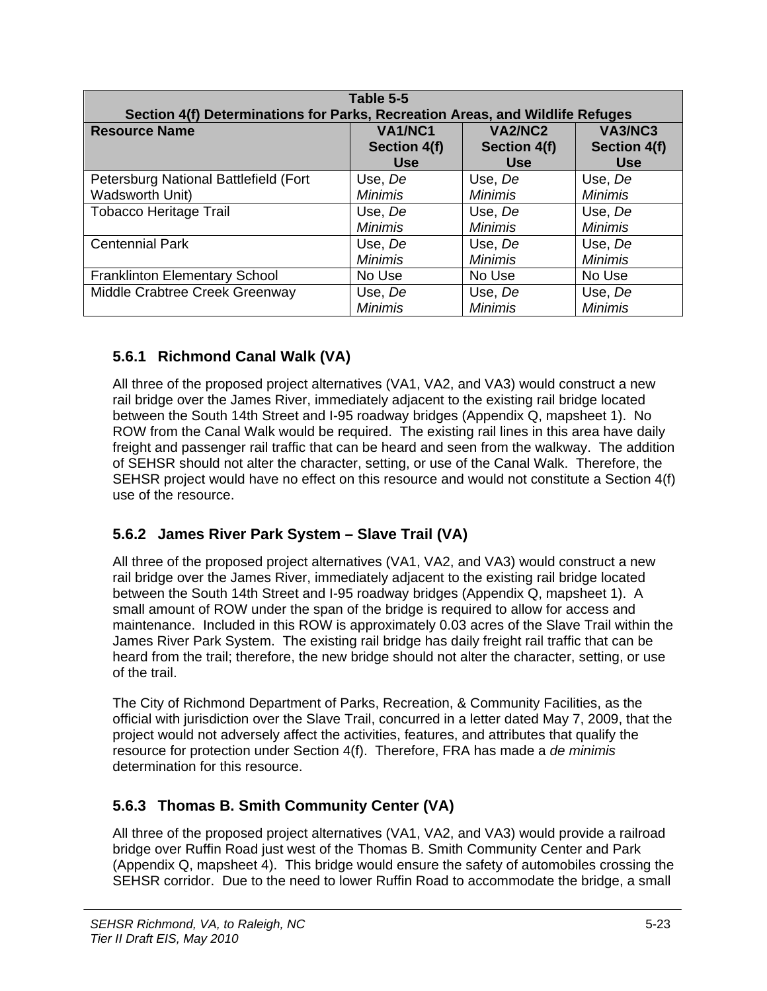| Table 5-5<br>Section 4(f) Determinations for Parks, Recreation Areas, and Wildlife Refuges |                     |                |                     |  |
|--------------------------------------------------------------------------------------------|---------------------|----------------|---------------------|--|
| <b>Resource Name</b>                                                                       | VA1/NC1             | VA2/NC2        | VA3/NC3             |  |
|                                                                                            | <b>Section 4(f)</b> | Section 4(f)   | <b>Section 4(f)</b> |  |
|                                                                                            | <b>Use</b>          | <b>Use</b>     | <b>Use</b>          |  |
| Petersburg National Battlefield (Fort                                                      | Use, De             | Use, De        | Use, De             |  |
| <b>Wadsworth Unit)</b>                                                                     | <b>Minimis</b>      | <b>Minimis</b> | <b>Minimis</b>      |  |
| <b>Tobacco Heritage Trail</b>                                                              | Use, De             | Use, De        | Use, De             |  |
|                                                                                            | <b>Minimis</b>      | <b>Minimis</b> | <b>Minimis</b>      |  |
| <b>Centennial Park</b>                                                                     | Use, De             | Use, De        | Use, De             |  |
|                                                                                            | <b>Minimis</b>      | Minimis        | Minimis             |  |
| <b>Franklinton Elementary School</b>                                                       | No Use              | No Use         | No Use              |  |
| Middle Crabtree Creek Greenway                                                             | Use, De             | Use, De        | Use, De             |  |
|                                                                                            | <b>Minimis</b>      | <b>Minimis</b> | <b>Minimis</b>      |  |

#### **5.6.1 Richmond Canal Walk (VA)**

All three of the proposed project alternatives (VA1, VA2, and VA3) would construct a new rail bridge over the James River, immediately adjacent to the existing rail bridge located between the South 14th Street and I-95 roadway bridges (Appendix Q, mapsheet 1). No ROW from the Canal Walk would be required. The existing rail lines in this area have daily freight and passenger rail traffic that can be heard and seen from the walkway. The addition of SEHSR should not alter the character, setting, or use of the Canal Walk. Therefore, the SEHSR project would have no effect on this resource and would not constitute a Section 4(f) use of the resource.

#### **5.6.2 James River Park System – Slave Trail (VA)**

All three of the proposed project alternatives (VA1, VA2, and VA3) would construct a new rail bridge over the James River, immediately adjacent to the existing rail bridge located between the South 14th Street and I-95 roadway bridges (Appendix Q, mapsheet 1). A small amount of ROW under the span of the bridge is required to allow for access and maintenance. Included in this ROW is approximately 0.03 acres of the Slave Trail within the James River Park System. The existing rail bridge has daily freight rail traffic that can be heard from the trail; therefore, the new bridge should not alter the character, setting, or use of the trail.

The City of Richmond Department of Parks, Recreation, & Community Facilities, as the official with jurisdiction over the Slave Trail, concurred in a letter dated May 7, 2009, that the project would not adversely affect the activities, features, and attributes that qualify the resource for protection under Section 4(f). Therefore, FRA has made a *de minimis* determination for this resource.

#### **5.6.3 Thomas B. Smith Community Center (VA)**

All three of the proposed project alternatives (VA1, VA2, and VA3) would provide a railroad bridge over Ruffin Road just west of the Thomas B. Smith Community Center and Park (Appendix Q, mapsheet 4). This bridge would ensure the safety of automobiles crossing the SEHSR corridor. Due to the need to lower Ruffin Road to accommodate the bridge, a small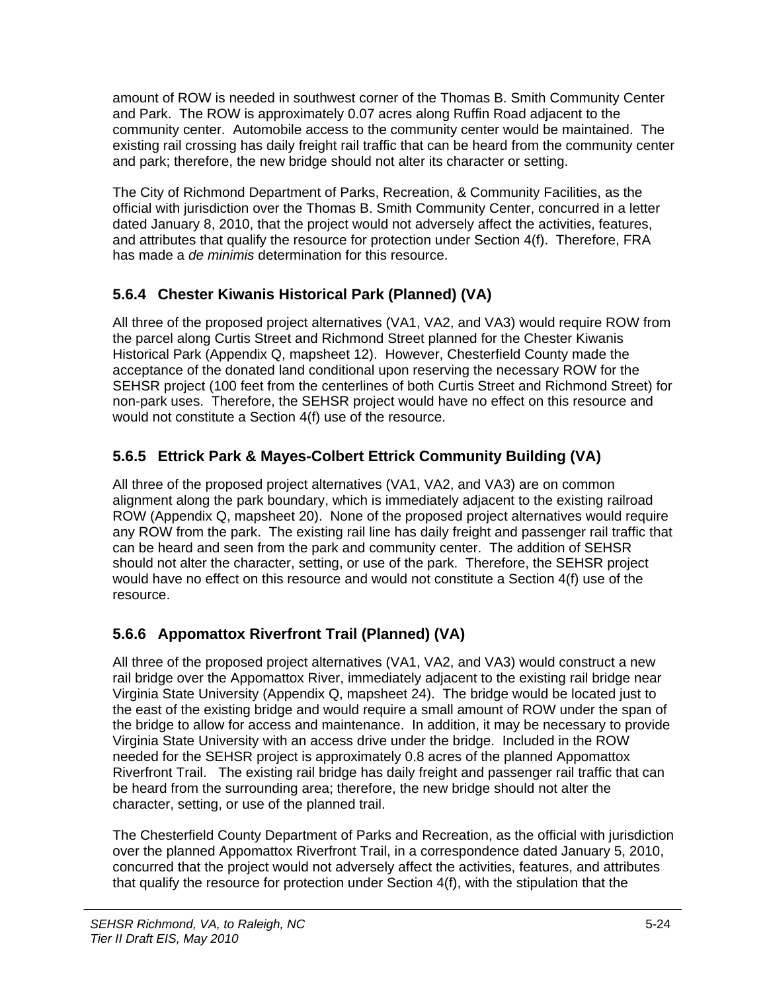amount of ROW is needed in southwest corner of the Thomas B. Smith Community Center and Park. The ROW is approximately 0.07 acres along Ruffin Road adjacent to the community center. Automobile access to the community center would be maintained. The existing rail crossing has daily freight rail traffic that can be heard from the community center and park; therefore, the new bridge should not alter its character or setting.

The City of Richmond Department of Parks, Recreation, & Community Facilities, as the official with jurisdiction over the Thomas B. Smith Community Center, concurred in a letter dated January 8, 2010, that the project would not adversely affect the activities, features, and attributes that qualify the resource for protection under Section 4(f). Therefore, FRA has made a *de minimis* determination for this resource.

## **5.6.4 Chester Kiwanis Historical Park (Planned) (VA)**

All three of the proposed project alternatives (VA1, VA2, and VA3) would require ROW from the parcel along Curtis Street and Richmond Street planned for the Chester Kiwanis Historical Park (Appendix Q, mapsheet 12). However, Chesterfield County made the acceptance of the donated land conditional upon reserving the necessary ROW for the SEHSR project (100 feet from the centerlines of both Curtis Street and Richmond Street) for non-park uses. Therefore, the SEHSR project would have no effect on this resource and would not constitute a Section 4(f) use of the resource.

## **5.6.5 Ettrick Park & Mayes-Colbert Ettrick Community Building (VA)**

All three of the proposed project alternatives (VA1, VA2, and VA3) are on common alignment along the park boundary, which is immediately adjacent to the existing railroad ROW (Appendix Q, mapsheet 20). None of the proposed project alternatives would require any ROW from the park. The existing rail line has daily freight and passenger rail traffic that can be heard and seen from the park and community center. The addition of SEHSR should not alter the character, setting, or use of the park. Therefore, the SEHSR project would have no effect on this resource and would not constitute a Section 4(f) use of the resource.

## **5.6.6 Appomattox Riverfront Trail (Planned) (VA)**

All three of the proposed project alternatives (VA1, VA2, and VA3) would construct a new rail bridge over the Appomattox River, immediately adjacent to the existing rail bridge near Virginia State University (Appendix Q, mapsheet 24). The bridge would be located just to the east of the existing bridge and would require a small amount of ROW under the span of the bridge to allow for access and maintenance. In addition, it may be necessary to provide Virginia State University with an access drive under the bridge. Included in the ROW needed for the SEHSR project is approximately 0.8 acres of the planned Appomattox Riverfront Trail. The existing rail bridge has daily freight and passenger rail traffic that can be heard from the surrounding area; therefore, the new bridge should not alter the character, setting, or use of the planned trail.

The Chesterfield County Department of Parks and Recreation, as the official with jurisdiction over the planned Appomattox Riverfront Trail, in a correspondence dated January 5, 2010, concurred that the project would not adversely affect the activities, features, and attributes that qualify the resource for protection under Section 4(f), with the stipulation that the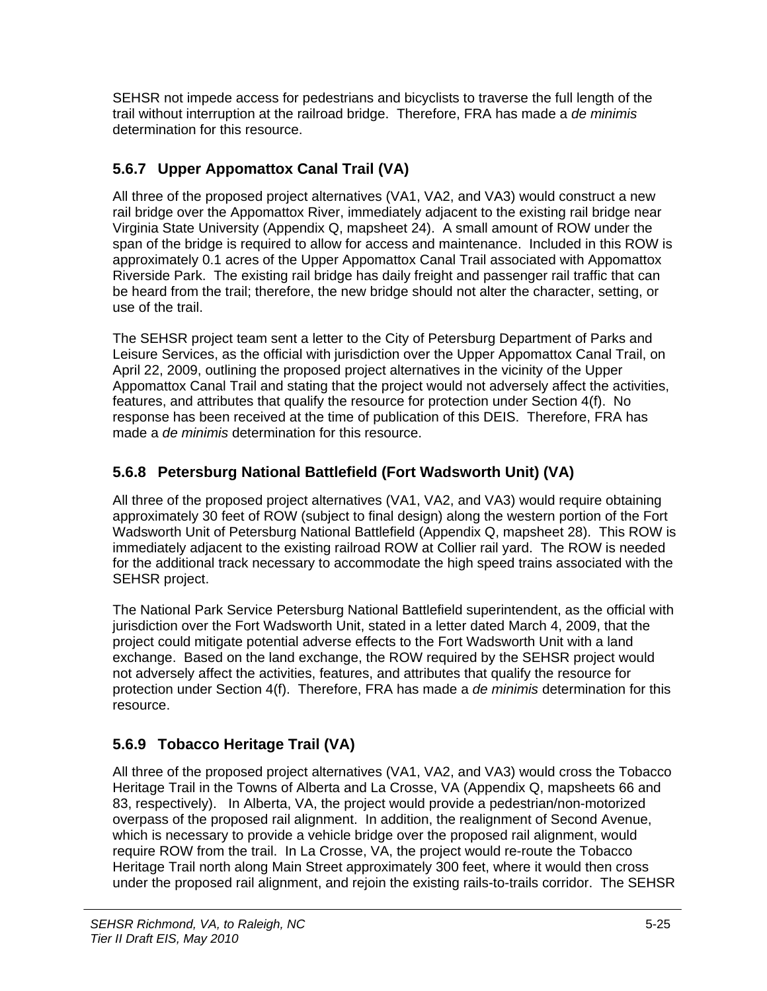SEHSR not impede access for pedestrians and bicyclists to traverse the full length of the trail without interruption at the railroad bridge. Therefore, FRA has made a *de minimis* determination for this resource.

## **5.6.7 Upper Appomattox Canal Trail (VA)**

All three of the proposed project alternatives (VA1, VA2, and VA3) would construct a new rail bridge over the Appomattox River, immediately adjacent to the existing rail bridge near Virginia State University (Appendix Q, mapsheet 24). A small amount of ROW under the span of the bridge is required to allow for access and maintenance. Included in this ROW is approximately 0.1 acres of the Upper Appomattox Canal Trail associated with Appomattox Riverside Park. The existing rail bridge has daily freight and passenger rail traffic that can be heard from the trail; therefore, the new bridge should not alter the character, setting, or use of the trail.

The SEHSR project team sent a letter to the City of Petersburg Department of Parks and Leisure Services, as the official with jurisdiction over the Upper Appomattox Canal Trail, on April 22, 2009, outlining the proposed project alternatives in the vicinity of the Upper Appomattox Canal Trail and stating that the project would not adversely affect the activities, features, and attributes that qualify the resource for protection under Section 4(f). No response has been received at the time of publication of this DEIS. Therefore, FRA has made a *de minimis* determination for this resource.

## **5.6.8 Petersburg National Battlefield (Fort Wadsworth Unit) (VA)**

All three of the proposed project alternatives (VA1, VA2, and VA3) would require obtaining approximately 30 feet of ROW (subject to final design) along the western portion of the Fort Wadsworth Unit of Petersburg National Battlefield (Appendix Q, mapsheet 28). This ROW is immediately adjacent to the existing railroad ROW at Collier rail yard. The ROW is needed for the additional track necessary to accommodate the high speed trains associated with the SEHSR project.

The National Park Service Petersburg National Battlefield superintendent, as the official with jurisdiction over the Fort Wadsworth Unit, stated in a letter dated March 4, 2009, that the project could mitigate potential adverse effects to the Fort Wadsworth Unit with a land exchange. Based on the land exchange, the ROW required by the SEHSR project would not adversely affect the activities, features, and attributes that qualify the resource for protection under Section 4(f). Therefore, FRA has made a *de minimis* determination for this resource.

## **5.6.9 Tobacco Heritage Trail (VA)**

All three of the proposed project alternatives (VA1, VA2, and VA3) would cross the Tobacco Heritage Trail in the Towns of Alberta and La Crosse, VA (Appendix Q, mapsheets 66 and 83, respectively). In Alberta, VA, the project would provide a pedestrian/non-motorized overpass of the proposed rail alignment. In addition, the realignment of Second Avenue, which is necessary to provide a vehicle bridge over the proposed rail alignment, would require ROW from the trail. In La Crosse, VA, the project would re-route the Tobacco Heritage Trail north along Main Street approximately 300 feet, where it would then cross under the proposed rail alignment, and rejoin the existing rails-to-trails corridor. The SEHSR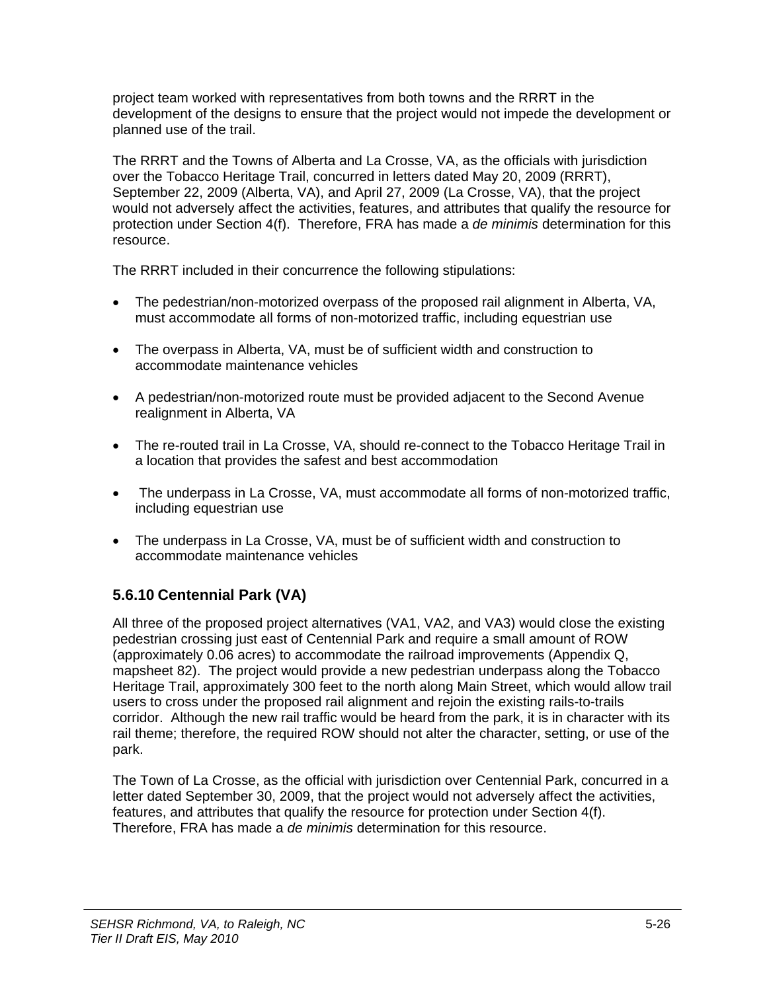project team worked with representatives from both towns and the RRRT in the development of the designs to ensure that the project would not impede the development or planned use of the trail.

The RRRT and the Towns of Alberta and La Crosse, VA, as the officials with jurisdiction over the Tobacco Heritage Trail, concurred in letters dated May 20, 2009 (RRRT), September 22, 2009 (Alberta, VA), and April 27, 2009 (La Crosse, VA), that the project would not adversely affect the activities, features, and attributes that qualify the resource for protection under Section 4(f). Therefore, FRA has made a *de minimis* determination for this resource.

The RRRT included in their concurrence the following stipulations:

- The pedestrian/non-motorized overpass of the proposed rail alignment in Alberta, VA, must accommodate all forms of non-motorized traffic, including equestrian use
- The overpass in Alberta, VA, must be of sufficient width and construction to accommodate maintenance vehicles
- A pedestrian/non-motorized route must be provided adjacent to the Second Avenue realignment in Alberta, VA
- The re-routed trail in La Crosse, VA, should re-connect to the Tobacco Heritage Trail in a location that provides the safest and best accommodation
- The underpass in La Crosse, VA, must accommodate all forms of non-motorized traffic, including equestrian use
- The underpass in La Crosse, VA, must be of sufficient width and construction to accommodate maintenance vehicles

## **5.6.10 Centennial Park (VA)**

All three of the proposed project alternatives (VA1, VA2, and VA3) would close the existing pedestrian crossing just east of Centennial Park and require a small amount of ROW (approximately 0.06 acres) to accommodate the railroad improvements (Appendix Q, mapsheet 82). The project would provide a new pedestrian underpass along the Tobacco Heritage Trail, approximately 300 feet to the north along Main Street, which would allow trail users to cross under the proposed rail alignment and rejoin the existing rails-to-trails corridor. Although the new rail traffic would be heard from the park, it is in character with its rail theme; therefore, the required ROW should not alter the character, setting, or use of the park.

The Town of La Crosse, as the official with jurisdiction over Centennial Park, concurred in a letter dated September 30, 2009, that the project would not adversely affect the activities, features, and attributes that qualify the resource for protection under Section 4(f). Therefore, FRA has made a *de minimis* determination for this resource.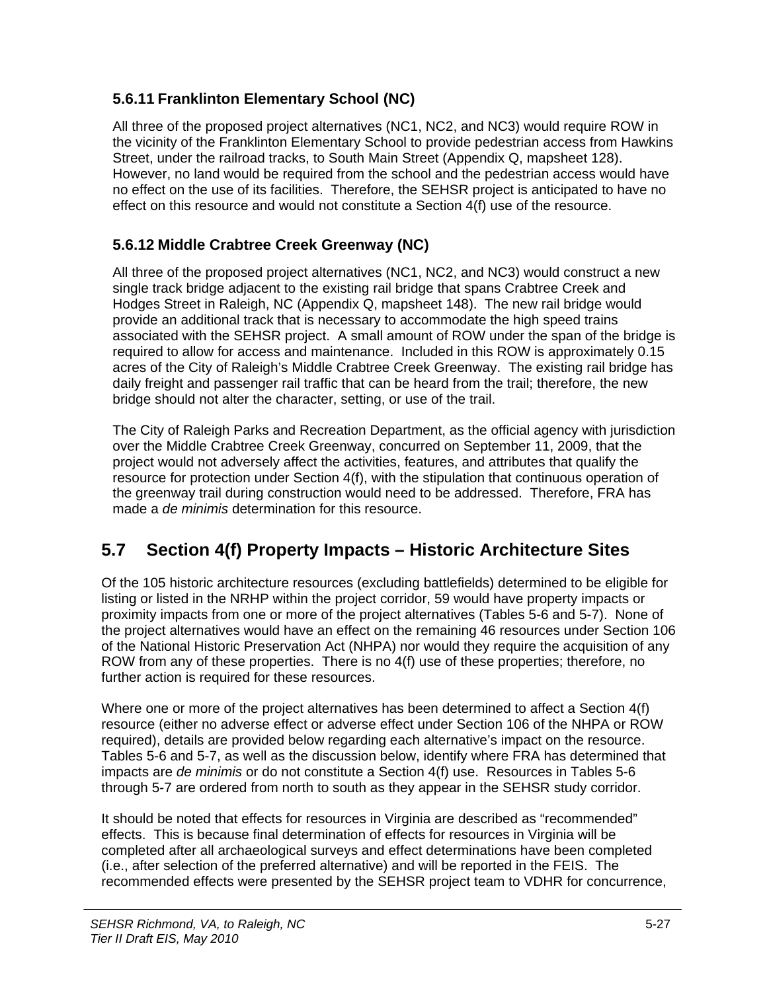#### **5.6.11 Franklinton Elementary School (NC)**

All three of the proposed project alternatives (NC1, NC2, and NC3) would require ROW in the vicinity of the Franklinton Elementary School to provide pedestrian access from Hawkins Street, under the railroad tracks, to South Main Street (Appendix Q, mapsheet 128). However, no land would be required from the school and the pedestrian access would have no effect on the use of its facilities. Therefore, the SEHSR project is anticipated to have no effect on this resource and would not constitute a Section 4(f) use of the resource.

#### **5.6.12 Middle Crabtree Creek Greenway (NC)**

All three of the proposed project alternatives (NC1, NC2, and NC3) would construct a new single track bridge adjacent to the existing rail bridge that spans Crabtree Creek and Hodges Street in Raleigh, NC (Appendix Q, mapsheet 148). The new rail bridge would provide an additional track that is necessary to accommodate the high speed trains associated with the SEHSR project. A small amount of ROW under the span of the bridge is required to allow for access and maintenance. Included in this ROW is approximately 0.15 acres of the City of Raleigh's Middle Crabtree Creek Greenway. The existing rail bridge has daily freight and passenger rail traffic that can be heard from the trail; therefore, the new bridge should not alter the character, setting, or use of the trail.

The City of Raleigh Parks and Recreation Department, as the official agency with jurisdiction over the Middle Crabtree Creek Greenway, concurred on September 11, 2009, that the project would not adversely affect the activities, features, and attributes that qualify the resource for protection under Section 4(f), with the stipulation that continuous operation of the greenway trail during construction would need to be addressed. Therefore, FRA has made a *de minimis* determination for this resource.

# **5.7 Section 4(f) Property Impacts – Historic Architecture Sites**

Of the 105 historic architecture resources (excluding battlefields) determined to be eligible for listing or listed in the NRHP within the project corridor, 59 would have property impacts or proximity impacts from one or more of the project alternatives (Tables 5-6 and 5-7). None of the project alternatives would have an effect on the remaining 46 resources under Section 106 of the National Historic Preservation Act (NHPA) nor would they require the acquisition of any ROW from any of these properties. There is no 4(f) use of these properties; therefore, no further action is required for these resources.

Where one or more of the project alternatives has been determined to affect a Section 4(f) resource (either no adverse effect or adverse effect under Section 106 of the NHPA or ROW required), details are provided below regarding each alternative's impact on the resource. Tables 5-6 and 5-7, as well as the discussion below, identify where FRA has determined that impacts are *de minimis* or do not constitute a Section 4(f) use. Resources in Tables 5-6 through 5-7 are ordered from north to south as they appear in the SEHSR study corridor.

It should be noted that effects for resources in Virginia are described as "recommended" effects. This is because final determination of effects for resources in Virginia will be completed after all archaeological surveys and effect determinations have been completed (i.e., after selection of the preferred alternative) and will be reported in the FEIS. The recommended effects were presented by the SEHSR project team to VDHR for concurrence,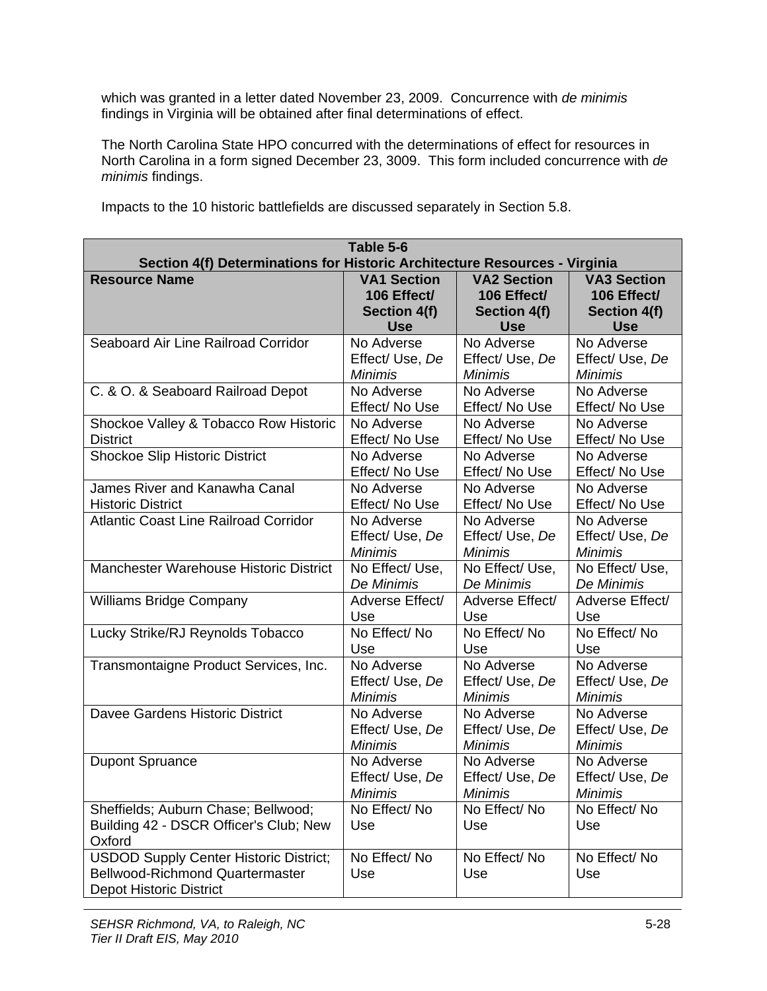which was granted in a letter dated November 23, 2009. Concurrence with *de minimis* findings in Virginia will be obtained after final determinations of effect.

The North Carolina State HPO concurred with the determinations of effect for resources in North Carolina in a form signed December 23, 3009. This form included concurrence with *de minimis* findings.

| Table 5-6<br>Section 4(f) Determinations for Historic Architecture Resources - Virginia                                   |                     |                     |                     |  |
|---------------------------------------------------------------------------------------------------------------------------|---------------------|---------------------|---------------------|--|
| <b>Resource Name</b>                                                                                                      | <b>VA1 Section</b>  | <b>VA2 Section</b>  | <b>VA3 Section</b>  |  |
|                                                                                                                           | 106 Effect/         | 106 Effect/         | 106 Effect/         |  |
|                                                                                                                           | <b>Section 4(f)</b> | Section 4(f)        | Section 4(f)        |  |
|                                                                                                                           | <b>Use</b>          | <b>Use</b>          | <b>Use</b>          |  |
| Seaboard Air Line Railroad Corridor                                                                                       | No Adverse          | No Adverse          | No Adverse          |  |
|                                                                                                                           | Effect/Use, De      | Effect/Use, De      | Effect/ Use, De     |  |
|                                                                                                                           | <b>Minimis</b>      | <b>Minimis</b>      | <b>Minimis</b>      |  |
| C. & O. & Seaboard Railroad Depot                                                                                         | No Adverse          | No Adverse          | No Adverse          |  |
|                                                                                                                           | Effect/ No Use      | Effect/ No Use      | Effect/ No Use      |  |
| Shockoe Valley & Tobacco Row Historic                                                                                     | No Adverse          | No Adverse          | No Adverse          |  |
| <b>District</b>                                                                                                           | Effect/ No Use      | Effect/ No Use      | Effect/ No Use      |  |
| <b>Shockoe Slip Historic District</b>                                                                                     | No Adverse          | No Adverse          | No Adverse          |  |
|                                                                                                                           | Effect/ No Use      | Effect/ No Use      | Effect/No Use       |  |
| James River and Kanawha Canal                                                                                             | No Adverse          | No Adverse          | No Adverse          |  |
| <b>Historic District</b>                                                                                                  | Effect/ No Use      | Effect/ No Use      | Effect/ No Use      |  |
| <b>Atlantic Coast Line Railroad Corridor</b>                                                                              | No Adverse          | No Adverse          | No Adverse          |  |
|                                                                                                                           | Effect/ Use, De     | Effect/ Use, De     | Effect/ Use, De     |  |
|                                                                                                                           | <b>Minimis</b>      | <b>Minimis</b>      | <b>Minimis</b>      |  |
| Manchester Warehouse Historic District                                                                                    | No Effect/ Use,     | No Effect/ Use,     | No Effect/ Use,     |  |
|                                                                                                                           | De Minimis          | De Minimis          | De Minimis          |  |
| <b>Williams Bridge Company</b>                                                                                            | Adverse Effect/     | Adverse Effect/     | Adverse Effect/     |  |
|                                                                                                                           | Use                 | Use                 | Use                 |  |
| Lucky Strike/RJ Reynolds Tobacco                                                                                          | No Effect/No        | No Effect/No        | No Effect/No        |  |
|                                                                                                                           | Use                 | Use                 | Use                 |  |
| Transmontaigne Product Services, Inc.                                                                                     | No Adverse          | No Adverse          | No Adverse          |  |
|                                                                                                                           | Effect/Use, De      | Effect/ Use, De     | Effect/ Use, De     |  |
|                                                                                                                           | <b>Minimis</b>      | <b>Minimis</b>      | <b>Minimis</b>      |  |
| Davee Gardens Historic District                                                                                           | No Adverse          | No Adverse          | No Adverse          |  |
|                                                                                                                           | Effect/Use, De      | Effect/ Use, De     | Effect/Use, De      |  |
|                                                                                                                           | <b>Minimis</b>      | <b>Minimis</b>      | <b>Minimis</b>      |  |
| <b>Dupont Spruance</b>                                                                                                    | No Adverse          | No Adverse          | No Adverse          |  |
|                                                                                                                           | Effect/ Use, De     | Effect/ Use, De     | Effect/ Use, De     |  |
|                                                                                                                           | <b>Minimis</b>      | <b>Minimis</b>      | <b>Minimis</b>      |  |
| Sheffields; Auburn Chase; Bellwood;<br>Building 42 - DSCR Officer's Club; New<br>Oxford                                   | No Effect/No<br>Use | No Effect/No<br>Use | No Effect/No<br>Use |  |
| <b>USDOD Supply Center Historic District;</b><br><b>Bellwood-Richmond Quartermaster</b><br><b>Depot Historic District</b> | No Effect/No<br>Use | No Effect/No<br>Use | No Effect/No<br>Use |  |

Impacts to the 10 historic battlefields are discussed separately in Section 5.8.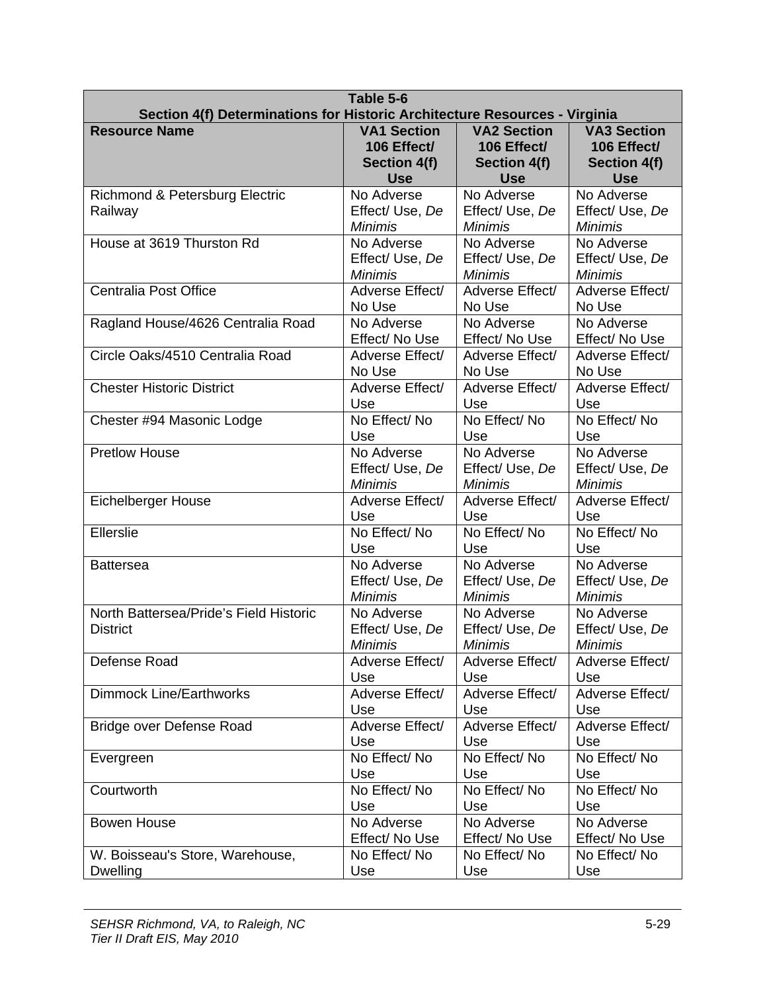| Table 5-6<br>Section 4(f) Determinations for Historic Architecture Resources - Virginia |                                                 |                                                 |                                                |
|-----------------------------------------------------------------------------------------|-------------------------------------------------|-------------------------------------------------|------------------------------------------------|
| <b>Resource Name</b>                                                                    | <b>VA1 Section</b>                              | <b>VA2 Section</b>                              | <b>VA3 Section</b>                             |
|                                                                                         | 106 Effect/                                     | 106 Effect/                                     | 106 Effect/                                    |
|                                                                                         | Section 4(f)                                    | Section 4(f)                                    | Section 4(f)                                   |
|                                                                                         | <b>Use</b>                                      | <b>Use</b>                                      | <b>Use</b>                                     |
| <b>Richmond &amp; Petersburg Electric</b><br>Railway                                    | No Adverse<br>Effect/ Use, De<br><b>Minimis</b> | No Adverse<br>Effect/Use, De<br><b>Minimis</b>  | No Adverse<br>Effect/Use, De<br><b>Minimis</b> |
| House at 3619 Thurston Rd                                                               | No Adverse                                      | No Adverse                                      | No Adverse                                     |
|                                                                                         | Effect/Use, De                                  | Effect/Use, De                                  | Effect/Use, De                                 |
|                                                                                         | <b>Minimis</b>                                  | <b>Minimis</b>                                  | <b>Minimis</b>                                 |
| <b>Centralia Post Office</b>                                                            | Adverse Effect/                                 | Adverse Effect/                                 | Adverse Effect/                                |
|                                                                                         | No Use                                          | No Use                                          | No Use                                         |
| Ragland House/4626 Centralia Road                                                       | No Adverse                                      | No Adverse                                      | No Adverse                                     |
|                                                                                         | Effect/ No Use                                  | Effect/ No Use                                  | Effect/ No Use                                 |
| Circle Oaks/4510 Centralia Road                                                         | Adverse Effect/                                 | Adverse Effect/                                 | Adverse Effect/                                |
|                                                                                         | No Use                                          | No Use                                          | No Use                                         |
| <b>Chester Historic District</b>                                                        | Adverse Effect/                                 | Adverse Effect/                                 | Adverse Effect/                                |
|                                                                                         | Use                                             | Use                                             | Use                                            |
| Chester #94 Masonic Lodge                                                               | No Effect/No                                    | No Effect/No                                    | No Effect/No                                   |
|                                                                                         | Use                                             | Use                                             | Use                                            |
| <b>Pretlow House</b>                                                                    | No Adverse                                      | No Adverse                                      | No Adverse                                     |
|                                                                                         | Effect/Use, De                                  | Effect/Use, De                                  | Effect/Use, De                                 |
|                                                                                         | <b>Minimis</b>                                  | <b>Minimis</b>                                  | <b>Minimis</b>                                 |
| <b>Eichelberger House</b>                                                               | Adverse Effect/                                 | Adverse Effect/                                 | Adverse Effect/                                |
|                                                                                         | Use                                             | Use                                             | Use                                            |
| Ellerslie                                                                               | No Effect/No                                    | No Effect/No                                    | No Effect/No                                   |
|                                                                                         | Use                                             | Use                                             | Use                                            |
| <b>Battersea</b>                                                                        | No Adverse                                      | No Adverse                                      | No Adverse                                     |
|                                                                                         | Effect/Use, De                                  | Effect/Use, De                                  | Effect/ Use, De                                |
|                                                                                         | <b>Minimis</b>                                  | <b>Minimis</b>                                  | <b>Minimis</b>                                 |
| North Battersea/Pride's Field Historic<br><b>District</b>                               | No Adverse<br>Effect/Use, De<br>Minimis         | No Adverse<br>Effect/ Use, De<br><b>Minimis</b> | No Adverse<br>Effect/Use, De<br><b>Minimis</b> |
| Defense Road                                                                            | Adverse Effect/                                 | Adverse Effect/                                 | Adverse Effect/                                |
|                                                                                         | Use                                             | Use                                             | Use                                            |
| <b>Dimmock Line/Earthworks</b>                                                          | Adverse Effect/                                 | Adverse Effect/                                 | Adverse Effect/                                |
|                                                                                         | Use                                             | Use                                             | Use                                            |
| Bridge over Defense Road                                                                | Adverse Effect/                                 | Adverse Effect/                                 | Adverse Effect/                                |
|                                                                                         | Use                                             | Use                                             | Use                                            |
| Evergreen                                                                               | No Effect/No                                    | No Effect/No                                    | No Effect/No                                   |
|                                                                                         | Use                                             | Use                                             | Use                                            |
| Courtworth                                                                              | No Effect/No                                    | No Effect/No                                    | No Effect/No                                   |
|                                                                                         | Use                                             | Use                                             | Use                                            |
| <b>Bowen House</b>                                                                      | No Adverse                                      | No Adverse                                      | No Adverse                                     |
|                                                                                         | Effect/ No Use                                  | Effect/ No Use                                  | Effect/ No Use                                 |
| W. Boisseau's Store, Warehouse,                                                         | No Effect/No                                    | No Effect/No                                    | No Effect/No                                   |
| Dwelling                                                                                | Use                                             | Use                                             | Use                                            |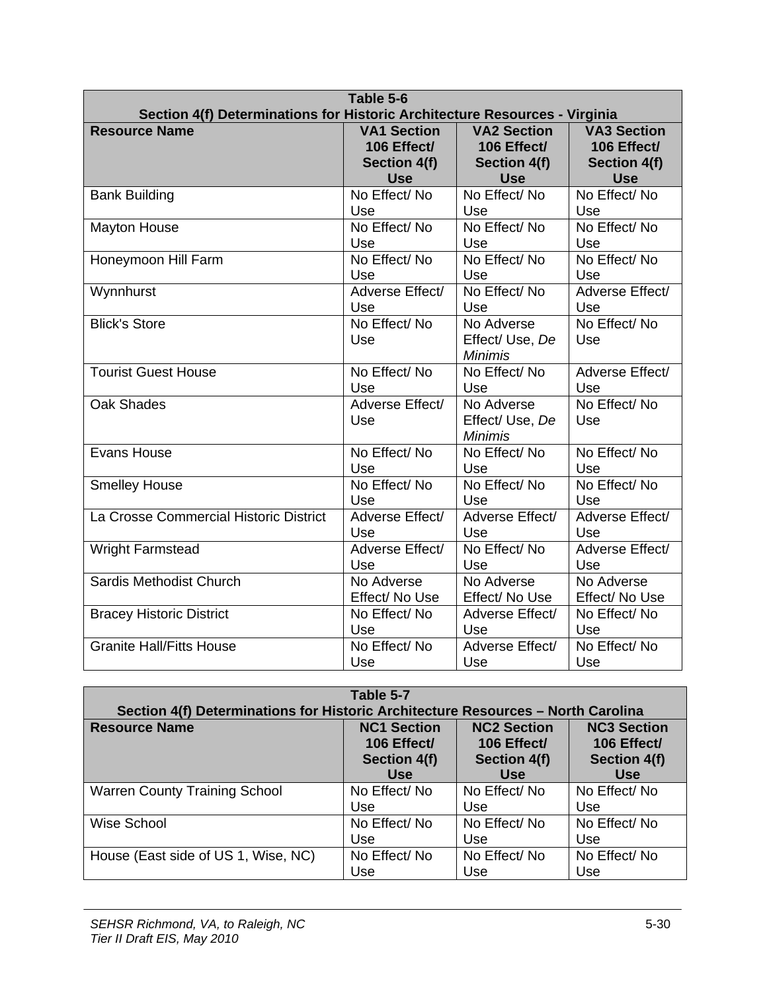| Table 5-6<br>Section 4(f) Determinations for Historic Architecture Resources - Virginia |                    |                    |                    |
|-----------------------------------------------------------------------------------------|--------------------|--------------------|--------------------|
| <b>Resource Name</b>                                                                    | <b>VA1 Section</b> | <b>VA2 Section</b> | <b>VA3 Section</b> |
|                                                                                         | 106 Effect/        | 106 Effect/        | 106 Effect/        |
|                                                                                         | Section 4(f)       | Section 4(f)       | Section 4(f)       |
|                                                                                         | <b>Use</b>         | <b>Use</b>         | <b>Use</b>         |
| <b>Bank Building</b>                                                                    | No Effect/No       | No Effect/No       | No Effect/No       |
|                                                                                         | Use                | Use                | Use                |
| <b>Mayton House</b>                                                                     | No Effect/No       | No Effect/No       | No Effect/No       |
|                                                                                         | Use                | Use                | Use                |
| Honeymoon Hill Farm                                                                     | No Effect/No       | No Effect/No       | No Effect/No       |
|                                                                                         | Use                | Use                | Use                |
| Wynnhurst                                                                               | Adverse Effect/    | No Effect/No       | Adverse Effect/    |
|                                                                                         | Use                | Use                | Use                |
| <b>Blick's Store</b>                                                                    | No Effect/No       | No Adverse         | No Effect/No       |
|                                                                                         | Use                | Effect/ Use, De    | Use                |
|                                                                                         |                    | <b>Minimis</b>     |                    |
| <b>Tourist Guest House</b>                                                              | No Effect/No       | No Effect/No       | Adverse Effect/    |
|                                                                                         | Use                | Use                | Use                |
| Oak Shades                                                                              | Adverse Effect/    | No Adverse         | No Effect/No       |
|                                                                                         | Use                | Effect/Use, De     | Use                |
|                                                                                         |                    | <b>Minimis</b>     |                    |
| Evans House                                                                             | No Effect/No       | No Effect/No       | No Effect/No       |
|                                                                                         | Use                | Use                | Use                |
| <b>Smelley House</b>                                                                    | No Effect/No       | No Effect/No       | No Effect/No       |
|                                                                                         | Use                | Use                | Use                |
| La Crosse Commercial Historic District                                                  | Adverse Effect/    | Adverse Effect/    | Adverse Effect/    |
|                                                                                         | Use                | Use                | Use                |
| <b>Wright Farmstead</b>                                                                 | Adverse Effect/    | No Effect/No       | Adverse Effect/    |
|                                                                                         | Use                | Use                | Use                |
| Sardis Methodist Church                                                                 | No Adverse         | No Adverse         | No Adverse         |
|                                                                                         | Effect/ No Use     | Effect/No Use      | Effect/ No Use     |
| <b>Bracey Historic District</b>                                                         | No Effect/No       | Adverse Effect/    | No Effect/No       |
|                                                                                         | Use                | Use                | Use                |
| <b>Granite Hall/Fitts House</b>                                                         | No Effect/No       | Adverse Effect/    | No Effect/No       |
|                                                                                         | Use                | Use                | Use                |

| Table 5-7                                                                        |                                                                 |                                                                        |                                                                        |  |
|----------------------------------------------------------------------------------|-----------------------------------------------------------------|------------------------------------------------------------------------|------------------------------------------------------------------------|--|
| Section 4(f) Determinations for Historic Architecture Resources - North Carolina |                                                                 |                                                                        |                                                                        |  |
| <b>Resource Name</b>                                                             | <b>NC1 Section</b><br>106 Effect/<br>Section 4(f)<br><b>Use</b> | <b>NC2 Section</b><br>106 Effect/<br><b>Section 4(f)</b><br><b>Use</b> | <b>NC3 Section</b><br>106 Effect/<br><b>Section 4(f)</b><br><b>Use</b> |  |
| <b>Warren County Training School</b>                                             | No Effect/No                                                    | No Effect/No                                                           | No Effect/No                                                           |  |
|                                                                                  | Use                                                             | Use                                                                    | Use                                                                    |  |
| Wise School                                                                      | No Effect/No                                                    | No Effect/No                                                           | No Effect/No                                                           |  |
|                                                                                  | Use                                                             | Use                                                                    | Use                                                                    |  |
| House (East side of US 1, Wise, NC)                                              | No Effect/No                                                    | No Effect/No                                                           | No Effect/No                                                           |  |
|                                                                                  | Use                                                             | Use                                                                    | Use                                                                    |  |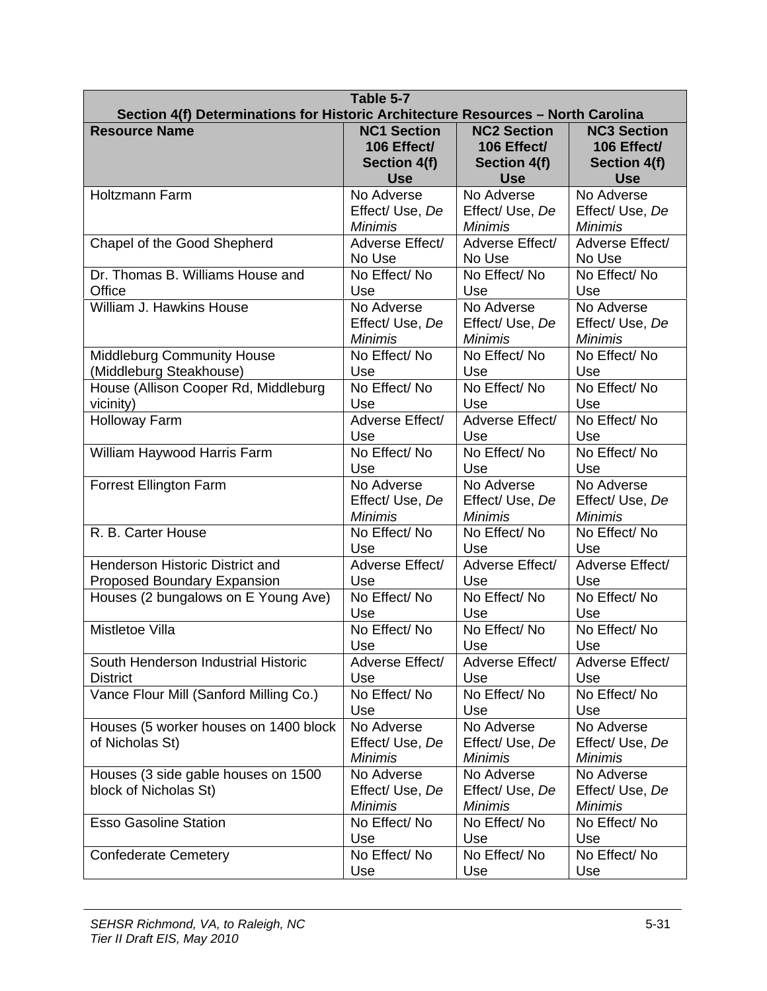| Table 5-7<br>Section 4(f) Determinations for Historic Architecture Resources - North Carolina |                                                 |                                                 |                                                 |
|-----------------------------------------------------------------------------------------------|-------------------------------------------------|-------------------------------------------------|-------------------------------------------------|
| <b>Resource Name</b>                                                                          | <b>NC1 Section</b>                              | <b>NC2 Section</b>                              | <b>NC3 Section</b>                              |
|                                                                                               | 106 Effect/                                     | 106 Effect/                                     | 106 Effect/                                     |
|                                                                                               | Section 4(f)                                    | <b>Section 4(f)</b>                             | Section 4(f)                                    |
|                                                                                               | <b>Use</b>                                      | <b>Use</b>                                      | <b>Use</b>                                      |
| <b>Holtzmann Farm</b>                                                                         | No Adverse                                      | No Adverse                                      | No Adverse                                      |
|                                                                                               | Effect/Use, De                                  | Effect/ Use, De                                 | Effect/ Use, De                                 |
|                                                                                               | <b>Minimis</b>                                  | <b>Minimis</b>                                  | <b>Minimis</b>                                  |
| Chapel of the Good Shepherd                                                                   | Adverse Effect/                                 | Adverse Effect/                                 | Adverse Effect/                                 |
|                                                                                               | No Use                                          | No Use                                          | No Use                                          |
| Dr. Thomas B. Williams House and                                                              | No Effect/No                                    | No Effect/No                                    | No Effect/No                                    |
| Office                                                                                        | Use                                             | Use                                             | Use                                             |
| William J. Hawkins House                                                                      | No Adverse                                      | No Adverse                                      | No Adverse                                      |
|                                                                                               | Effect/ Use, De                                 | Effect/ Use, De                                 | Effect/ Use, De                                 |
|                                                                                               | <b>Minimis</b>                                  | <b>Minimis</b>                                  | <b>Minimis</b>                                  |
| <b>Middleburg Community House</b>                                                             | No Effect/No                                    | No Effect/No                                    | No Effect/No                                    |
| (Middleburg Steakhouse)                                                                       | Use                                             | Use                                             | Use                                             |
| House (Allison Cooper Rd, Middleburg                                                          | No Effect/No                                    | No Effect/No                                    | No Effect/No                                    |
| vicinity)                                                                                     | Use                                             | Use                                             | Use                                             |
| <b>Holloway Farm</b>                                                                          | Adverse Effect/                                 | Adverse Effect/                                 | No Effect/No                                    |
|                                                                                               | Use                                             | Use                                             | Use                                             |
| William Haywood Harris Farm                                                                   | No Effect/No                                    | No Effect/No                                    | No Effect/No                                    |
|                                                                                               | Use                                             | Use                                             | Use                                             |
| <b>Forrest Ellington Farm</b>                                                                 | No Adverse                                      | No Adverse                                      | No Adverse                                      |
|                                                                                               | Effect/ Use, De                                 | Effect/ Use, De                                 | Effect/ Use, De                                 |
|                                                                                               | <b>Minimis</b>                                  | <b>Minimis</b>                                  | <b>Minimis</b>                                  |
| R. B. Carter House                                                                            | No Effect/No                                    | No Effect/No                                    | No Effect/No                                    |
|                                                                                               | Use                                             | Use                                             | Use                                             |
| <b>Henderson Historic District and</b>                                                        | Adverse Effect/                                 | Adverse Effect/                                 | Adverse Effect/                                 |
| Proposed Boundary Expansion                                                                   | Use                                             | Use                                             | Use                                             |
| Houses (2 bungalows on E Young Ave)                                                           | No Effect/No                                    | No Effect/No                                    | No Effect/No                                    |
|                                                                                               | Use                                             | Use                                             | Use                                             |
| Mistletoe Villa                                                                               | No Effect/No                                    | No Effect/No                                    | No Effect/No                                    |
|                                                                                               | Use                                             | Use                                             | Use                                             |
| South Henderson Industrial Historic                                                           | Adverse Effect/                                 | Adverse Effect/                                 | Adverse Effect/                                 |
| <b>District</b>                                                                               | Use                                             | Use                                             | Use                                             |
| Vance Flour Mill (Sanford Milling Co.)                                                        | No Effect/No                                    | No Effect/No                                    | No Effect/No                                    |
|                                                                                               | Use                                             | Use                                             | Use                                             |
| Houses (5 worker houses on 1400 block<br>of Nicholas St)                                      | No Adverse<br>Effect/ Use, De<br><b>Minimis</b> | No Adverse<br>Effect/ Use, De<br><b>Minimis</b> | No Adverse<br>Effect/ Use, De<br><b>Minimis</b> |
| Houses (3 side gable houses on 1500<br>block of Nicholas St)                                  | No Adverse<br>Effect/ Use, De<br><b>Minimis</b> | No Adverse<br>Effect/ Use, De<br><b>Minimis</b> | No Adverse<br>Effect/ Use, De<br><b>Minimis</b> |
| <b>Esso Gasoline Station</b>                                                                  | No Effect/No                                    | No Effect/No                                    | No Effect/No                                    |
|                                                                                               | Use                                             | Use                                             | Use                                             |
| <b>Confederate Cemetery</b>                                                                   | No Effect/No                                    | No Effect/No                                    | No Effect/No                                    |
|                                                                                               | Use                                             | Use                                             | Use                                             |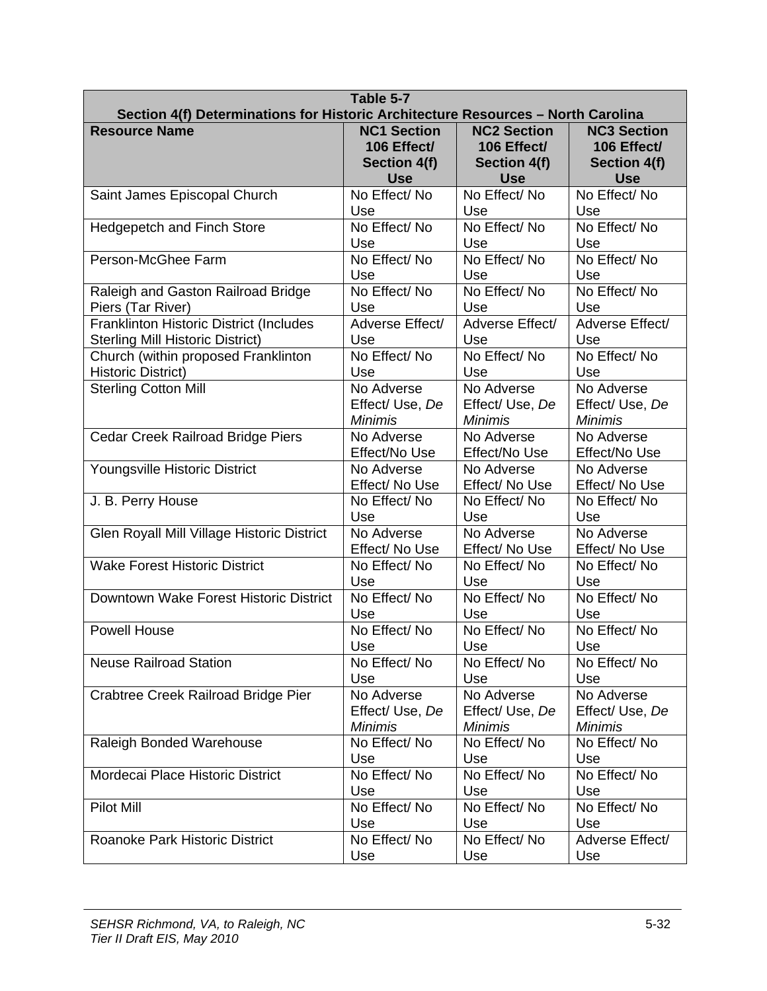| Table 5-7<br>Section 4(f) Determinations for Historic Architecture Resources - North Carolina |                    |                     |                    |  |
|-----------------------------------------------------------------------------------------------|--------------------|---------------------|--------------------|--|
| <b>Resource Name</b>                                                                          | <b>NC1 Section</b> | <b>NC2 Section</b>  | <b>NC3 Section</b> |  |
|                                                                                               | 106 Effect/        | 106 Effect/         | 106 Effect/        |  |
|                                                                                               | Section 4(f)       | <b>Section 4(f)</b> | Section 4(f)       |  |
| Saint James Episcopal Church                                                                  | <b>Use</b>         | <b>Use</b>          | <b>Use</b>         |  |
|                                                                                               | No Effect/No       | No Effect/No        | No Effect/No       |  |
| <b>Hedgepetch and Finch Store</b>                                                             | Use                | Use                 | Use                |  |
|                                                                                               | No Effect/No       | No Effect/No        | No Effect/No       |  |
|                                                                                               | Use                | Use                 | Use                |  |
| Person-McGhee Farm                                                                            | No Effect/No       | No Effect/No        | No Effect/No       |  |
|                                                                                               | Use                | Use                 | Use                |  |
| Raleigh and Gaston Railroad Bridge                                                            | No Effect/No       | No Effect/No        | No Effect/No       |  |
| Piers (Tar River)                                                                             | Use                | Use                 | Use                |  |
| <b>Franklinton Historic District (Includes</b>                                                | Adverse Effect/    | Adverse Effect/     | Adverse Effect/    |  |
| <b>Sterling Mill Historic District)</b>                                                       | Use                | Use                 | Use                |  |
| Church (within proposed Franklinton                                                           | No Effect/No       | No Effect/No        | No Effect/No       |  |
| <b>Historic District)</b>                                                                     | Use                | Use                 | Use                |  |
| <b>Sterling Cotton Mill</b>                                                                   | No Adverse         | No Adverse          | No Adverse         |  |
|                                                                                               | Effect/ Use, De    | Effect/ Use, De     | Effect/ Use, De    |  |
|                                                                                               | <b>Minimis</b>     | <b>Minimis</b>      | <b>Minimis</b>     |  |
| <b>Cedar Creek Railroad Bridge Piers</b>                                                      | No Adverse         | No Adverse          | No Adverse         |  |
|                                                                                               | Effect/No Use      | Effect/No Use       | Effect/No Use      |  |
| Youngsville Historic District                                                                 | No Adverse         | No Adverse          | No Adverse         |  |
|                                                                                               | Effect/ No Use     | Effect/ No Use      | Effect/ No Use     |  |
| J. B. Perry House                                                                             | No Effect/No       | No Effect/No        | No Effect/No       |  |
|                                                                                               | Use                | Use                 | Use                |  |
| Glen Royall Mill Village Historic District                                                    | No Adverse         | No Adverse          | No Adverse         |  |
|                                                                                               | Effect/ No Use     | Effect/ No Use      | Effect/ No Use     |  |
| <b>Wake Forest Historic District</b>                                                          | No Effect/No       | No Effect/No        | No Effect/No       |  |
|                                                                                               | Use                | Use                 | Use                |  |
| Downtown Wake Forest Historic District                                                        | No Effect/No       | No Effect/No        | No Effect/No       |  |
|                                                                                               | Use                | Use                 | Use                |  |
| <b>Powell House</b>                                                                           | No Effect/No       | No Effect/No        | No Effect/No       |  |
|                                                                                               | Use                | Use                 | Use                |  |
| <b>Neuse Railroad Station</b>                                                                 | No Effect/No       | No Effect/No        | No Effect/No       |  |
|                                                                                               | Use                | Use                 | Use                |  |
| Crabtree Creek Railroad Bridge Pier                                                           | No Adverse         | No Adverse          | No Adverse         |  |
|                                                                                               | Effect/ Use, De    | Effect/ Use, De     | Effect/ Use, De    |  |
|                                                                                               | <b>Minimis</b>     | <b>Minimis</b>      | <b>Minimis</b>     |  |
| Raleigh Bonded Warehouse                                                                      | No Effect/No       | No Effect/No        | No Effect/No       |  |
|                                                                                               | Use                | Use                 | Use                |  |
| Mordecai Place Historic District                                                              | No Effect/No       | No Effect/No        | No Effect/No       |  |
|                                                                                               | Use                | Use                 | Use                |  |
| <b>Pilot Mill</b>                                                                             | No Effect/No       | No Effect/No        | No Effect/No       |  |
|                                                                                               | Use                | Use                 | Use                |  |
| <b>Roanoke Park Historic District</b>                                                         | No Effect/No       | No Effect/No        | Adverse Effect/    |  |
|                                                                                               | Use                | Use                 | Use                |  |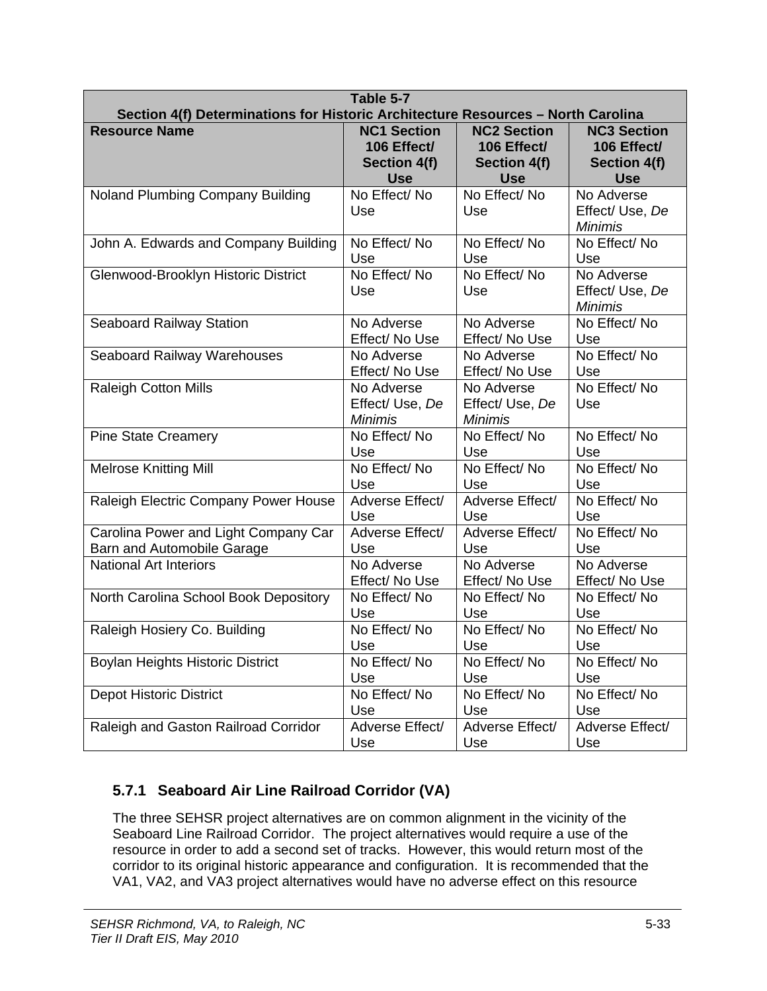| Table 5-7<br>Section 4(f) Determinations for Historic Architecture Resources - North Carolina |                                                 |                                                 |                                                 |  |
|-----------------------------------------------------------------------------------------------|-------------------------------------------------|-------------------------------------------------|-------------------------------------------------|--|
| <b>Resource Name</b>                                                                          | <b>NC1 Section</b>                              | <b>NC2 Section</b>                              | <b>NC3 Section</b>                              |  |
|                                                                                               | 106 Effect/                                     | 106 Effect/                                     | 106 Effect/                                     |  |
|                                                                                               | Section 4(f)                                    | <b>Section 4(f)</b>                             | <b>Section 4(f)</b>                             |  |
|                                                                                               | <b>Use</b>                                      | <b>Use</b>                                      | <b>Use</b>                                      |  |
| Noland Plumbing Company Building                                                              | No Effect/No<br>Use                             | No Effect/No<br>Use                             | No Adverse<br>Effect/ Use, De<br><b>Minimis</b> |  |
| John A. Edwards and Company Building                                                          | No Effect/No                                    | No Effect/No                                    | No Effect/No                                    |  |
|                                                                                               | Use                                             | Use                                             | Use                                             |  |
| Glenwood-Brooklyn Historic District                                                           | No Effect/No<br>Use                             | No Effect/No<br>Use                             | No Adverse<br>Effect/ Use, De<br><b>Minimis</b> |  |
| <b>Seaboard Railway Station</b>                                                               | No Adverse                                      | No Adverse                                      | No Effect/No                                    |  |
|                                                                                               | Effect/ No Use                                  | Effect/ No Use                                  | Use                                             |  |
| Seaboard Railway Warehouses                                                                   | No Adverse                                      | No Adverse                                      | No Effect/No                                    |  |
|                                                                                               | Effect/ No Use                                  | Effect/ No Use                                  | Use                                             |  |
| <b>Raleigh Cotton Mills</b>                                                                   | No Adverse<br>Effect/ Use, De<br><b>Minimis</b> | No Adverse<br>Effect/ Use, De<br><b>Minimis</b> | No Effect/No<br>Use                             |  |
| <b>Pine State Creamery</b>                                                                    | No Effect/No                                    | No Effect/No                                    | No Effect/No                                    |  |
|                                                                                               | Use                                             | Use                                             | Use                                             |  |
| <b>Melrose Knitting Mill</b>                                                                  | No Effect/No                                    | No Effect/No                                    | No Effect/No                                    |  |
|                                                                                               | Use                                             | Use                                             | Use                                             |  |
| Raleigh Electric Company Power House                                                          | Adverse Effect/                                 | Adverse Effect/                                 | No Effect/No                                    |  |
|                                                                                               | Use                                             | Use                                             | Use                                             |  |
| Carolina Power and Light Company Car                                                          | Adverse Effect/                                 | Adverse Effect/                                 | No Effect/No                                    |  |
| Barn and Automobile Garage                                                                    | Use                                             | Use                                             | Use                                             |  |
| <b>National Art Interiors</b>                                                                 | No Adverse                                      | No Adverse                                      | No Adverse                                      |  |
|                                                                                               | Effect/ No Use                                  | Effect/ No Use                                  | Effect/ No Use                                  |  |
| North Carolina School Book Depository                                                         | No Effect/No                                    | No Effect/No                                    | No Effect/No                                    |  |
|                                                                                               | Use                                             | Use                                             | Use                                             |  |
| Raleigh Hosiery Co. Building                                                                  | No Effect/No                                    | No Effect/No                                    | No Effect/No                                    |  |
|                                                                                               | Use                                             | Use                                             | Use                                             |  |
| Boylan Heights Historic District                                                              | No Effect/No                                    | No Effect/No                                    | No Effect/No                                    |  |
|                                                                                               | Use                                             | Use                                             | Use                                             |  |
| <b>Depot Historic District</b>                                                                | No Effect/No                                    | No Effect/No                                    | No Effect/No                                    |  |
|                                                                                               | Use                                             | Use                                             | Use                                             |  |
| Raleigh and Gaston Railroad Corridor                                                          | Adverse Effect/                                 | Adverse Effect/                                 | Adverse Effect/                                 |  |
|                                                                                               | Use                                             | Use                                             | Use                                             |  |

## **5.7.1 Seaboard Air Line Railroad Corridor (VA)**

The three SEHSR project alternatives are on common alignment in the vicinity of the Seaboard Line Railroad Corridor. The project alternatives would require a use of the resource in order to add a second set of tracks. However, this would return most of the corridor to its original historic appearance and configuration. It is recommended that the VA1, VA2, and VA3 project alternatives would have no adverse effect on this resource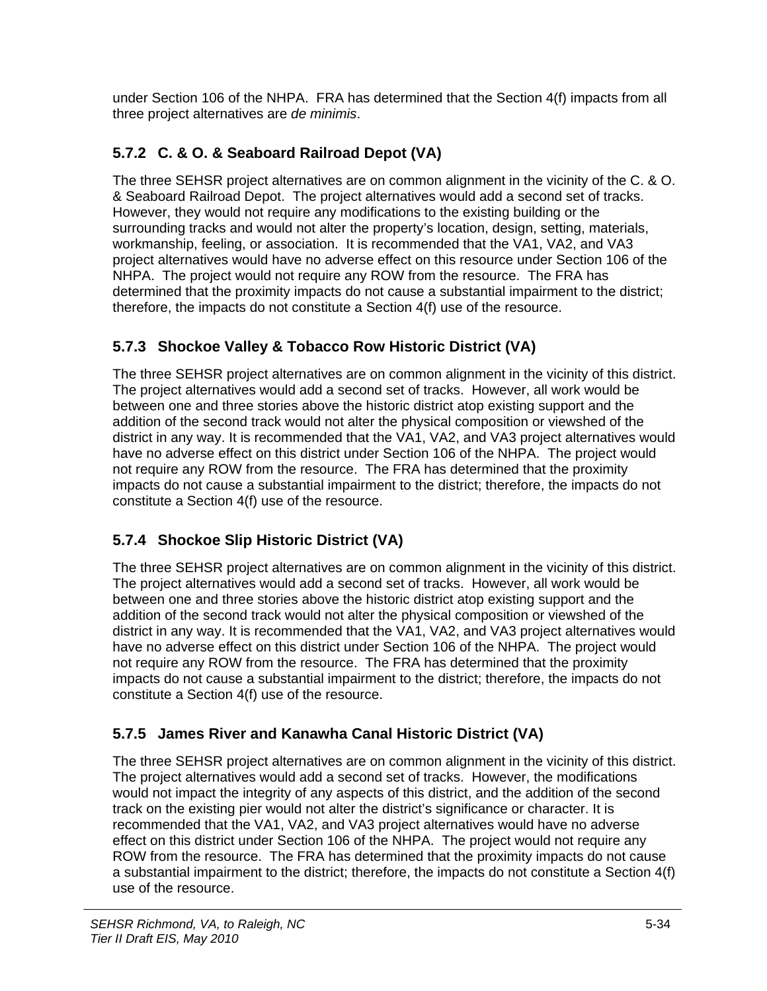under Section 106 of the NHPA. FRA has determined that the Section 4(f) impacts from all three project alternatives are *de minimis*.

# **5.7.2 C. & O. & Seaboard Railroad Depot (VA)**

The three SEHSR project alternatives are on common alignment in the vicinity of the C. & O. & Seaboard Railroad Depot. The project alternatives would add a second set of tracks. However, they would not require any modifications to the existing building or the surrounding tracks and would not alter the property's location, design, setting, materials, workmanship, feeling, or association. It is recommended that the VA1, VA2, and VA3 project alternatives would have no adverse effect on this resource under Section 106 of the NHPA. The project would not require any ROW from the resource. The FRA has determined that the proximity impacts do not cause a substantial impairment to the district; therefore, the impacts do not constitute a Section 4(f) use of the resource.

## **5.7.3 Shockoe Valley & Tobacco Row Historic District (VA)**

The three SEHSR project alternatives are on common alignment in the vicinity of this district. The project alternatives would add a second set of tracks. However, all work would be between one and three stories above the historic district atop existing support and the addition of the second track would not alter the physical composition or viewshed of the district in any way. It is recommended that the VA1, VA2, and VA3 project alternatives would have no adverse effect on this district under Section 106 of the NHPA. The project would not require any ROW from the resource. The FRA has determined that the proximity impacts do not cause a substantial impairment to the district; therefore, the impacts do not constitute a Section 4(f) use of the resource.

## **5.7.4 Shockoe Slip Historic District (VA)**

The three SEHSR project alternatives are on common alignment in the vicinity of this district. The project alternatives would add a second set of tracks. However, all work would be between one and three stories above the historic district atop existing support and the addition of the second track would not alter the physical composition or viewshed of the district in any way. It is recommended that the VA1, VA2, and VA3 project alternatives would have no adverse effect on this district under Section 106 of the NHPA. The project would not require any ROW from the resource. The FRA has determined that the proximity impacts do not cause a substantial impairment to the district; therefore, the impacts do not constitute a Section 4(f) use of the resource.

## **5.7.5 James River and Kanawha Canal Historic District (VA)**

The three SEHSR project alternatives are on common alignment in the vicinity of this district. The project alternatives would add a second set of tracks. However, the modifications would not impact the integrity of any aspects of this district, and the addition of the second track on the existing pier would not alter the district's significance or character. It is recommended that the VA1, VA2, and VA3 project alternatives would have no adverse effect on this district under Section 106 of the NHPA. The project would not require any ROW from the resource. The FRA has determined that the proximity impacts do not cause a substantial impairment to the district; therefore, the impacts do not constitute a Section 4(f) use of the resource.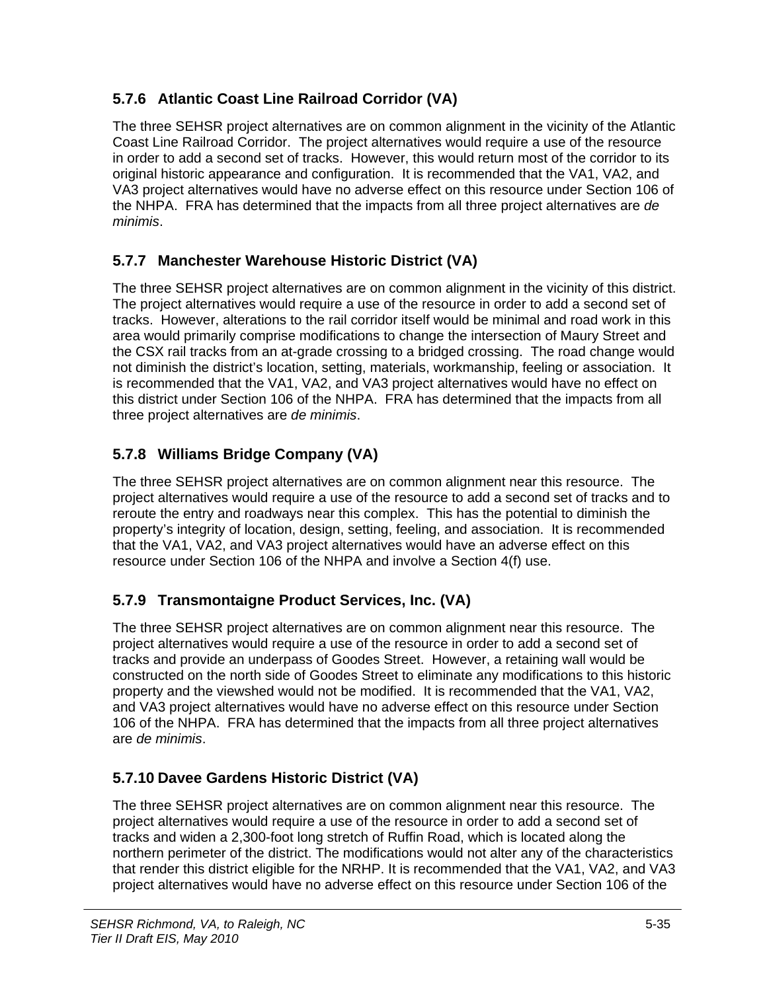## **5.7.6 Atlantic Coast Line Railroad Corridor (VA)**

The three SEHSR project alternatives are on common alignment in the vicinity of the Atlantic Coast Line Railroad Corridor. The project alternatives would require a use of the resource in order to add a second set of tracks. However, this would return most of the corridor to its original historic appearance and configuration. It is recommended that the VA1, VA2, and VA3 project alternatives would have no adverse effect on this resource under Section 106 of the NHPA. FRA has determined that the impacts from all three project alternatives are *de minimis*.

## **5.7.7 Manchester Warehouse Historic District (VA)**

The three SEHSR project alternatives are on common alignment in the vicinity of this district. The project alternatives would require a use of the resource in order to add a second set of tracks. However, alterations to the rail corridor itself would be minimal and road work in this area would primarily comprise modifications to change the intersection of Maury Street and the CSX rail tracks from an at-grade crossing to a bridged crossing. The road change would not diminish the district's location, setting, materials, workmanship, feeling or association. It is recommended that the VA1, VA2, and VA3 project alternatives would have no effect on this district under Section 106 of the NHPA. FRA has determined that the impacts from all three project alternatives are *de minimis*.

## **5.7.8 Williams Bridge Company (VA)**

The three SEHSR project alternatives are on common alignment near this resource. The project alternatives would require a use of the resource to add a second set of tracks and to reroute the entry and roadways near this complex. This has the potential to diminish the property's integrity of location, design, setting, feeling, and association. It is recommended that the VA1, VA2, and VA3 project alternatives would have an adverse effect on this resource under Section 106 of the NHPA and involve a Section 4(f) use.

## **5.7.9 Transmontaigne Product Services, Inc. (VA)**

The three SEHSR project alternatives are on common alignment near this resource. The project alternatives would require a use of the resource in order to add a second set of tracks and provide an underpass of Goodes Street. However, a retaining wall would be constructed on the north side of Goodes Street to eliminate any modifications to this historic property and the viewshed would not be modified. It is recommended that the VA1, VA2, and VA3 project alternatives would have no adverse effect on this resource under Section 106 of the NHPA. FRA has determined that the impacts from all three project alternatives are *de minimis*.

## **5.7.10 Davee Gardens Historic District (VA)**

The three SEHSR project alternatives are on common alignment near this resource. The project alternatives would require a use of the resource in order to add a second set of tracks and widen a 2,300-foot long stretch of Ruffin Road, which is located along the northern perimeter of the district. The modifications would not alter any of the characteristics that render this district eligible for the NRHP. It is recommended that the VA1, VA2, and VA3 project alternatives would have no adverse effect on this resource under Section 106 of the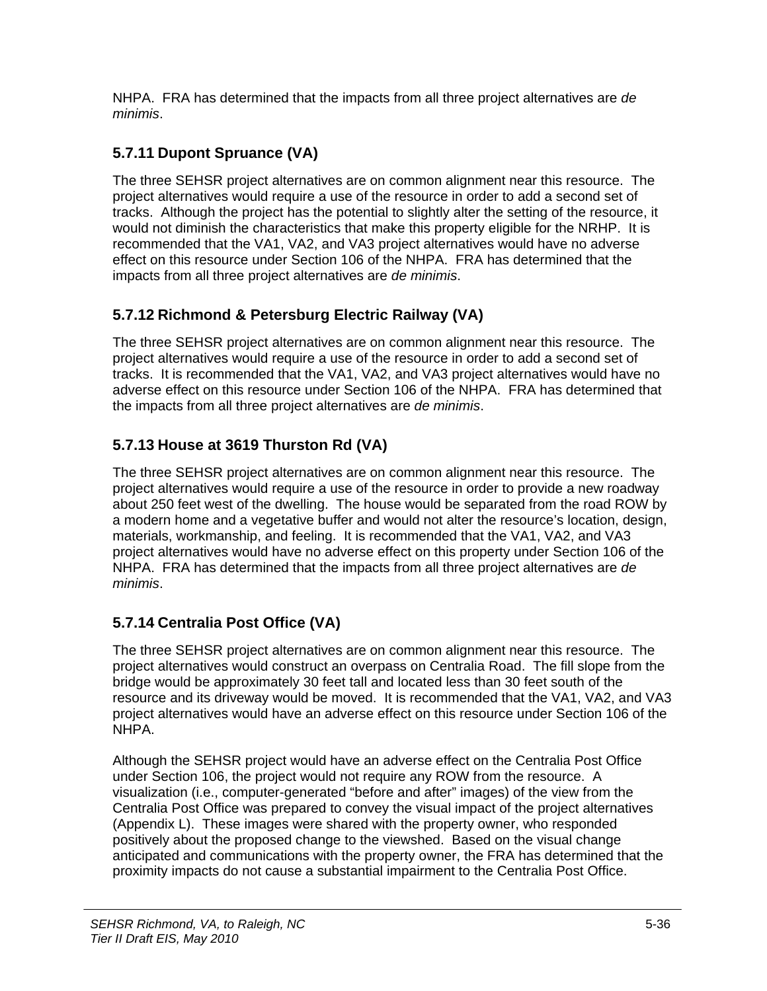NHPA. FRA has determined that the impacts from all three project alternatives are *de minimis*.

## **5.7.11 Dupont Spruance (VA)**

The three SEHSR project alternatives are on common alignment near this resource. The project alternatives would require a use of the resource in order to add a second set of tracks. Although the project has the potential to slightly alter the setting of the resource, it would not diminish the characteristics that make this property eligible for the NRHP. It is recommended that the VA1, VA2, and VA3 project alternatives would have no adverse effect on this resource under Section 106 of the NHPA. FRA has determined that the impacts from all three project alternatives are *de minimis*.

## **5.7.12 Richmond & Petersburg Electric Railway (VA)**

The three SEHSR project alternatives are on common alignment near this resource. The project alternatives would require a use of the resource in order to add a second set of tracks. It is recommended that the VA1, VA2, and VA3 project alternatives would have no adverse effect on this resource under Section 106 of the NHPA. FRA has determined that the impacts from all three project alternatives are *de minimis*.

# **5.7.13 House at 3619 Thurston Rd (VA)**

The three SEHSR project alternatives are on common alignment near this resource. The project alternatives would require a use of the resource in order to provide a new roadway about 250 feet west of the dwelling. The house would be separated from the road ROW by a modern home and a vegetative buffer and would not alter the resource's location, design, materials, workmanship, and feeling. It is recommended that the VA1, VA2, and VA3 project alternatives would have no adverse effect on this property under Section 106 of the NHPA. FRA has determined that the impacts from all three project alternatives are *de minimis*.

# **5.7.14 Centralia Post Office (VA)**

The three SEHSR project alternatives are on common alignment near this resource. The project alternatives would construct an overpass on Centralia Road. The fill slope from the bridge would be approximately 30 feet tall and located less than 30 feet south of the resource and its driveway would be moved. It is recommended that the VA1, VA2, and VA3 project alternatives would have an adverse effect on this resource under Section 106 of the NHPA.

Although the SEHSR project would have an adverse effect on the Centralia Post Office under Section 106, the project would not require any ROW from the resource. A visualization (i.e., computer-generated "before and after" images) of the view from the Centralia Post Office was prepared to convey the visual impact of the project alternatives (Appendix L). These images were shared with the property owner, who responded positively about the proposed change to the viewshed. Based on the visual change anticipated and communications with the property owner, the FRA has determined that the proximity impacts do not cause a substantial impairment to the Centralia Post Office.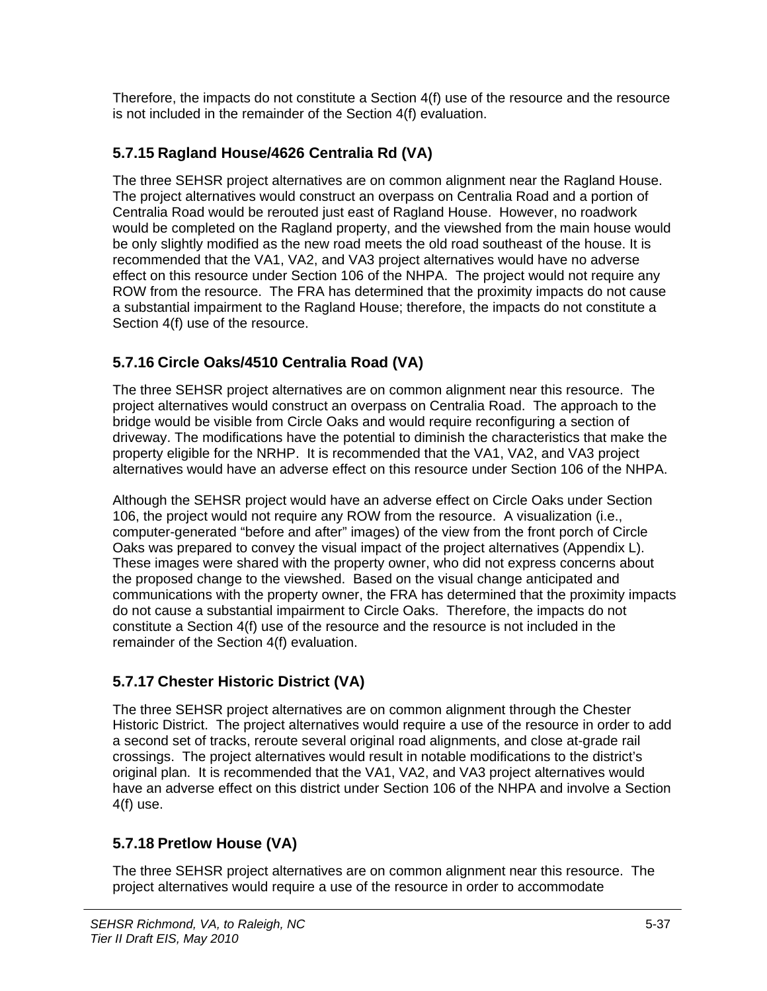Therefore, the impacts do not constitute a Section 4(f) use of the resource and the resource is not included in the remainder of the Section 4(f) evaluation.

## **5.7.15 Ragland House/4626 Centralia Rd (VA)**

The three SEHSR project alternatives are on common alignment near the Ragland House. The project alternatives would construct an overpass on Centralia Road and a portion of Centralia Road would be rerouted just east of Ragland House. However, no roadwork would be completed on the Ragland property, and the viewshed from the main house would be only slightly modified as the new road meets the old road southeast of the house. It is recommended that the VA1, VA2, and VA3 project alternatives would have no adverse effect on this resource under Section 106 of the NHPA. The project would not require any ROW from the resource. The FRA has determined that the proximity impacts do not cause a substantial impairment to the Ragland House; therefore, the impacts do not constitute a Section 4(f) use of the resource.

## **5.7.16 Circle Oaks/4510 Centralia Road (VA)**

The three SEHSR project alternatives are on common alignment near this resource. The project alternatives would construct an overpass on Centralia Road. The approach to the bridge would be visible from Circle Oaks and would require reconfiguring a section of driveway. The modifications have the potential to diminish the characteristics that make the property eligible for the NRHP. It is recommended that the VA1, VA2, and VA3 project alternatives would have an adverse effect on this resource under Section 106 of the NHPA.

Although the SEHSR project would have an adverse effect on Circle Oaks under Section 106, the project would not require any ROW from the resource. A visualization (i.e., computer-generated "before and after" images) of the view from the front porch of Circle Oaks was prepared to convey the visual impact of the project alternatives (Appendix L). These images were shared with the property owner, who did not express concerns about the proposed change to the viewshed. Based on the visual change anticipated and communications with the property owner, the FRA has determined that the proximity impacts do not cause a substantial impairment to Circle Oaks. Therefore, the impacts do not constitute a Section 4(f) use of the resource and the resource is not included in the remainder of the Section 4(f) evaluation.

## **5.7.17 Chester Historic District (VA)**

The three SEHSR project alternatives are on common alignment through the Chester Historic District. The project alternatives would require a use of the resource in order to add a second set of tracks, reroute several original road alignments, and close at-grade rail crossings. The project alternatives would result in notable modifications to the district's original plan. It is recommended that the VA1, VA2, and VA3 project alternatives would have an adverse effect on this district under Section 106 of the NHPA and involve a Section 4(f) use.

## **5.7.18 Pretlow House (VA)**

The three SEHSR project alternatives are on common alignment near this resource. The project alternatives would require a use of the resource in order to accommodate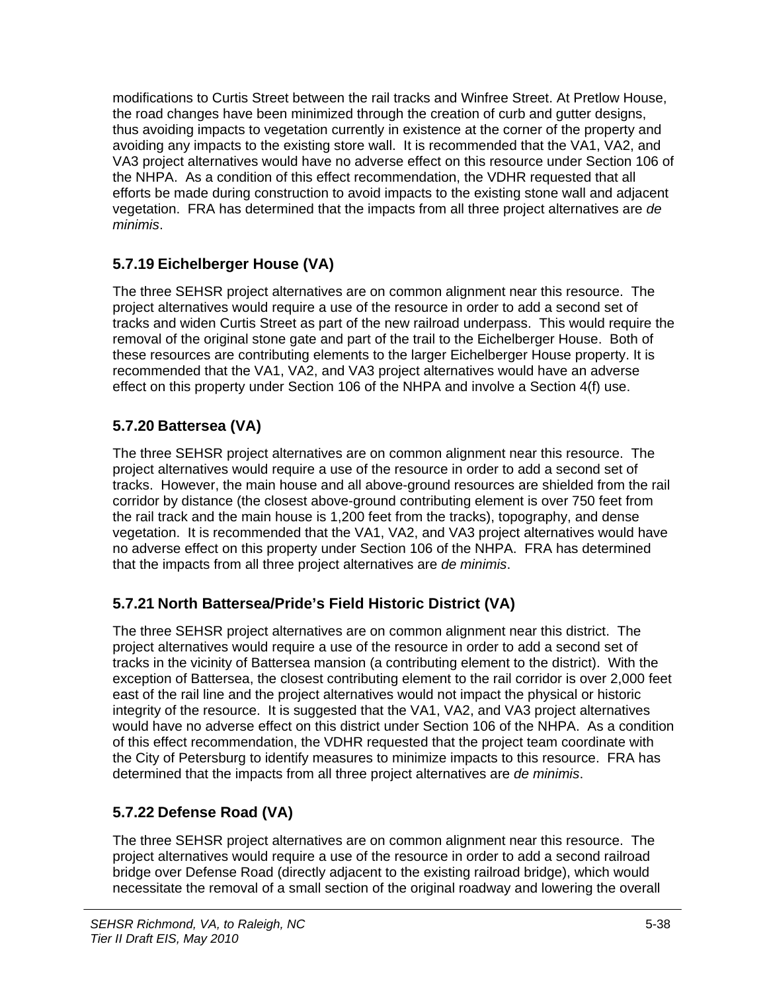modifications to Curtis Street between the rail tracks and Winfree Street. At Pretlow House, the road changes have been minimized through the creation of curb and gutter designs, thus avoiding impacts to vegetation currently in existence at the corner of the property and avoiding any impacts to the existing store wall. It is recommended that the VA1, VA2, and VA3 project alternatives would have no adverse effect on this resource under Section 106 of the NHPA. As a condition of this effect recommendation, the VDHR requested that all efforts be made during construction to avoid impacts to the existing stone wall and adjacent vegetation. FRA has determined that the impacts from all three project alternatives are *de minimis*.

## **5.7.19 Eichelberger House (VA)**

The three SEHSR project alternatives are on common alignment near this resource. The project alternatives would require a use of the resource in order to add a second set of tracks and widen Curtis Street as part of the new railroad underpass. This would require the removal of the original stone gate and part of the trail to the Eichelberger House. Both of these resources are contributing elements to the larger Eichelberger House property. It is recommended that the VA1, VA2, and VA3 project alternatives would have an adverse effect on this property under Section 106 of the NHPA and involve a Section 4(f) use.

## **5.7.20 Battersea (VA)**

The three SEHSR project alternatives are on common alignment near this resource. The project alternatives would require a use of the resource in order to add a second set of tracks. However, the main house and all above-ground resources are shielded from the rail corridor by distance (the closest above-ground contributing element is over 750 feet from the rail track and the main house is 1,200 feet from the tracks), topography, and dense vegetation. It is recommended that the VA1, VA2, and VA3 project alternatives would have no adverse effect on this property under Section 106 of the NHPA. FRA has determined that the impacts from all three project alternatives are *de minimis*.

## **5.7.21 North Battersea/Pride's Field Historic District (VA)**

The three SEHSR project alternatives are on common alignment near this district. The project alternatives would require a use of the resource in order to add a second set of tracks in the vicinity of Battersea mansion (a contributing element to the district). With the exception of Battersea, the closest contributing element to the rail corridor is over 2,000 feet east of the rail line and the project alternatives would not impact the physical or historic integrity of the resource. It is suggested that the VA1, VA2, and VA3 project alternatives would have no adverse effect on this district under Section 106 of the NHPA. As a condition of this effect recommendation, the VDHR requested that the project team coordinate with the City of Petersburg to identify measures to minimize impacts to this resource. FRA has determined that the impacts from all three project alternatives are *de minimis*.

## **5.7.22 Defense Road (VA)**

The three SEHSR project alternatives are on common alignment near this resource. The project alternatives would require a use of the resource in order to add a second railroad bridge over Defense Road (directly adjacent to the existing railroad bridge), which would necessitate the removal of a small section of the original roadway and lowering the overall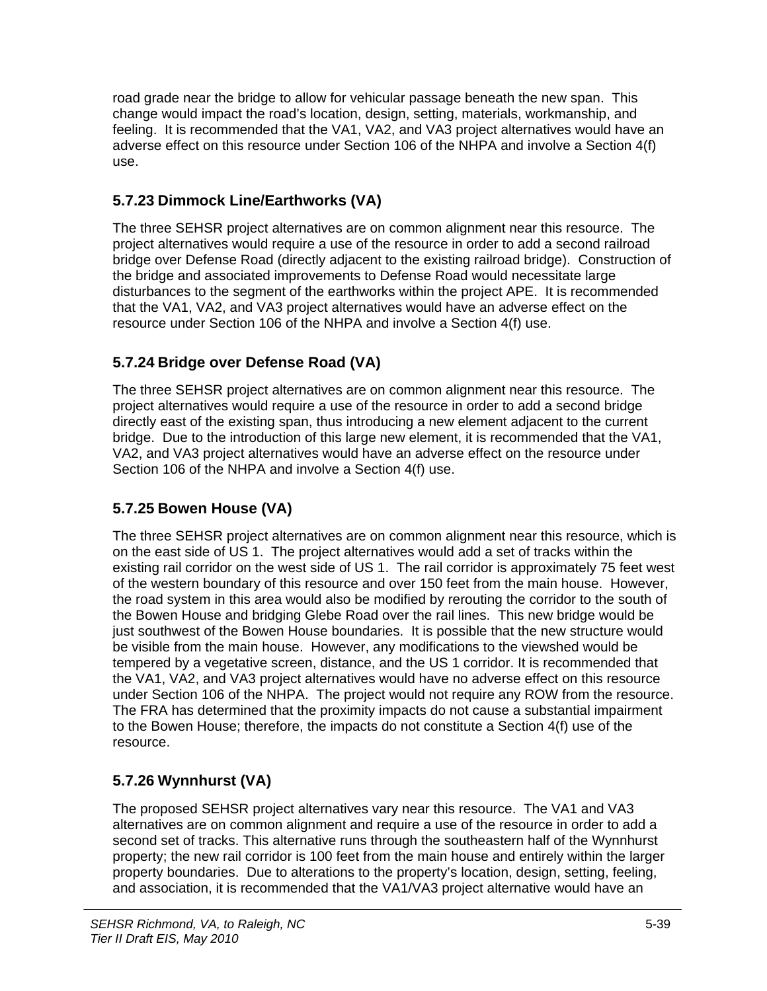road grade near the bridge to allow for vehicular passage beneath the new span. This change would impact the road's location, design, setting, materials, workmanship, and feeling. It is recommended that the VA1, VA2, and VA3 project alternatives would have an adverse effect on this resource under Section 106 of the NHPA and involve a Section 4(f) use.

## **5.7.23 Dimmock Line/Earthworks (VA)**

The three SEHSR project alternatives are on common alignment near this resource. The project alternatives would require a use of the resource in order to add a second railroad bridge over Defense Road (directly adjacent to the existing railroad bridge). Construction of the bridge and associated improvements to Defense Road would necessitate large disturbances to the segment of the earthworks within the project APE. It is recommended that the VA1, VA2, and VA3 project alternatives would have an adverse effect on the resource under Section 106 of the NHPA and involve a Section 4(f) use.

## **5.7.24 Bridge over Defense Road (VA)**

The three SEHSR project alternatives are on common alignment near this resource. The project alternatives would require a use of the resource in order to add a second bridge directly east of the existing span, thus introducing a new element adjacent to the current bridge. Due to the introduction of this large new element, it is recommended that the VA1, VA2, and VA3 project alternatives would have an adverse effect on the resource under Section 106 of the NHPA and involve a Section 4(f) use.

## **5.7.25 Bowen House (VA)**

The three SEHSR project alternatives are on common alignment near this resource, which is on the east side of US 1. The project alternatives would add a set of tracks within the existing rail corridor on the west side of US 1. The rail corridor is approximately 75 feet west of the western boundary of this resource and over 150 feet from the main house. However, the road system in this area would also be modified by rerouting the corridor to the south of the Bowen House and bridging Glebe Road over the rail lines. This new bridge would be just southwest of the Bowen House boundaries. It is possible that the new structure would be visible from the main house. However, any modifications to the viewshed would be tempered by a vegetative screen, distance, and the US 1 corridor. It is recommended that the VA1, VA2, and VA3 project alternatives would have no adverse effect on this resource under Section 106 of the NHPA. The project would not require any ROW from the resource. The FRA has determined that the proximity impacts do not cause a substantial impairment to the Bowen House; therefore, the impacts do not constitute a Section 4(f) use of the resource.

## **5.7.26 Wynnhurst (VA)**

The proposed SEHSR project alternatives vary near this resource. The VA1 and VA3 alternatives are on common alignment and require a use of the resource in order to add a second set of tracks. This alternative runs through the southeastern half of the Wynnhurst property; the new rail corridor is 100 feet from the main house and entirely within the larger property boundaries. Due to alterations to the property's location, design, setting, feeling, and association, it is recommended that the VA1/VA3 project alternative would have an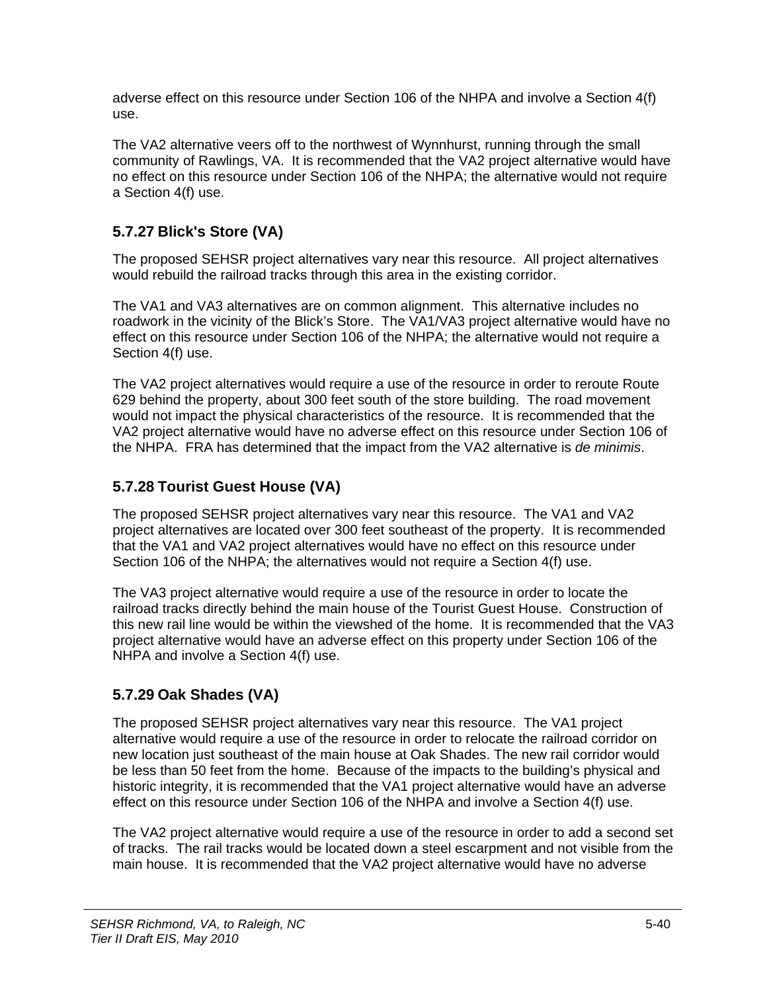adverse effect on this resource under Section 106 of the NHPA and involve a Section 4(f) use.

The VA2 alternative veers off to the northwest of Wynnhurst, running through the small community of Rawlings, VA. It is recommended that the VA2 project alternative would have no effect on this resource under Section 106 of the NHPA; the alternative would not require a Section 4(f) use.

## **5.7.27 Blick's Store (VA)**

The proposed SEHSR project alternatives vary near this resource. All project alternatives would rebuild the railroad tracks through this area in the existing corridor.

The VA1 and VA3 alternatives are on common alignment. This alternative includes no roadwork in the vicinity of the Blick's Store. The VA1/VA3 project alternative would have no effect on this resource under Section 106 of the NHPA; the alternative would not require a Section 4(f) use.

The VA2 project alternatives would require a use of the resource in order to reroute Route 629 behind the property, about 300 feet south of the store building. The road movement would not impact the physical characteristics of the resource. It is recommended that the VA2 project alternative would have no adverse effect on this resource under Section 106 of the NHPA. FRA has determined that the impact from the VA2 alternative is *de minimis*.

## **5.7.28 Tourist Guest House (VA)**

The proposed SEHSR project alternatives vary near this resource. The VA1 and VA2 project alternatives are located over 300 feet southeast of the property. It is recommended that the VA1 and VA2 project alternatives would have no effect on this resource under Section 106 of the NHPA; the alternatives would not require a Section 4(f) use.

The VA3 project alternative would require a use of the resource in order to locate the railroad tracks directly behind the main house of the Tourist Guest House. Construction of this new rail line would be within the viewshed of the home. It is recommended that the VA3 project alternative would have an adverse effect on this property under Section 106 of the NHPA and involve a Section 4(f) use.

## **5.7.29 Oak Shades (VA)**

The proposed SEHSR project alternatives vary near this resource. The VA1 project alternative would require a use of the resource in order to relocate the railroad corridor on new location just southeast of the main house at Oak Shades. The new rail corridor would be less than 50 feet from the home. Because of the impacts to the building's physical and historic integrity, it is recommended that the VA1 project alternative would have an adverse effect on this resource under Section 106 of the NHPA and involve a Section 4(f) use.

The VA2 project alternative would require a use of the resource in order to add a second set of tracks. The rail tracks would be located down a steel escarpment and not visible from the main house. It is recommended that the VA2 project alternative would have no adverse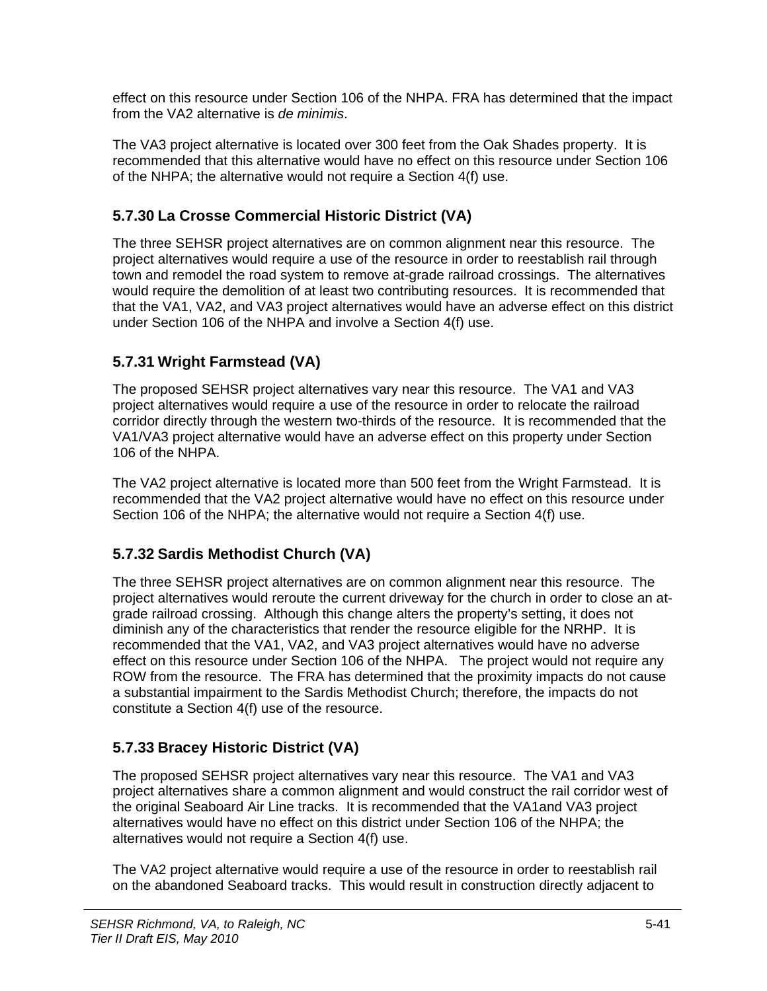effect on this resource under Section 106 of the NHPA. FRA has determined that the impact from the VA2 alternative is *de minimis*.

The VA3 project alternative is located over 300 feet from the Oak Shades property. It is recommended that this alternative would have no effect on this resource under Section 106 of the NHPA; the alternative would not require a Section 4(f) use.

## **5.7.30 La Crosse Commercial Historic District (VA)**

The three SEHSR project alternatives are on common alignment near this resource. The project alternatives would require a use of the resource in order to reestablish rail through town and remodel the road system to remove at-grade railroad crossings. The alternatives would require the demolition of at least two contributing resources. It is recommended that that the VA1, VA2, and VA3 project alternatives would have an adverse effect on this district under Section 106 of the NHPA and involve a Section 4(f) use.

## **5.7.31 Wright Farmstead (VA)**

The proposed SEHSR project alternatives vary near this resource. The VA1 and VA3 project alternatives would require a use of the resource in order to relocate the railroad corridor directly through the western two-thirds of the resource. It is recommended that the VA1/VA3 project alternative would have an adverse effect on this property under Section 106 of the NHPA.

The VA2 project alternative is located more than 500 feet from the Wright Farmstead. It is recommended that the VA2 project alternative would have no effect on this resource under Section 106 of the NHPA; the alternative would not require a Section 4(f) use.

## **5.7.32 Sardis Methodist Church (VA)**

The three SEHSR project alternatives are on common alignment near this resource. The project alternatives would reroute the current driveway for the church in order to close an atgrade railroad crossing. Although this change alters the property's setting, it does not diminish any of the characteristics that render the resource eligible for the NRHP. It is recommended that the VA1, VA2, and VA3 project alternatives would have no adverse effect on this resource under Section 106 of the NHPA. The project would not require any ROW from the resource. The FRA has determined that the proximity impacts do not cause a substantial impairment to the Sardis Methodist Church; therefore, the impacts do not constitute a Section 4(f) use of the resource.

## **5.7.33 Bracey Historic District (VA)**

The proposed SEHSR project alternatives vary near this resource. The VA1 and VA3 project alternatives share a common alignment and would construct the rail corridor west of the original Seaboard Air Line tracks. It is recommended that the VA1and VA3 project alternatives would have no effect on this district under Section 106 of the NHPA; the alternatives would not require a Section 4(f) use.

The VA2 project alternative would require a use of the resource in order to reestablish rail on the abandoned Seaboard tracks. This would result in construction directly adjacent to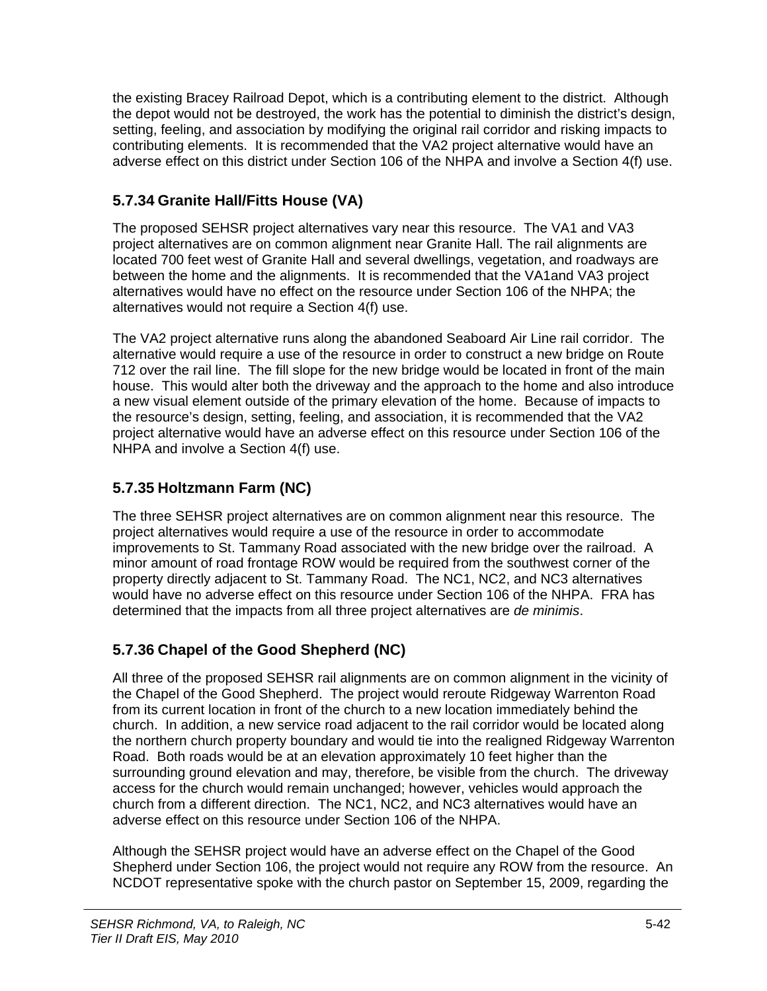the existing Bracey Railroad Depot, which is a contributing element to the district. Although the depot would not be destroyed, the work has the potential to diminish the district's design, setting, feeling, and association by modifying the original rail corridor and risking impacts to contributing elements. It is recommended that the VA2 project alternative would have an adverse effect on this district under Section 106 of the NHPA and involve a Section 4(f) use.

## **5.7.34 Granite Hall/Fitts House (VA)**

The proposed SEHSR project alternatives vary near this resource. The VA1 and VA3 project alternatives are on common alignment near Granite Hall. The rail alignments are located 700 feet west of Granite Hall and several dwellings, vegetation, and roadways are between the home and the alignments. It is recommended that the VA1and VA3 project alternatives would have no effect on the resource under Section 106 of the NHPA; the alternatives would not require a Section 4(f) use.

The VA2 project alternative runs along the abandoned Seaboard Air Line rail corridor. The alternative would require a use of the resource in order to construct a new bridge on Route 712 over the rail line. The fill slope for the new bridge would be located in front of the main house. This would alter both the driveway and the approach to the home and also introduce a new visual element outside of the primary elevation of the home. Because of impacts to the resource's design, setting, feeling, and association, it is recommended that the VA2 project alternative would have an adverse effect on this resource under Section 106 of the NHPA and involve a Section 4(f) use.

## **5.7.35 Holtzmann Farm (NC)**

The three SEHSR project alternatives are on common alignment near this resource. The project alternatives would require a use of the resource in order to accommodate improvements to St. Tammany Road associated with the new bridge over the railroad. A minor amount of road frontage ROW would be required from the southwest corner of the property directly adjacent to St. Tammany Road. The NC1, NC2, and NC3 alternatives would have no adverse effect on this resource under Section 106 of the NHPA. FRA has determined that the impacts from all three project alternatives are *de minimis*.

## **5.7.36 Chapel of the Good Shepherd (NC)**

All three of the proposed SEHSR rail alignments are on common alignment in the vicinity of the Chapel of the Good Shepherd. The project would reroute Ridgeway Warrenton Road from its current location in front of the church to a new location immediately behind the church. In addition, a new service road adjacent to the rail corridor would be located along the northern church property boundary and would tie into the realigned Ridgeway Warrenton Road. Both roads would be at an elevation approximately 10 feet higher than the surrounding ground elevation and may, therefore, be visible from the church. The driveway access for the church would remain unchanged; however, vehicles would approach the church from a different direction. The NC1, NC2, and NC3 alternatives would have an adverse effect on this resource under Section 106 of the NHPA.

Although the SEHSR project would have an adverse effect on the Chapel of the Good Shepherd under Section 106, the project would not require any ROW from the resource. An NCDOT representative spoke with the church pastor on September 15, 2009, regarding the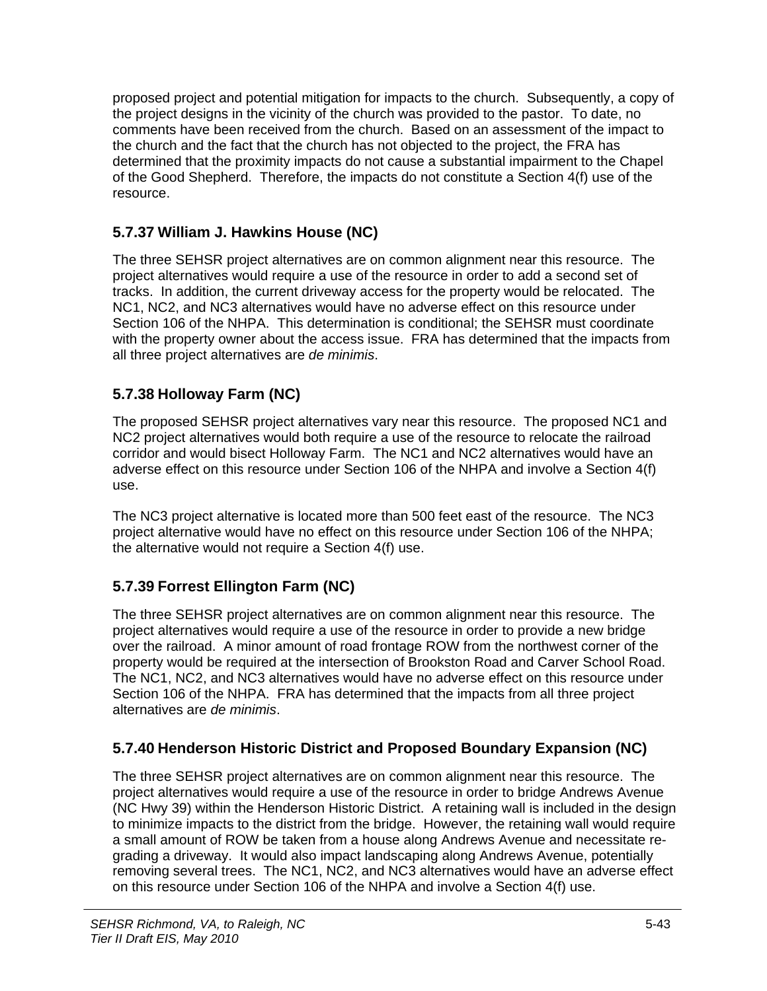proposed project and potential mitigation for impacts to the church. Subsequently, a copy of the project designs in the vicinity of the church was provided to the pastor. To date, no comments have been received from the church. Based on an assessment of the impact to the church and the fact that the church has not objected to the project, the FRA has determined that the proximity impacts do not cause a substantial impairment to the Chapel of the Good Shepherd. Therefore, the impacts do not constitute a Section 4(f) use of the resource.

## **5.7.37 William J. Hawkins House (NC)**

The three SEHSR project alternatives are on common alignment near this resource. The project alternatives would require a use of the resource in order to add a second set of tracks. In addition, the current driveway access for the property would be relocated. The NC1, NC2, and NC3 alternatives would have no adverse effect on this resource under Section 106 of the NHPA. This determination is conditional; the SEHSR must coordinate with the property owner about the access issue. FRA has determined that the impacts from all three project alternatives are *de minimis*.

#### **5.7.38 Holloway Farm (NC)**

The proposed SEHSR project alternatives vary near this resource. The proposed NC1 and NC2 project alternatives would both require a use of the resource to relocate the railroad corridor and would bisect Holloway Farm. The NC1 and NC2 alternatives would have an adverse effect on this resource under Section 106 of the NHPA and involve a Section 4(f) use.

The NC3 project alternative is located more than 500 feet east of the resource. The NC3 project alternative would have no effect on this resource under Section 106 of the NHPA; the alternative would not require a Section 4(f) use.

#### **5.7.39 Forrest Ellington Farm (NC)**

The three SEHSR project alternatives are on common alignment near this resource. The project alternatives would require a use of the resource in order to provide a new bridge over the railroad. A minor amount of road frontage ROW from the northwest corner of the property would be required at the intersection of Brookston Road and Carver School Road. The NC1, NC2, and NC3 alternatives would have no adverse effect on this resource under Section 106 of the NHPA. FRA has determined that the impacts from all three project alternatives are *de minimis*.

#### **5.7.40 Henderson Historic District and Proposed Boundary Expansion (NC)**

The three SEHSR project alternatives are on common alignment near this resource. The project alternatives would require a use of the resource in order to bridge Andrews Avenue (NC Hwy 39) within the Henderson Historic District. A retaining wall is included in the design to minimize impacts to the district from the bridge. However, the retaining wall would require a small amount of ROW be taken from a house along Andrews Avenue and necessitate regrading a driveway. It would also impact landscaping along Andrews Avenue, potentially removing several trees. The NC1, NC2, and NC3 alternatives would have an adverse effect on this resource under Section 106 of the NHPA and involve a Section 4(f) use.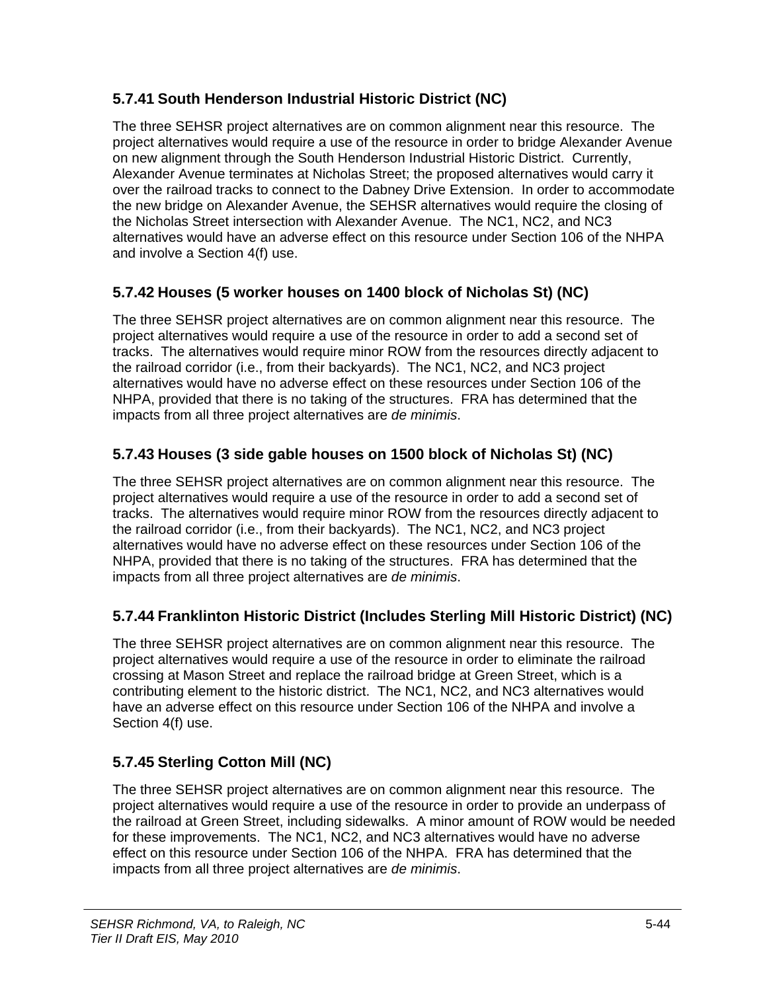#### **5.7.41 South Henderson Industrial Historic District (NC)**

The three SEHSR project alternatives are on common alignment near this resource. The project alternatives would require a use of the resource in order to bridge Alexander Avenue on new alignment through the South Henderson Industrial Historic District. Currently, Alexander Avenue terminates at Nicholas Street; the proposed alternatives would carry it over the railroad tracks to connect to the Dabney Drive Extension. In order to accommodate the new bridge on Alexander Avenue, the SEHSR alternatives would require the closing of the Nicholas Street intersection with Alexander Avenue. The NC1, NC2, and NC3 alternatives would have an adverse effect on this resource under Section 106 of the NHPA and involve a Section 4(f) use.

#### **5.7.42 Houses (5 worker houses on 1400 block of Nicholas St) (NC)**

The three SEHSR project alternatives are on common alignment near this resource. The project alternatives would require a use of the resource in order to add a second set of tracks. The alternatives would require minor ROW from the resources directly adjacent to the railroad corridor (i.e., from their backyards). The NC1, NC2, and NC3 project alternatives would have no adverse effect on these resources under Section 106 of the NHPA, provided that there is no taking of the structures. FRA has determined that the impacts from all three project alternatives are *de minimis*.

#### **5.7.43 Houses (3 side gable houses on 1500 block of Nicholas St) (NC)**

The three SEHSR project alternatives are on common alignment near this resource. The project alternatives would require a use of the resource in order to add a second set of tracks. The alternatives would require minor ROW from the resources directly adjacent to the railroad corridor (i.e., from their backyards). The NC1, NC2, and NC3 project alternatives would have no adverse effect on these resources under Section 106 of the NHPA, provided that there is no taking of the structures. FRA has determined that the impacts from all three project alternatives are *de minimis*.

#### **5.7.44 Franklinton Historic District (Includes Sterling Mill Historic District) (NC)**

The three SEHSR project alternatives are on common alignment near this resource. The project alternatives would require a use of the resource in order to eliminate the railroad crossing at Mason Street and replace the railroad bridge at Green Street, which is a contributing element to the historic district. The NC1, NC2, and NC3 alternatives would have an adverse effect on this resource under Section 106 of the NHPA and involve a Section 4(f) use.

## **5.7.45 Sterling Cotton Mill (NC)**

The three SEHSR project alternatives are on common alignment near this resource. The project alternatives would require a use of the resource in order to provide an underpass of the railroad at Green Street, including sidewalks. A minor amount of ROW would be needed for these improvements. The NC1, NC2, and NC3 alternatives would have no adverse effect on this resource under Section 106 of the NHPA. FRA has determined that the impacts from all three project alternatives are *de minimis*.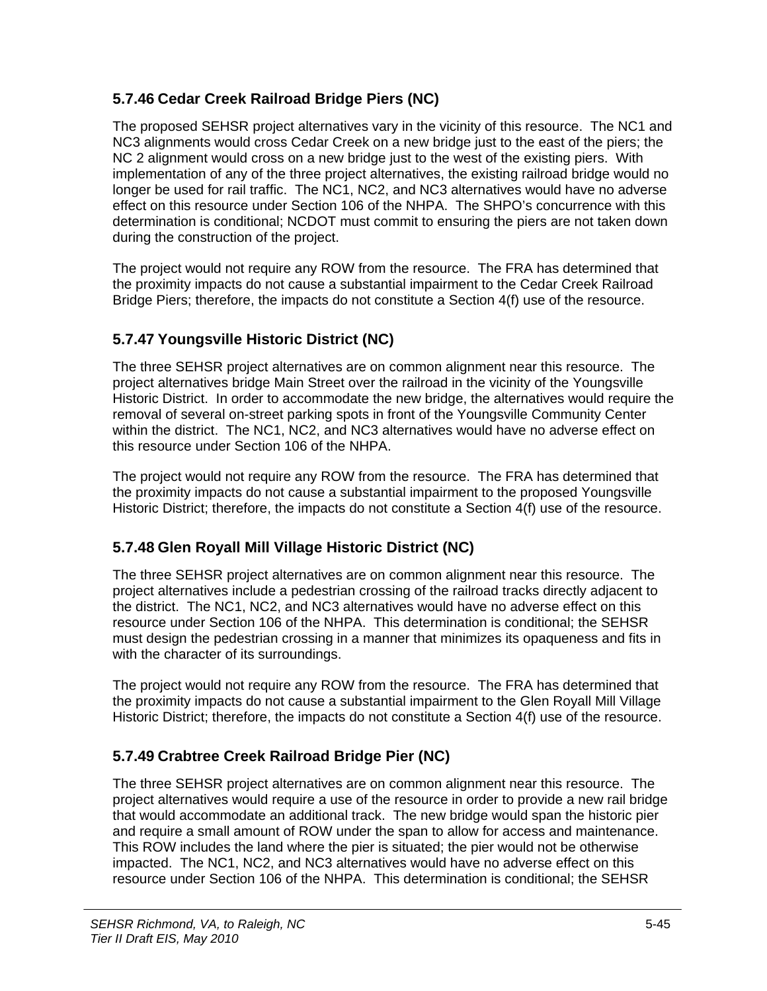#### **5.7.46 Cedar Creek Railroad Bridge Piers (NC)**

The proposed SEHSR project alternatives vary in the vicinity of this resource. The NC1 and NC3 alignments would cross Cedar Creek on a new bridge just to the east of the piers; the NC 2 alignment would cross on a new bridge just to the west of the existing piers. With implementation of any of the three project alternatives, the existing railroad bridge would no longer be used for rail traffic. The NC1, NC2, and NC3 alternatives would have no adverse effect on this resource under Section 106 of the NHPA. The SHPO's concurrence with this determination is conditional; NCDOT must commit to ensuring the piers are not taken down during the construction of the project.

The project would not require any ROW from the resource. The FRA has determined that the proximity impacts do not cause a substantial impairment to the Cedar Creek Railroad Bridge Piers; therefore, the impacts do not constitute a Section 4(f) use of the resource.

#### **5.7.47 Youngsville Historic District (NC)**

The three SEHSR project alternatives are on common alignment near this resource. The project alternatives bridge Main Street over the railroad in the vicinity of the Youngsville Historic District. In order to accommodate the new bridge, the alternatives would require the removal of several on-street parking spots in front of the Youngsville Community Center within the district. The NC1, NC2, and NC3 alternatives would have no adverse effect on this resource under Section 106 of the NHPA.

The project would not require any ROW from the resource. The FRA has determined that the proximity impacts do not cause a substantial impairment to the proposed Youngsville Historic District; therefore, the impacts do not constitute a Section 4(f) use of the resource.

## **5.7.48 Glen Royall Mill Village Historic District (NC)**

The three SEHSR project alternatives are on common alignment near this resource. The project alternatives include a pedestrian crossing of the railroad tracks directly adjacent to the district. The NC1, NC2, and NC3 alternatives would have no adverse effect on this resource under Section 106 of the NHPA. This determination is conditional; the SEHSR must design the pedestrian crossing in a manner that minimizes its opaqueness and fits in with the character of its surroundings.

The project would not require any ROW from the resource. The FRA has determined that the proximity impacts do not cause a substantial impairment to the Glen Royall Mill Village Historic District; therefore, the impacts do not constitute a Section 4(f) use of the resource.

## **5.7.49 Crabtree Creek Railroad Bridge Pier (NC)**

The three SEHSR project alternatives are on common alignment near this resource. The project alternatives would require a use of the resource in order to provide a new rail bridge that would accommodate an additional track. The new bridge would span the historic pier and require a small amount of ROW under the span to allow for access and maintenance. This ROW includes the land where the pier is situated; the pier would not be otherwise impacted. The NC1, NC2, and NC3 alternatives would have no adverse effect on this resource under Section 106 of the NHPA. This determination is conditional; the SEHSR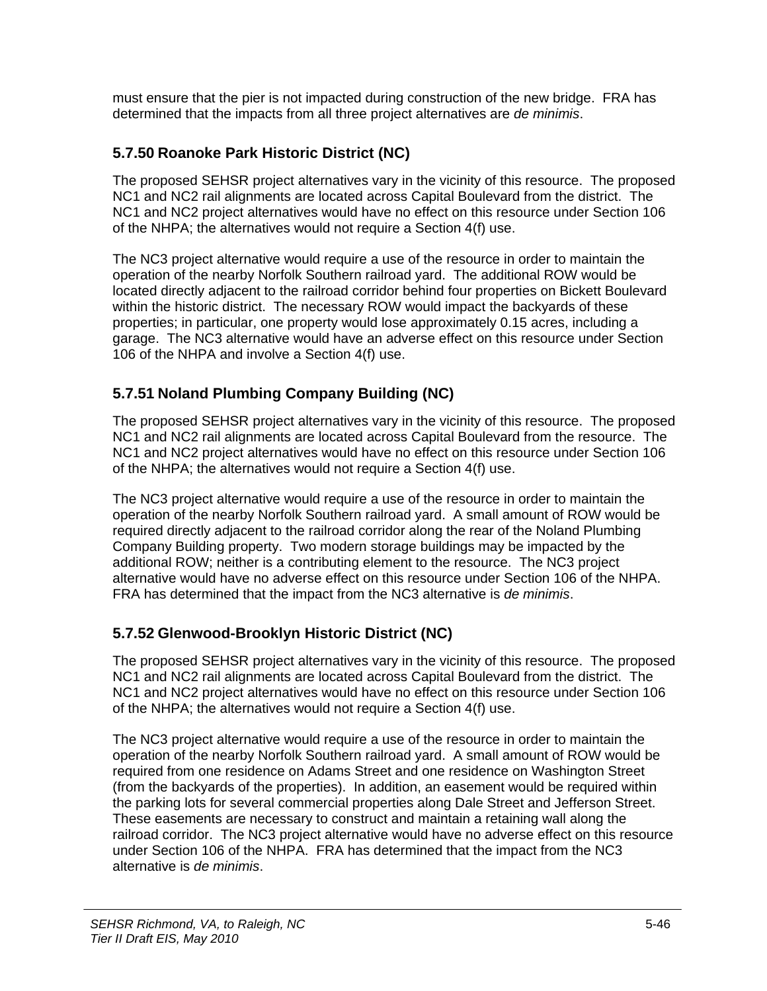must ensure that the pier is not impacted during construction of the new bridge. FRA has determined that the impacts from all three project alternatives are *de minimis*.

#### **5.7.50 Roanoke Park Historic District (NC)**

The proposed SEHSR project alternatives vary in the vicinity of this resource. The proposed NC1 and NC2 rail alignments are located across Capital Boulevard from the district. The NC1 and NC2 project alternatives would have no effect on this resource under Section 106 of the NHPA; the alternatives would not require a Section 4(f) use.

The NC3 project alternative would require a use of the resource in order to maintain the operation of the nearby Norfolk Southern railroad yard. The additional ROW would be located directly adjacent to the railroad corridor behind four properties on Bickett Boulevard within the historic district. The necessary ROW would impact the backyards of these properties; in particular, one property would lose approximately 0.15 acres, including a garage. The NC3 alternative would have an adverse effect on this resource under Section 106 of the NHPA and involve a Section 4(f) use.

#### **5.7.51 Noland Plumbing Company Building (NC)**

The proposed SEHSR project alternatives vary in the vicinity of this resource. The proposed NC1 and NC2 rail alignments are located across Capital Boulevard from the resource. The NC1 and NC2 project alternatives would have no effect on this resource under Section 106 of the NHPA; the alternatives would not require a Section 4(f) use.

The NC3 project alternative would require a use of the resource in order to maintain the operation of the nearby Norfolk Southern railroad yard. A small amount of ROW would be required directly adjacent to the railroad corridor along the rear of the Noland Plumbing Company Building property. Two modern storage buildings may be impacted by the additional ROW; neither is a contributing element to the resource. The NC3 project alternative would have no adverse effect on this resource under Section 106 of the NHPA. FRA has determined that the impact from the NC3 alternative is *de minimis*.

#### **5.7.52 Glenwood-Brooklyn Historic District (NC)**

The proposed SEHSR project alternatives vary in the vicinity of this resource. The proposed NC1 and NC2 rail alignments are located across Capital Boulevard from the district. The NC1 and NC2 project alternatives would have no effect on this resource under Section 106 of the NHPA; the alternatives would not require a Section 4(f) use.

The NC3 project alternative would require a use of the resource in order to maintain the operation of the nearby Norfolk Southern railroad yard. A small amount of ROW would be required from one residence on Adams Street and one residence on Washington Street (from the backyards of the properties). In addition, an easement would be required within the parking lots for several commercial properties along Dale Street and Jefferson Street. These easements are necessary to construct and maintain a retaining wall along the railroad corridor. The NC3 project alternative would have no adverse effect on this resource under Section 106 of the NHPA. FRA has determined that the impact from the NC3 alternative is *de minimis*.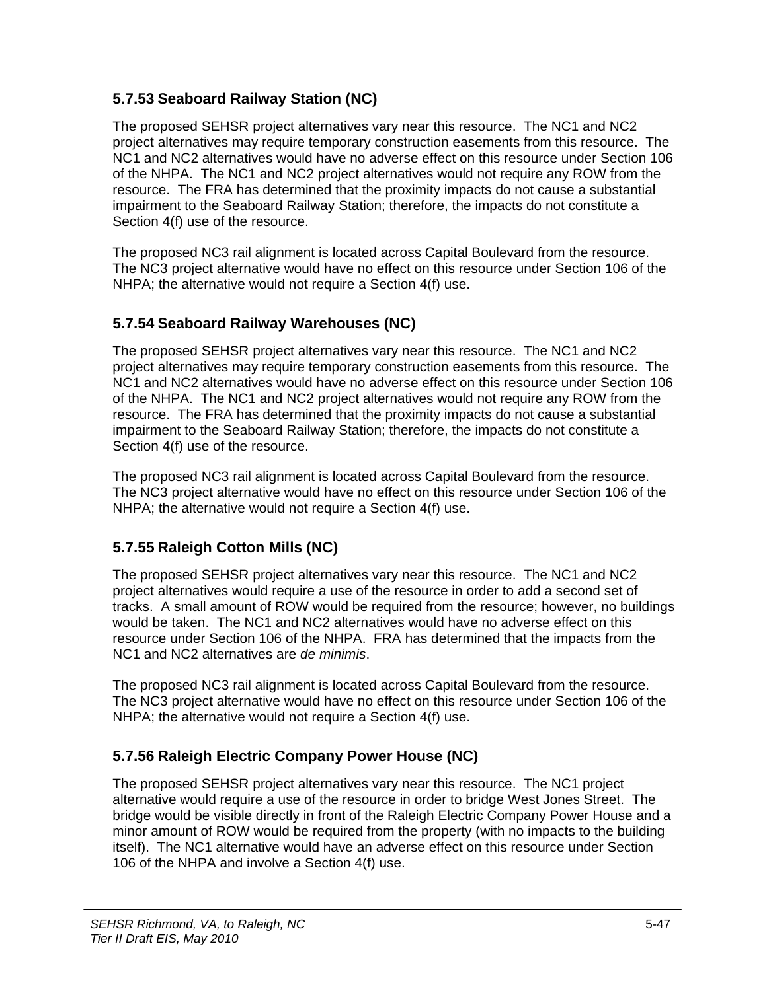#### **5.7.53 Seaboard Railway Station (NC)**

The proposed SEHSR project alternatives vary near this resource. The NC1 and NC2 project alternatives may require temporary construction easements from this resource. The NC1 and NC2 alternatives would have no adverse effect on this resource under Section 106 of the NHPA. The NC1 and NC2 project alternatives would not require any ROW from the resource. The FRA has determined that the proximity impacts do not cause a substantial impairment to the Seaboard Railway Station; therefore, the impacts do not constitute a Section 4(f) use of the resource.

The proposed NC3 rail alignment is located across Capital Boulevard from the resource. The NC3 project alternative would have no effect on this resource under Section 106 of the NHPA; the alternative would not require a Section 4(f) use.

#### **5.7.54 Seaboard Railway Warehouses (NC)**

The proposed SEHSR project alternatives vary near this resource. The NC1 and NC2 project alternatives may require temporary construction easements from this resource. The NC1 and NC2 alternatives would have no adverse effect on this resource under Section 106 of the NHPA. The NC1 and NC2 project alternatives would not require any ROW from the resource. The FRA has determined that the proximity impacts do not cause a substantial impairment to the Seaboard Railway Station; therefore, the impacts do not constitute a Section 4(f) use of the resource.

The proposed NC3 rail alignment is located across Capital Boulevard from the resource. The NC3 project alternative would have no effect on this resource under Section 106 of the NHPA; the alternative would not require a Section 4(f) use.

#### **5.7.55 Raleigh Cotton Mills (NC)**

The proposed SEHSR project alternatives vary near this resource. The NC1 and NC2 project alternatives would require a use of the resource in order to add a second set of tracks. A small amount of ROW would be required from the resource; however, no buildings would be taken. The NC1 and NC2 alternatives would have no adverse effect on this resource under Section 106 of the NHPA. FRA has determined that the impacts from the NC1 and NC2 alternatives are *de minimis*.

The proposed NC3 rail alignment is located across Capital Boulevard from the resource. The NC3 project alternative would have no effect on this resource under Section 106 of the NHPA; the alternative would not require a Section 4(f) use.

#### **5.7.56 Raleigh Electric Company Power House (NC)**

The proposed SEHSR project alternatives vary near this resource. The NC1 project alternative would require a use of the resource in order to bridge West Jones Street. The bridge would be visible directly in front of the Raleigh Electric Company Power House and a minor amount of ROW would be required from the property (with no impacts to the building itself). The NC1 alternative would have an adverse effect on this resource under Section 106 of the NHPA and involve a Section 4(f) use.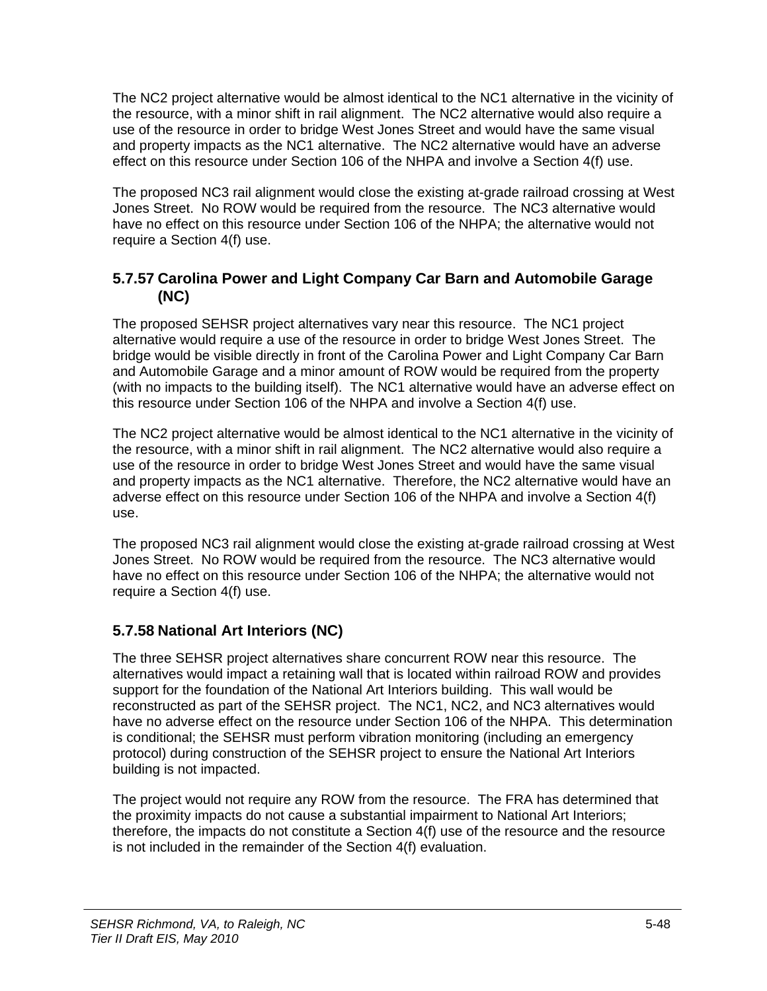The NC2 project alternative would be almost identical to the NC1 alternative in the vicinity of the resource, with a minor shift in rail alignment. The NC2 alternative would also require a use of the resource in order to bridge West Jones Street and would have the same visual and property impacts as the NC1 alternative. The NC2 alternative would have an adverse effect on this resource under Section 106 of the NHPA and involve a Section 4(f) use.

The proposed NC3 rail alignment would close the existing at-grade railroad crossing at West Jones Street. No ROW would be required from the resource. The NC3 alternative would have no effect on this resource under Section 106 of the NHPA; the alternative would not require a Section 4(f) use.

#### **5.7.57 Carolina Power and Light Company Car Barn and Automobile Garage (NC)**

The proposed SEHSR project alternatives vary near this resource. The NC1 project alternative would require a use of the resource in order to bridge West Jones Street. The bridge would be visible directly in front of the Carolina Power and Light Company Car Barn and Automobile Garage and a minor amount of ROW would be required from the property (with no impacts to the building itself). The NC1 alternative would have an adverse effect on this resource under Section 106 of the NHPA and involve a Section 4(f) use.

The NC2 project alternative would be almost identical to the NC1 alternative in the vicinity of the resource, with a minor shift in rail alignment. The NC2 alternative would also require a use of the resource in order to bridge West Jones Street and would have the same visual and property impacts as the NC1 alternative. Therefore, the NC2 alternative would have an adverse effect on this resource under Section 106 of the NHPA and involve a Section 4(f) use.

The proposed NC3 rail alignment would close the existing at-grade railroad crossing at West Jones Street. No ROW would be required from the resource. The NC3 alternative would have no effect on this resource under Section 106 of the NHPA; the alternative would not require a Section 4(f) use.

#### **5.7.58 National Art Interiors (NC)**

The three SEHSR project alternatives share concurrent ROW near this resource. The alternatives would impact a retaining wall that is located within railroad ROW and provides support for the foundation of the National Art Interiors building. This wall would be reconstructed as part of the SEHSR project. The NC1, NC2, and NC3 alternatives would have no adverse effect on the resource under Section 106 of the NHPA. This determination is conditional; the SEHSR must perform vibration monitoring (including an emergency protocol) during construction of the SEHSR project to ensure the National Art Interiors building is not impacted.

The project would not require any ROW from the resource. The FRA has determined that the proximity impacts do not cause a substantial impairment to National Art Interiors; therefore, the impacts do not constitute a Section 4(f) use of the resource and the resource is not included in the remainder of the Section 4(f) evaluation.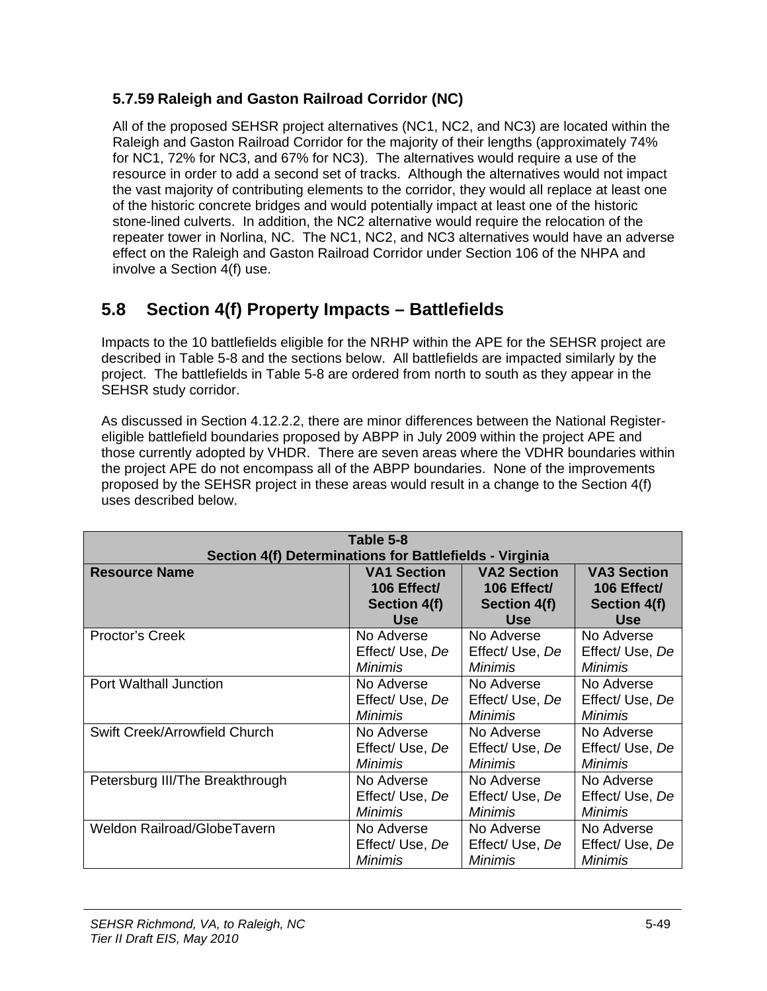#### **5.7.59 Raleigh and Gaston Railroad Corridor (NC)**

All of the proposed SEHSR project alternatives (NC1, NC2, and NC3) are located within the Raleigh and Gaston Railroad Corridor for the majority of their lengths (approximately 74% for NC1, 72% for NC3, and 67% for NC3). The alternatives would require a use of the resource in order to add a second set of tracks. Although the alternatives would not impact the vast majority of contributing elements to the corridor, they would all replace at least one of the historic concrete bridges and would potentially impact at least one of the historic stone-lined culverts. In addition, the NC2 alternative would require the relocation of the repeater tower in Norlina, NC. The NC1, NC2, and NC3 alternatives would have an adverse effect on the Raleigh and Gaston Railroad Corridor under Section 106 of the NHPA and involve a Section 4(f) use.

# **5.8 Section 4(f) Property Impacts – Battlefields**

Impacts to the 10 battlefields eligible for the NRHP within the APE for the SEHSR project are described in Table 5-8 and the sections below. All battlefields are impacted similarly by the project. The battlefields in Table 5-8 are ordered from north to south as they appear in the SEHSR study corridor.

As discussed in Section 4.12.2.2, there are minor differences between the National Registereligible battlefield boundaries proposed by ABPP in July 2009 within the project APE and those currently adopted by VHDR. There are seven areas where the VDHR boundaries within the project APE do not encompass all of the ABPP boundaries. None of the improvements proposed by the SEHSR project in these areas would result in a change to the Section 4(f) uses described below.

| Table 5-8                                               |                    |                    |                    |
|---------------------------------------------------------|--------------------|--------------------|--------------------|
| Section 4(f) Determinations for Battlefields - Virginia |                    |                    |                    |
| <b>Resource Name</b>                                    | <b>VA1 Section</b> | <b>VA2 Section</b> | <b>VA3 Section</b> |
|                                                         | 106 Effect/        | 106 Effect/        | 106 Effect/        |
|                                                         | Section 4(f)       | Section 4(f)       | Section 4(f)       |
|                                                         | <b>Use</b>         | <b>Use</b>         | <b>Use</b>         |
| Proctor's Creek                                         | No Adverse         | No Adverse         | No Adverse         |
|                                                         | Effect/Use, De     | Effect/Use, De     | Effect/ Use, De    |
|                                                         | <b>Minimis</b>     | Minimis            | <i>Minimis</i>     |
| <b>Port Walthall Junction</b>                           | No Adverse         | No Adverse         | No Adverse         |
|                                                         | Effect/ Use, De    | Effect/ Use, De    | Effect/ Use, De    |
|                                                         | Minimis            | Minimis            | <i>Minimis</i>     |
| Swift Creek/Arrowfield Church                           | No Adverse         | No Adverse         | No Adverse         |
|                                                         | Effect/ Use, De    | Effect/ Use, De    | Effect/ Use, De    |
|                                                         | <b>Minimis</b>     | <i>Minimis</i>     | <b>Minimis</b>     |
| Petersburg III/The Breakthrough                         | No Adverse         | No Adverse         | No Adverse         |
|                                                         | Effect/ Use, De    | Effect/ Use, De    | Effect/ Use, De    |
|                                                         | <b>Minimis</b>     | <b>Minimis</b>     | Minimis            |
| <b>Weldon Railroad/GlobeTavern</b>                      | No Adverse         | No Adverse         | No Adverse         |
|                                                         | Effect/ Use, De    | Effect/ Use, De    | Effect/ Use, De    |
|                                                         | Minimis            | Minimis            | Minimis            |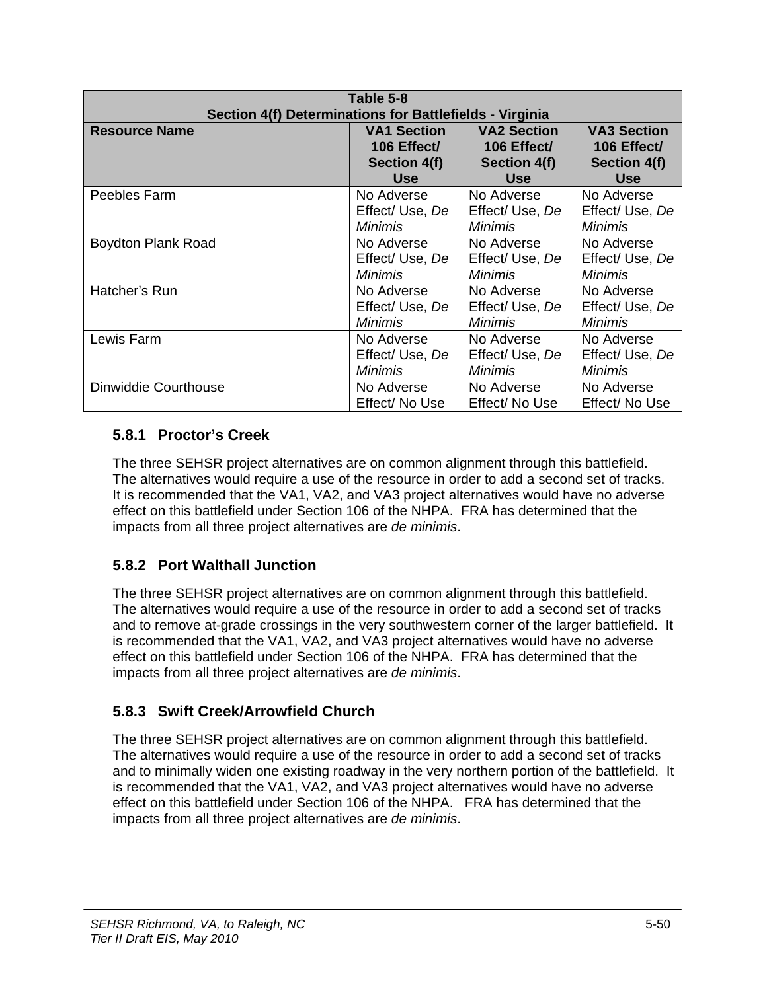| Table 5-8<br>Section 4(f) Determinations for Battlefields - Virginia |                    |                    |                     |
|----------------------------------------------------------------------|--------------------|--------------------|---------------------|
| <b>Resource Name</b>                                                 | <b>VA1 Section</b> | <b>VA2 Section</b> | <b>VA3 Section</b>  |
|                                                                      | 106 Effect/        | 106 Effect/        | 106 Effect/         |
|                                                                      | Section 4(f)       | Section 4(f)       | <b>Section 4(f)</b> |
|                                                                      | <b>Use</b>         | <b>Use</b>         | <b>Use</b>          |
| Peebles Farm                                                         | No Adverse         | No Adverse         | No Adverse          |
|                                                                      | Effect/ Use, De    | Effect/ Use, De    | Effect/ Use, De     |
|                                                                      | <i>Minimis</i>     | <i>Minimis</i>     | <i>Minimis</i>      |
| <b>Boydton Plank Road</b>                                            | No Adverse         | No Adverse         | No Adverse          |
|                                                                      | Effect/ Use, De    | Effect/ Use, De    | Effect/ Use, De     |
|                                                                      | <b>Minimis</b>     | <b>Minimis</b>     | <b>Minimis</b>      |
| Hatcher's Run                                                        | No Adverse         | No Adverse         | No Adverse          |
|                                                                      | Effect/ Use, De    | Effect/ Use, De    | Effect/ Use, De     |
|                                                                      | <b>Minimis</b>     | <i>Minimis</i>     | <i>Minimis</i>      |
| Lewis Farm                                                           | No Adverse         | No Adverse         | No Adverse          |
|                                                                      | Effect/ Use, De    | Effect/ Use, De    | Effect/ Use, De     |
|                                                                      | <b>Minimis</b>     | <b>Minimis</b>     | <b>Minimis</b>      |
| Dinwiddie Courthouse                                                 | No Adverse         | No Adverse         | No Adverse          |
|                                                                      | Effect/ No Use     | Effect/ No Use     | Effect/ No Use      |

#### **5.8.1 Proctor's Creek**

The three SEHSR project alternatives are on common alignment through this battlefield. The alternatives would require a use of the resource in order to add a second set of tracks. It is recommended that the VA1, VA2, and VA3 project alternatives would have no adverse effect on this battlefield under Section 106 of the NHPA. FRA has determined that the impacts from all three project alternatives are *de minimis*.

## **5.8.2 Port Walthall Junction**

The three SEHSR project alternatives are on common alignment through this battlefield. The alternatives would require a use of the resource in order to add a second set of tracks and to remove at-grade crossings in the very southwestern corner of the larger battlefield. It is recommended that the VA1, VA2, and VA3 project alternatives would have no adverse effect on this battlefield under Section 106 of the NHPA. FRA has determined that the impacts from all three project alternatives are *de minimis*.

## **5.8.3 Swift Creek/Arrowfield Church**

The three SEHSR project alternatives are on common alignment through this battlefield. The alternatives would require a use of the resource in order to add a second set of tracks and to minimally widen one existing roadway in the very northern portion of the battlefield. It is recommended that the VA1, VA2, and VA3 project alternatives would have no adverse effect on this battlefield under Section 106 of the NHPA. FRA has determined that the impacts from all three project alternatives are *de minimis*.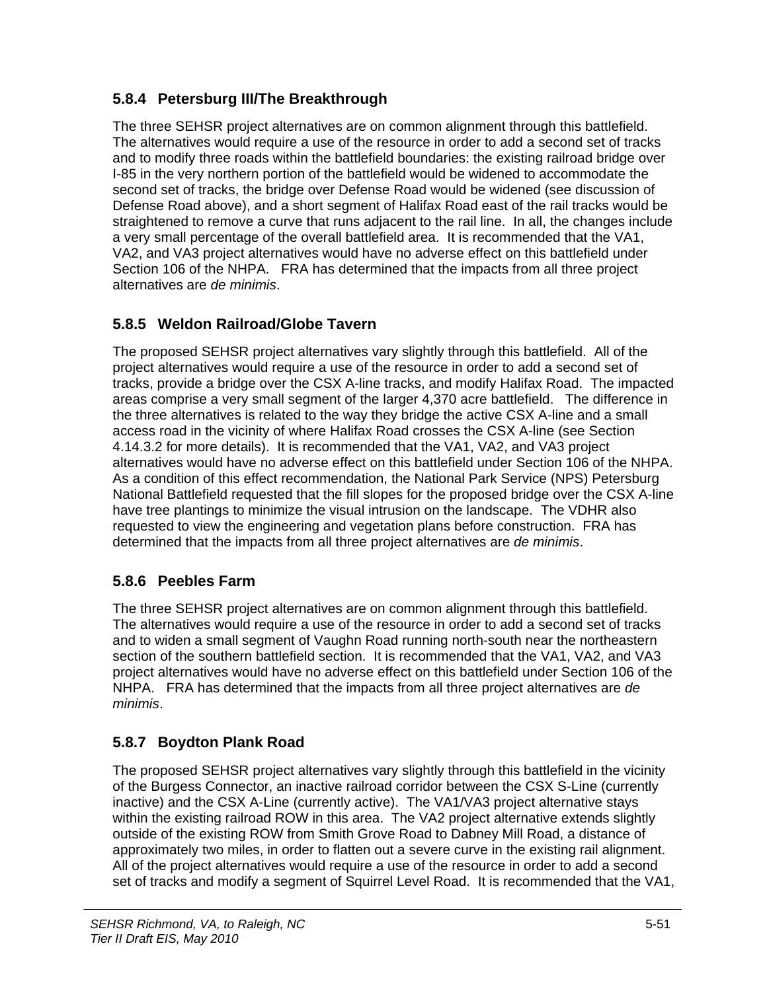## **5.8.4 Petersburg III/The Breakthrough**

The three SEHSR project alternatives are on common alignment through this battlefield. The alternatives would require a use of the resource in order to add a second set of tracks and to modify three roads within the battlefield boundaries: the existing railroad bridge over I-85 in the very northern portion of the battlefield would be widened to accommodate the second set of tracks, the bridge over Defense Road would be widened (see discussion of Defense Road above), and a short segment of Halifax Road east of the rail tracks would be straightened to remove a curve that runs adjacent to the rail line. In all, the changes include a very small percentage of the overall battlefield area. It is recommended that the VA1, VA2, and VA3 project alternatives would have no adverse effect on this battlefield under Section 106 of the NHPA. FRA has determined that the impacts from all three project alternatives are *de minimis*.

## **5.8.5 Weldon Railroad/Globe Tavern**

The proposed SEHSR project alternatives vary slightly through this battlefield. All of the project alternatives would require a use of the resource in order to add a second set of tracks, provide a bridge over the CSX A-line tracks, and modify Halifax Road. The impacted areas comprise a very small segment of the larger 4,370 acre battlefield. The difference in the three alternatives is related to the way they bridge the active CSX A-line and a small access road in the vicinity of where Halifax Road crosses the CSX A-line (see Section 4.14.3.2 for more details). It is recommended that the VA1, VA2, and VA3 project alternatives would have no adverse effect on this battlefield under Section 106 of the NHPA. As a condition of this effect recommendation, the National Park Service (NPS) Petersburg National Battlefield requested that the fill slopes for the proposed bridge over the CSX A-line have tree plantings to minimize the visual intrusion on the landscape. The VDHR also requested to view the engineering and vegetation plans before construction. FRA has determined that the impacts from all three project alternatives are *de minimis*.

#### **5.8.6 Peebles Farm**

The three SEHSR project alternatives are on common alignment through this battlefield. The alternatives would require a use of the resource in order to add a second set of tracks and to widen a small segment of Vaughn Road running north-south near the northeastern section of the southern battlefield section. It is recommended that the VA1, VA2, and VA3 project alternatives would have no adverse effect on this battlefield under Section 106 of the NHPA. FRA has determined that the impacts from all three project alternatives are *de minimis*.

## **5.8.7 Boydton Plank Road**

The proposed SEHSR project alternatives vary slightly through this battlefield in the vicinity of the Burgess Connector, an inactive railroad corridor between the CSX S-Line (currently inactive) and the CSX A-Line (currently active). The VA1/VA3 project alternative stays within the existing railroad ROW in this area. The VA2 project alternative extends slightly outside of the existing ROW from Smith Grove Road to Dabney Mill Road, a distance of approximately two miles, in order to flatten out a severe curve in the existing rail alignment. All of the project alternatives would require a use of the resource in order to add a second set of tracks and modify a segment of Squirrel Level Road. It is recommended that the VA1,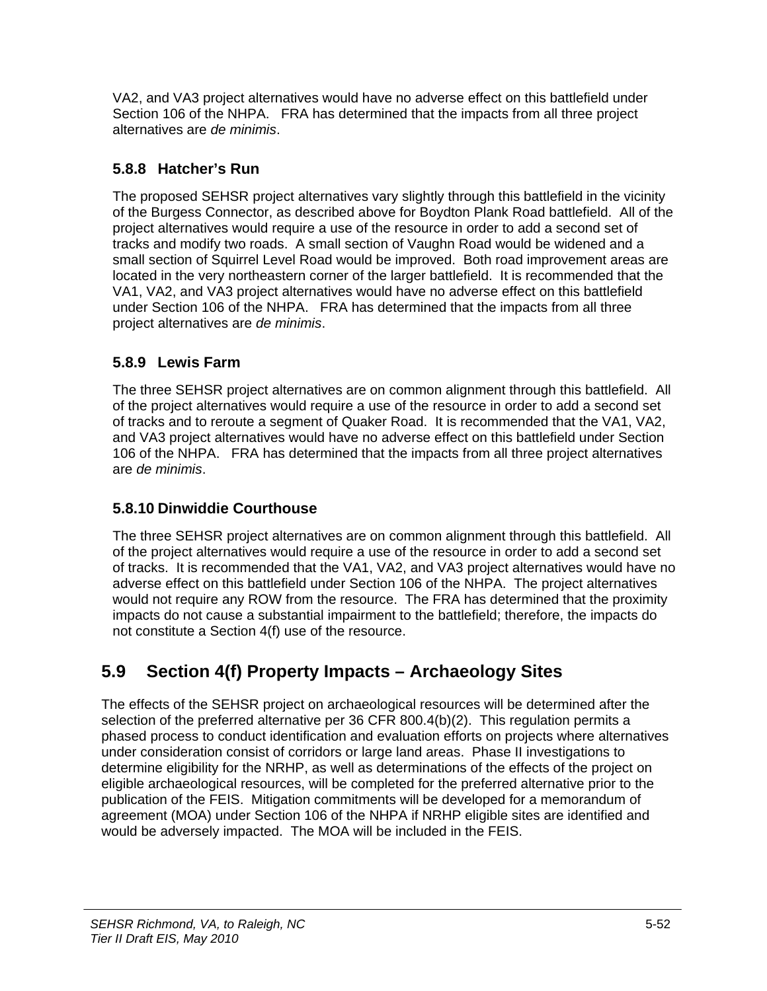VA2, and VA3 project alternatives would have no adverse effect on this battlefield under Section 106 of the NHPA. FRA has determined that the impacts from all three project alternatives are *de minimis*.

#### **5.8.8 Hatcher's Run**

The proposed SEHSR project alternatives vary slightly through this battlefield in the vicinity of the Burgess Connector, as described above for Boydton Plank Road battlefield. All of the project alternatives would require a use of the resource in order to add a second set of tracks and modify two roads. A small section of Vaughn Road would be widened and a small section of Squirrel Level Road would be improved. Both road improvement areas are located in the very northeastern corner of the larger battlefield. It is recommended that the VA1, VA2, and VA3 project alternatives would have no adverse effect on this battlefield under Section 106 of the NHPA. FRA has determined that the impacts from all three project alternatives are *de minimis*.

#### **5.8.9 Lewis Farm**

The three SEHSR project alternatives are on common alignment through this battlefield. All of the project alternatives would require a use of the resource in order to add a second set of tracks and to reroute a segment of Quaker Road. It is recommended that the VA1, VA2, and VA3 project alternatives would have no adverse effect on this battlefield under Section 106 of the NHPA. FRA has determined that the impacts from all three project alternatives are *de minimis*.

#### **5.8.10 Dinwiddie Courthouse**

The three SEHSR project alternatives are on common alignment through this battlefield. All of the project alternatives would require a use of the resource in order to add a second set of tracks. It is recommended that the VA1, VA2, and VA3 project alternatives would have no adverse effect on this battlefield under Section 106 of the NHPA. The project alternatives would not require any ROW from the resource. The FRA has determined that the proximity impacts do not cause a substantial impairment to the battlefield; therefore, the impacts do not constitute a Section 4(f) use of the resource.

# **5.9 Section 4(f) Property Impacts – Archaeology Sites**

The effects of the SEHSR project on archaeological resources will be determined after the selection of the preferred alternative per 36 CFR 800.4(b)(2). This regulation permits a phased process to conduct identification and evaluation efforts on projects where alternatives under consideration consist of corridors or large land areas. Phase II investigations to determine eligibility for the NRHP, as well as determinations of the effects of the project on eligible archaeological resources, will be completed for the preferred alternative prior to the publication of the FEIS. Mitigation commitments will be developed for a memorandum of agreement (MOA) under Section 106 of the NHPA if NRHP eligible sites are identified and would be adversely impacted. The MOA will be included in the FEIS.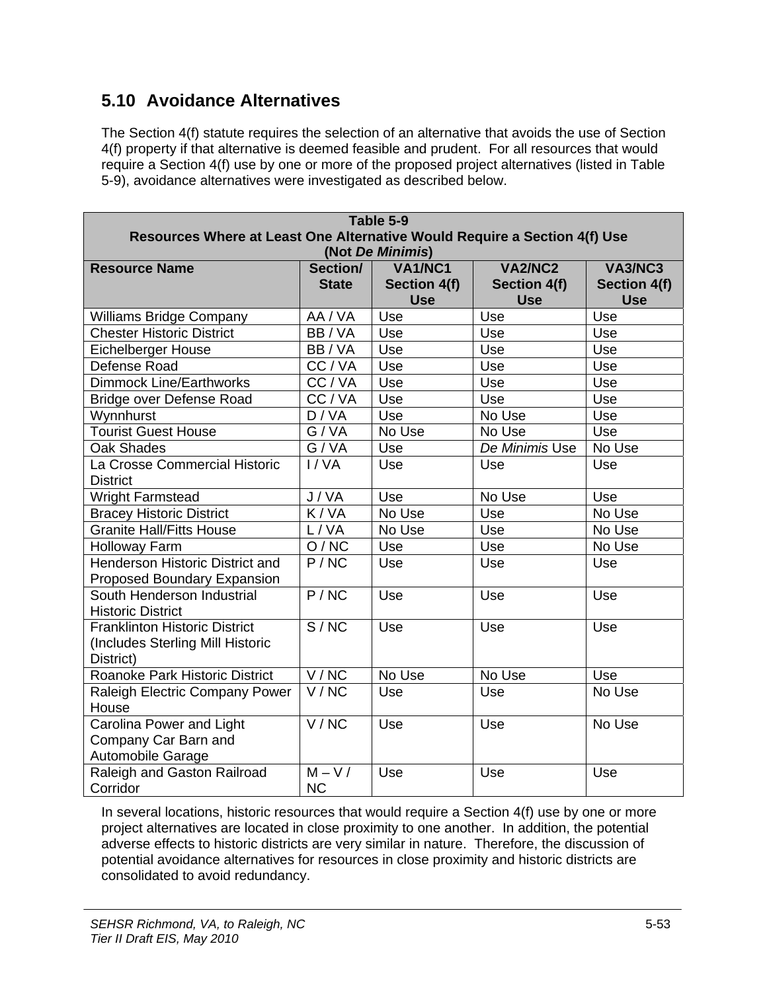# **5.10 Avoidance Alternatives**

The Section 4(f) statute requires the selection of an alternative that avoids the use of Section 4(f) property if that alternative is deemed feasible and prudent. For all resources that would require a Section 4(f) use by one or more of the proposed project alternatives (listed in Table 5-9), avoidance alternatives were investigated as described below.

|                                      | Table 5-9                                                                 |                  |                     |                |  |
|--------------------------------------|---------------------------------------------------------------------------|------------------|---------------------|----------------|--|
|                                      | Resources Where at Least One Alternative Would Require a Section 4(f) Use |                  |                     |                |  |
|                                      |                                                                           | (Not De Minimis) |                     |                |  |
| <b>Resource Name</b>                 | Section/                                                                  | <b>VA1/NC1</b>   | <b>VA2/NC2</b>      | <b>VA3/NC3</b> |  |
|                                      | <b>State</b>                                                              | Section 4(f)     | <b>Section 4(f)</b> | Section 4(f)   |  |
|                                      |                                                                           | <b>Use</b>       | <b>Use</b>          | <b>Use</b>     |  |
| <b>Williams Bridge Company</b>       | AA / VA                                                                   | Use              | Use                 | Use            |  |
| <b>Chester Historic District</b>     | BB/VA                                                                     | Use              | Use                 | Use            |  |
| <b>Eichelberger House</b>            | BB/VA                                                                     | Use              | Use                 | Use            |  |
| Defense Road                         | $\overline{CC}/VA$                                                        | Use              | Use                 | Use            |  |
| <b>Dimmock Line/Earthworks</b>       | CC/VA                                                                     | Use              | Use                 | Use            |  |
| Bridge over Defense Road             | CC/VA                                                                     | Use              | Use                 | Use            |  |
| Wynnhurst                            | D/VA                                                                      | Use              | No Use              | Use            |  |
| <b>Tourist Guest House</b>           | G/VA                                                                      | No Use           | No Use              | Use            |  |
| <b>Oak Shades</b>                    | G/VA                                                                      | Use              | De Minimis Use      | No Use         |  |
| La Crosse Commercial Historic        | I/VA                                                                      | Use              | Use                 | Use            |  |
| <b>District</b>                      |                                                                           |                  |                     |                |  |
| <b>Wright Farmstead</b>              | J/VA                                                                      | Use              | No Use              | Use            |  |
| <b>Bracey Historic District</b>      | K/VA                                                                      | No Use           | Use                 | No Use         |  |
| <b>Granite Hall/Fitts House</b>      | L/VA                                                                      | No Use           | Use                 | No Use         |  |
| <b>Holloway Farm</b>                 | O/NC                                                                      | Use              | Use                 | No Use         |  |
| Henderson Historic District and      | P/NC                                                                      | Use              | Use                 | Use            |  |
| Proposed Boundary Expansion          |                                                                           |                  |                     |                |  |
| South Henderson Industrial           | P/NC                                                                      | Use              | Use                 | Use            |  |
| <b>Historic District</b>             |                                                                           |                  |                     |                |  |
| <b>Franklinton Historic District</b> | S/NC                                                                      | Use              | Use                 | Use            |  |
| (Includes Sterling Mill Historic     |                                                                           |                  |                     |                |  |
| District)                            |                                                                           |                  |                     |                |  |
| Roanoke Park Historic District       | V/NC                                                                      | No Use           | No Use              | Use            |  |
| Raleigh Electric Company Power       | V/NC                                                                      | Use              | Use                 | No Use         |  |
| House                                |                                                                           |                  |                     |                |  |
| Carolina Power and Light             | V/NC                                                                      | Use              | Use                 | No Use         |  |
| Company Car Barn and                 |                                                                           |                  |                     |                |  |
| Automobile Garage                    |                                                                           |                  |                     |                |  |
| Raleigh and Gaston Railroad          | $M - V/$                                                                  | Use              | Use                 | Use            |  |
| Corridor                             | <b>NC</b>                                                                 |                  |                     |                |  |

In several locations, historic resources that would require a Section 4(f) use by one or more project alternatives are located in close proximity to one another. In addition, the potential adverse effects to historic districts are very similar in nature. Therefore, the discussion of potential avoidance alternatives for resources in close proximity and historic districts are consolidated to avoid redundancy.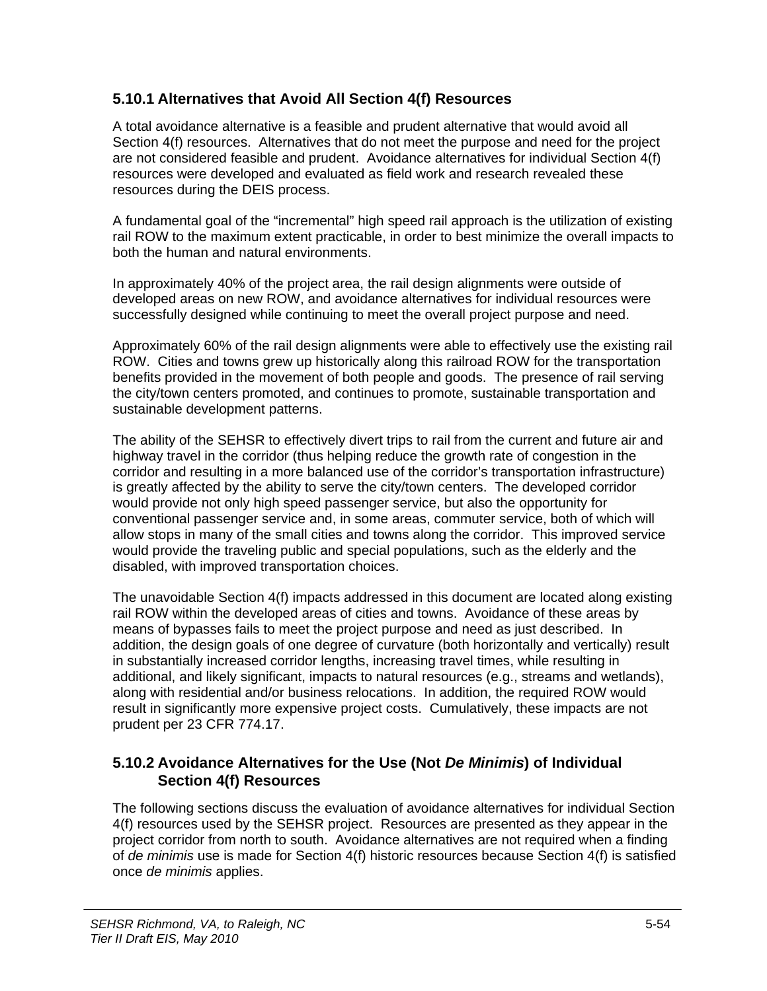#### **5.10.1 Alternatives that Avoid All Section 4(f) Resources**

A total avoidance alternative is a feasible and prudent alternative that would avoid all Section 4(f) resources. Alternatives that do not meet the purpose and need for the project are not considered feasible and prudent. Avoidance alternatives for individual Section 4(f) resources were developed and evaluated as field work and research revealed these resources during the DEIS process.

A fundamental goal of the "incremental" high speed rail approach is the utilization of existing rail ROW to the maximum extent practicable, in order to best minimize the overall impacts to both the human and natural environments.

In approximately 40% of the project area, the rail design alignments were outside of developed areas on new ROW, and avoidance alternatives for individual resources were successfully designed while continuing to meet the overall project purpose and need.

Approximately 60% of the rail design alignments were able to effectively use the existing rail ROW. Cities and towns grew up historically along this railroad ROW for the transportation benefits provided in the movement of both people and goods. The presence of rail serving the city/town centers promoted, and continues to promote, sustainable transportation and sustainable development patterns.

The ability of the SEHSR to effectively divert trips to rail from the current and future air and highway travel in the corridor (thus helping reduce the growth rate of congestion in the corridor and resulting in a more balanced use of the corridor's transportation infrastructure) is greatly affected by the ability to serve the city/town centers. The developed corridor would provide not only high speed passenger service, but also the opportunity for conventional passenger service and, in some areas, commuter service, both of which will allow stops in many of the small cities and towns along the corridor. This improved service would provide the traveling public and special populations, such as the elderly and the disabled, with improved transportation choices.

The unavoidable Section 4(f) impacts addressed in this document are located along existing rail ROW within the developed areas of cities and towns. Avoidance of these areas by means of bypasses fails to meet the project purpose and need as just described. In addition, the design goals of one degree of curvature (both horizontally and vertically) result in substantially increased corridor lengths, increasing travel times, while resulting in additional, and likely significant, impacts to natural resources (e.g., streams and wetlands), along with residential and/or business relocations. In addition, the required ROW would result in significantly more expensive project costs. Cumulatively, these impacts are not prudent per 23 CFR 774.17.

#### **5.10.2 Avoidance Alternatives for the Use (Not** *De Minimis***) of Individual Section 4(f) Resources**

The following sections discuss the evaluation of avoidance alternatives for individual Section 4(f) resources used by the SEHSR project. Resources are presented as they appear in the project corridor from north to south. Avoidance alternatives are not required when a finding of *de minimis* use is made for Section 4(f) historic resources because Section 4(f) is satisfied once *de minimis* applies.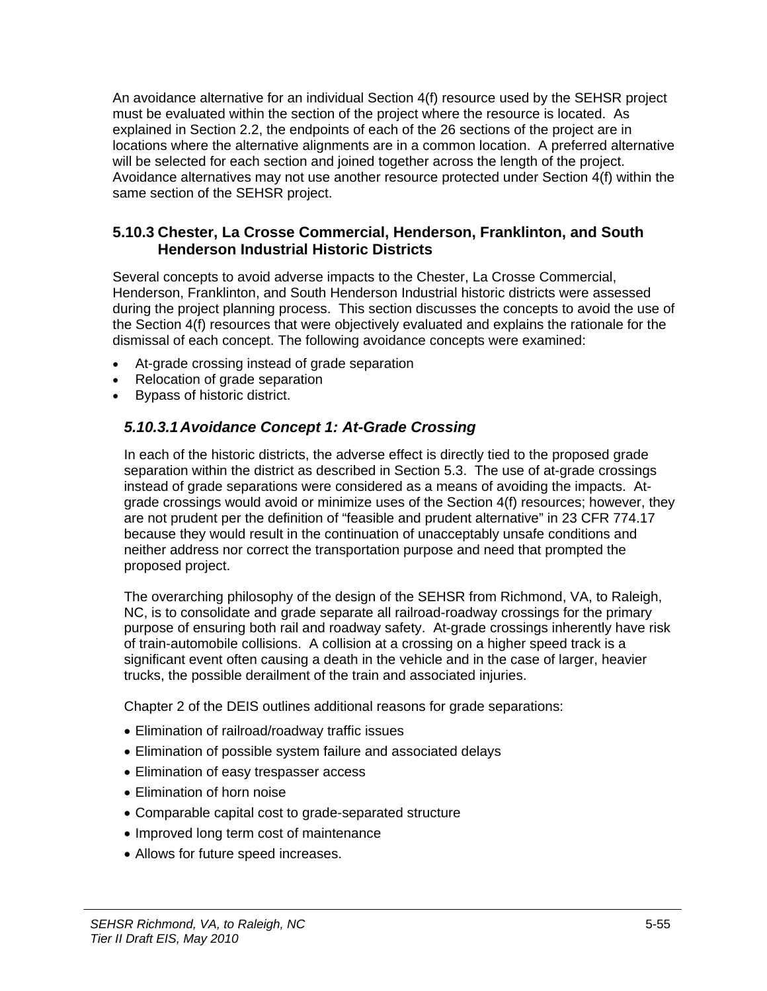An avoidance alternative for an individual Section 4(f) resource used by the SEHSR project must be evaluated within the section of the project where the resource is located. As explained in Section 2.2, the endpoints of each of the 26 sections of the project are in locations where the alternative alignments are in a common location. A preferred alternative will be selected for each section and joined together across the length of the project. Avoidance alternatives may not use another resource protected under Section 4(f) within the same section of the SEHSR project.

#### **5.10.3 Chester, La Crosse Commercial, Henderson, Franklinton, and South Henderson Industrial Historic Districts**

Several concepts to avoid adverse impacts to the Chester, La Crosse Commercial, Henderson, Franklinton, and South Henderson Industrial historic districts were assessed during the project planning process. This section discusses the concepts to avoid the use of the Section 4(f) resources that were objectively evaluated and explains the rationale for the dismissal of each concept. The following avoidance concepts were examined:

- At-grade crossing instead of grade separation
- Relocation of grade separation
- Bypass of historic district.

#### *5.10.3.1 Avoidance Concept 1: At-Grade Crossing*

In each of the historic districts, the adverse effect is directly tied to the proposed grade separation within the district as described in Section 5.3. The use of at-grade crossings instead of grade separations were considered as a means of avoiding the impacts. Atgrade crossings would avoid or minimize uses of the Section 4(f) resources; however, they are not prudent per the definition of "feasible and prudent alternative" in 23 CFR 774.17 because they would result in the continuation of unacceptably unsafe conditions and neither address nor correct the transportation purpose and need that prompted the proposed project.

The overarching philosophy of the design of the SEHSR from Richmond, VA, to Raleigh, NC, is to consolidate and grade separate all railroad-roadway crossings for the primary purpose of ensuring both rail and roadway safety. At-grade crossings inherently have risk of train-automobile collisions. A collision at a crossing on a higher speed track is a significant event often causing a death in the vehicle and in the case of larger, heavier trucks, the possible derailment of the train and associated injuries.

Chapter 2 of the DEIS outlines additional reasons for grade separations:

- Elimination of railroad/roadway traffic issues
- Elimination of possible system failure and associated delays
- Elimination of easy trespasser access
- Elimination of horn noise
- Comparable capital cost to grade-separated structure
- Improved long term cost of maintenance
- Allows for future speed increases.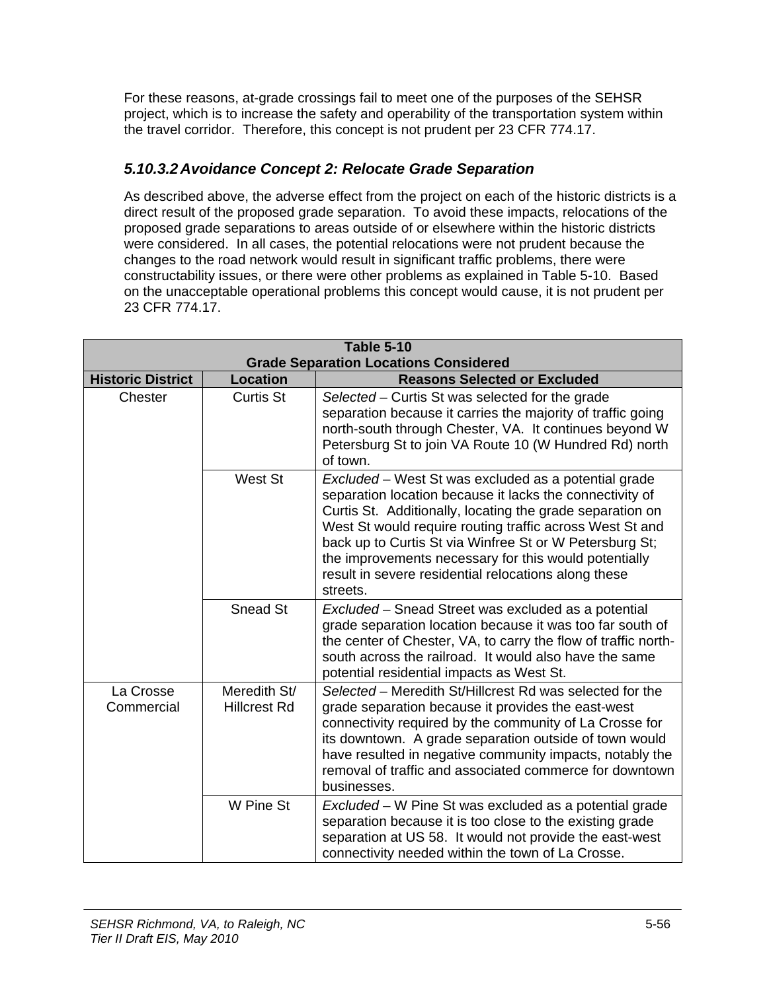For these reasons, at-grade crossings fail to meet one of the purposes of the SEHSR project, which is to increase the safety and operability of the transportation system within the travel corridor. Therefore, this concept is not prudent per 23 CFR 774.17.

#### *5.10.3.2 Avoidance Concept 2: Relocate Grade Separation*

As described above, the adverse effect from the project on each of the historic districts is a direct result of the proposed grade separation. To avoid these impacts, relocations of the proposed grade separations to areas outside of or elsewhere within the historic districts were considered. In all cases, the potential relocations were not prudent because the changes to the road network would result in significant traffic problems, there were constructability issues, or there were other problems as explained in Table 5-10. Based on the unacceptable operational problems this concept would cause, it is not prudent per 23 CFR 774.17.

| <b>Table 5-10</b><br><b>Grade Separation Locations Considered</b> |                                     |                                                                                                                                                                                                                                                                                                                                                                                                                                   |
|-------------------------------------------------------------------|-------------------------------------|-----------------------------------------------------------------------------------------------------------------------------------------------------------------------------------------------------------------------------------------------------------------------------------------------------------------------------------------------------------------------------------------------------------------------------------|
| <b>Historic District</b>                                          | Location                            | <b>Reasons Selected or Excluded</b>                                                                                                                                                                                                                                                                                                                                                                                               |
| Chester                                                           | Curtis St                           | Selected – Curtis St was selected for the grade<br>separation because it carries the majority of traffic going<br>north-south through Chester, VA. It continues beyond W<br>Petersburg St to join VA Route 10 (W Hundred Rd) north<br>of town.                                                                                                                                                                                    |
|                                                                   | West St                             | Excluded - West St was excluded as a potential grade<br>separation location because it lacks the connectivity of<br>Curtis St. Additionally, locating the grade separation on<br>West St would require routing traffic across West St and<br>back up to Curtis St via Winfree St or W Petersburg St;<br>the improvements necessary for this would potentially<br>result in severe residential relocations along these<br>streets. |
|                                                                   | Snead St                            | Excluded – Snead Street was excluded as a potential<br>grade separation location because it was too far south of<br>the center of Chester, VA, to carry the flow of traffic north-<br>south across the railroad. It would also have the same<br>potential residential impacts as West St.                                                                                                                                         |
| La Crosse<br>Commercial                                           | Meredith St/<br><b>Hillcrest Rd</b> | Selected - Meredith St/Hillcrest Rd was selected for the<br>grade separation because it provides the east-west<br>connectivity required by the community of La Crosse for<br>its downtown. A grade separation outside of town would<br>have resulted in negative community impacts, notably the<br>removal of traffic and associated commerce for downtown<br>businesses.                                                         |
|                                                                   | W Pine St                           | Excluded – W Pine St was excluded as a potential grade<br>separation because it is too close to the existing grade<br>separation at US 58. It would not provide the east-west<br>connectivity needed within the town of La Crosse.                                                                                                                                                                                                |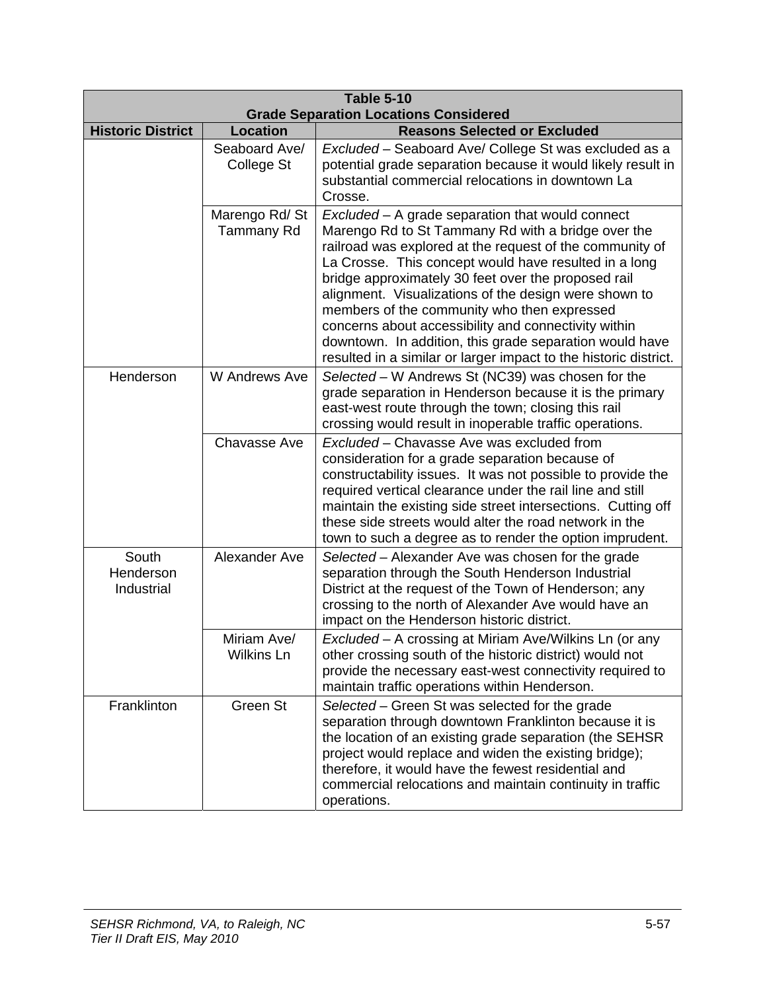| <b>Table 5-10</b><br><b>Grade Separation Locations Considered</b> |                                    |                                                                                                                                                                                                                                                                                                                                                                                                                                                                                                                                                                                   |
|-------------------------------------------------------------------|------------------------------------|-----------------------------------------------------------------------------------------------------------------------------------------------------------------------------------------------------------------------------------------------------------------------------------------------------------------------------------------------------------------------------------------------------------------------------------------------------------------------------------------------------------------------------------------------------------------------------------|
| <b>Historic District</b>                                          | <b>Location</b>                    | <b>Reasons Selected or Excluded</b>                                                                                                                                                                                                                                                                                                                                                                                                                                                                                                                                               |
|                                                                   | Seaboard Ave/<br>College St        | Excluded - Seaboard Ave/ College St was excluded as a<br>potential grade separation because it would likely result in<br>substantial commercial relocations in downtown La<br>Crosse.                                                                                                                                                                                                                                                                                                                                                                                             |
|                                                                   | Marengo Rd/St<br><b>Tammany Rd</b> | Excluded - A grade separation that would connect<br>Marengo Rd to St Tammany Rd with a bridge over the<br>railroad was explored at the request of the community of<br>La Crosse. This concept would have resulted in a long<br>bridge approximately 30 feet over the proposed rail<br>alignment. Visualizations of the design were shown to<br>members of the community who then expressed<br>concerns about accessibility and connectivity within<br>downtown. In addition, this grade separation would have<br>resulted in a similar or larger impact to the historic district. |
| Henderson                                                         | W Andrews Ave                      | Selected - W Andrews St (NC39) was chosen for the<br>grade separation in Henderson because it is the primary<br>east-west route through the town; closing this rail<br>crossing would result in inoperable traffic operations.                                                                                                                                                                                                                                                                                                                                                    |
|                                                                   | <b>Chavasse Ave</b>                | Excluded - Chavasse Ave was excluded from<br>consideration for a grade separation because of<br>constructability issues. It was not possible to provide the<br>required vertical clearance under the rail line and still<br>maintain the existing side street intersections. Cutting off<br>these side streets would alter the road network in the<br>town to such a degree as to render the option imprudent.                                                                                                                                                                    |
| South<br>Henderson<br>Industrial                                  | Alexander Ave                      | Selected – Alexander Ave was chosen for the grade<br>separation through the South Henderson Industrial<br>District at the request of the Town of Henderson; any<br>crossing to the north of Alexander Ave would have an<br>impact on the Henderson historic district.                                                                                                                                                                                                                                                                                                             |
|                                                                   | Miriam Ave/<br><b>Wilkins Ln</b>   | Excluded - A crossing at Miriam Ave/Wilkins Ln (or any<br>other crossing south of the historic district) would not<br>provide the necessary east-west connectivity required to<br>maintain traffic operations within Henderson.                                                                                                                                                                                                                                                                                                                                                   |
| Franklinton                                                       | Green St                           | Selected – Green St was selected for the grade<br>separation through downtown Franklinton because it is<br>the location of an existing grade separation (the SEHSR<br>project would replace and widen the existing bridge);<br>therefore, it would have the fewest residential and<br>commercial relocations and maintain continuity in traffic<br>operations.                                                                                                                                                                                                                    |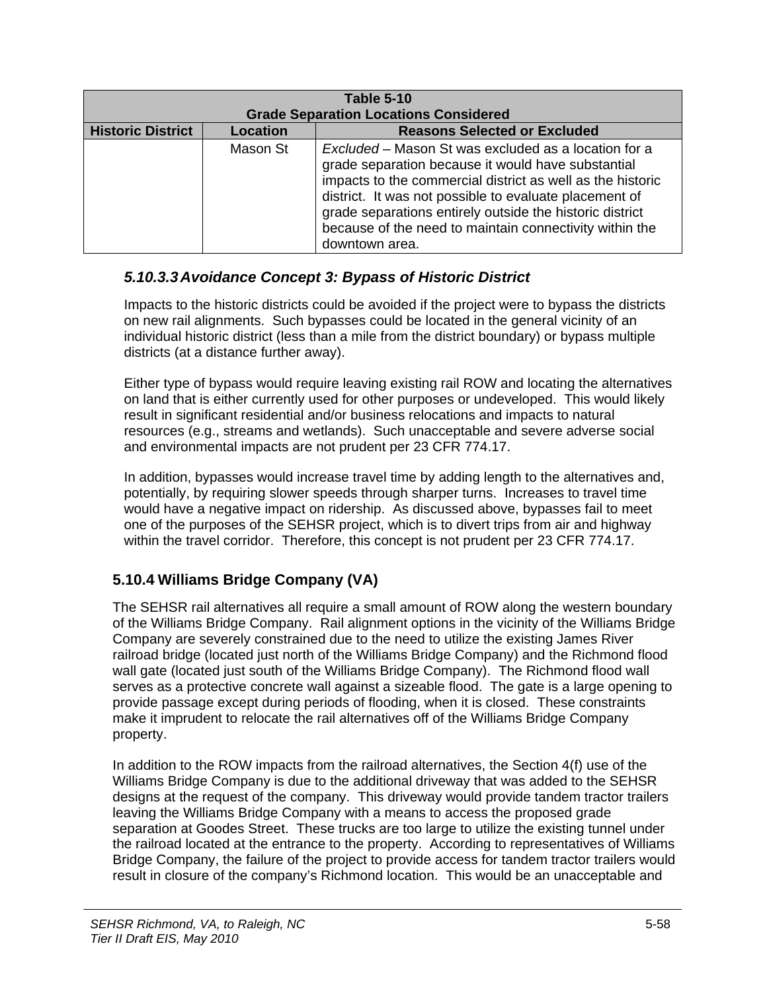| <b>Table 5-10</b><br><b>Grade Separation Locations Considered</b> |                                                 |                                                                                                                                                                                                                                                                                                                                                                             |
|-------------------------------------------------------------------|-------------------------------------------------|-----------------------------------------------------------------------------------------------------------------------------------------------------------------------------------------------------------------------------------------------------------------------------------------------------------------------------------------------------------------------------|
| <b>Historic District</b>                                          | <b>Reasons Selected or Excluded</b><br>Location |                                                                                                                                                                                                                                                                                                                                                                             |
|                                                                   | Mason St                                        | Excluded - Mason St was excluded as a location for a<br>grade separation because it would have substantial<br>impacts to the commercial district as well as the historic<br>district. It was not possible to evaluate placement of<br>grade separations entirely outside the historic district<br>because of the need to maintain connectivity within the<br>downtown area. |

#### *5.10.3.3 Avoidance Concept 3: Bypass of Historic District*

Impacts to the historic districts could be avoided if the project were to bypass the districts on new rail alignments. Such bypasses could be located in the general vicinity of an individual historic district (less than a mile from the district boundary) or bypass multiple districts (at a distance further away).

Either type of bypass would require leaving existing rail ROW and locating the alternatives on land that is either currently used for other purposes or undeveloped. This would likely result in significant residential and/or business relocations and impacts to natural resources (e.g., streams and wetlands). Such unacceptable and severe adverse social and environmental impacts are not prudent per 23 CFR 774.17.

In addition, bypasses would increase travel time by adding length to the alternatives and, potentially, by requiring slower speeds through sharper turns. Increases to travel time would have a negative impact on ridership. As discussed above, bypasses fail to meet one of the purposes of the SEHSR project, which is to divert trips from air and highway within the travel corridor. Therefore, this concept is not prudent per 23 CFR 774.17.

#### **5.10.4 Williams Bridge Company (VA)**

The SEHSR rail alternatives all require a small amount of ROW along the western boundary of the Williams Bridge Company. Rail alignment options in the vicinity of the Williams Bridge Company are severely constrained due to the need to utilize the existing James River railroad bridge (located just north of the Williams Bridge Company) and the Richmond flood wall gate (located just south of the Williams Bridge Company). The Richmond flood wall serves as a protective concrete wall against a sizeable flood. The gate is a large opening to provide passage except during periods of flooding, when it is closed. These constraints make it imprudent to relocate the rail alternatives off of the Williams Bridge Company property.

In addition to the ROW impacts from the railroad alternatives, the Section 4(f) use of the Williams Bridge Company is due to the additional driveway that was added to the SEHSR designs at the request of the company. This driveway would provide tandem tractor trailers leaving the Williams Bridge Company with a means to access the proposed grade separation at Goodes Street. These trucks are too large to utilize the existing tunnel under the railroad located at the entrance to the property. According to representatives of Williams Bridge Company, the failure of the project to provide access for tandem tractor trailers would result in closure of the company's Richmond location. This would be an unacceptable and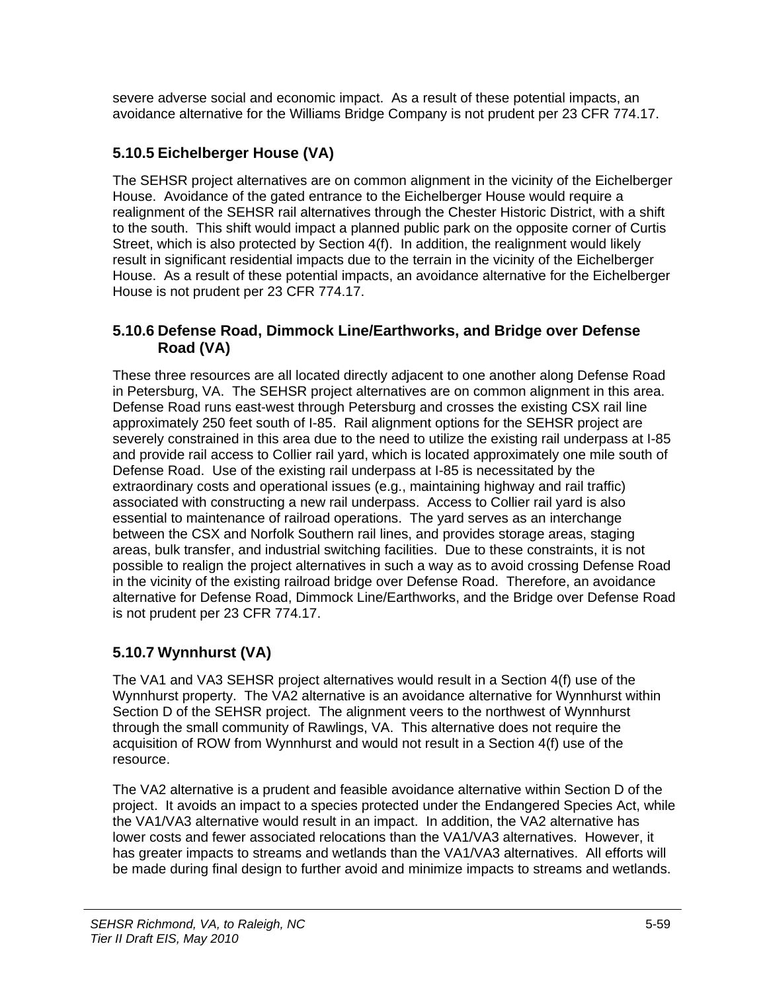severe adverse social and economic impact. As a result of these potential impacts, an avoidance alternative for the Williams Bridge Company is not prudent per 23 CFR 774.17.

## **5.10.5 Eichelberger House (VA)**

The SEHSR project alternatives are on common alignment in the vicinity of the Eichelberger House. Avoidance of the gated entrance to the Eichelberger House would require a realignment of the SEHSR rail alternatives through the Chester Historic District, with a shift to the south. This shift would impact a planned public park on the opposite corner of Curtis Street, which is also protected by Section 4(f). In addition, the realignment would likely result in significant residential impacts due to the terrain in the vicinity of the Eichelberger House. As a result of these potential impacts, an avoidance alternative for the Eichelberger House is not prudent per 23 CFR 774.17.

#### **5.10.6 Defense Road, Dimmock Line/Earthworks, and Bridge over Defense Road (VA)**

These three resources are all located directly adjacent to one another along Defense Road in Petersburg, VA. The SEHSR project alternatives are on common alignment in this area. Defense Road runs east-west through Petersburg and crosses the existing CSX rail line approximately 250 feet south of I-85. Rail alignment options for the SEHSR project are severely constrained in this area due to the need to utilize the existing rail underpass at I-85 and provide rail access to Collier rail yard, which is located approximately one mile south of Defense Road. Use of the existing rail underpass at I-85 is necessitated by the extraordinary costs and operational issues (e.g., maintaining highway and rail traffic) associated with constructing a new rail underpass. Access to Collier rail yard is also essential to maintenance of railroad operations. The yard serves as an interchange between the CSX and Norfolk Southern rail lines, and provides storage areas, staging areas, bulk transfer, and industrial switching facilities. Due to these constraints, it is not possible to realign the project alternatives in such a way as to avoid crossing Defense Road in the vicinity of the existing railroad bridge over Defense Road. Therefore, an avoidance alternative for Defense Road, Dimmock Line/Earthworks, and the Bridge over Defense Road is not prudent per 23 CFR 774.17.

## **5.10.7 Wynnhurst (VA)**

The VA1 and VA3 SEHSR project alternatives would result in a Section 4(f) use of the Wynnhurst property. The VA2 alternative is an avoidance alternative for Wynnhurst within Section D of the SEHSR project. The alignment veers to the northwest of Wynnhurst through the small community of Rawlings, VA. This alternative does not require the acquisition of ROW from Wynnhurst and would not result in a Section 4(f) use of the resource.

The VA2 alternative is a prudent and feasible avoidance alternative within Section D of the project. It avoids an impact to a species protected under the Endangered Species Act, while the VA1/VA3 alternative would result in an impact. In addition, the VA2 alternative has lower costs and fewer associated relocations than the VA1/VA3 alternatives. However, it has greater impacts to streams and wetlands than the VA1/VA3 alternatives. All efforts will be made during final design to further avoid and minimize impacts to streams and wetlands.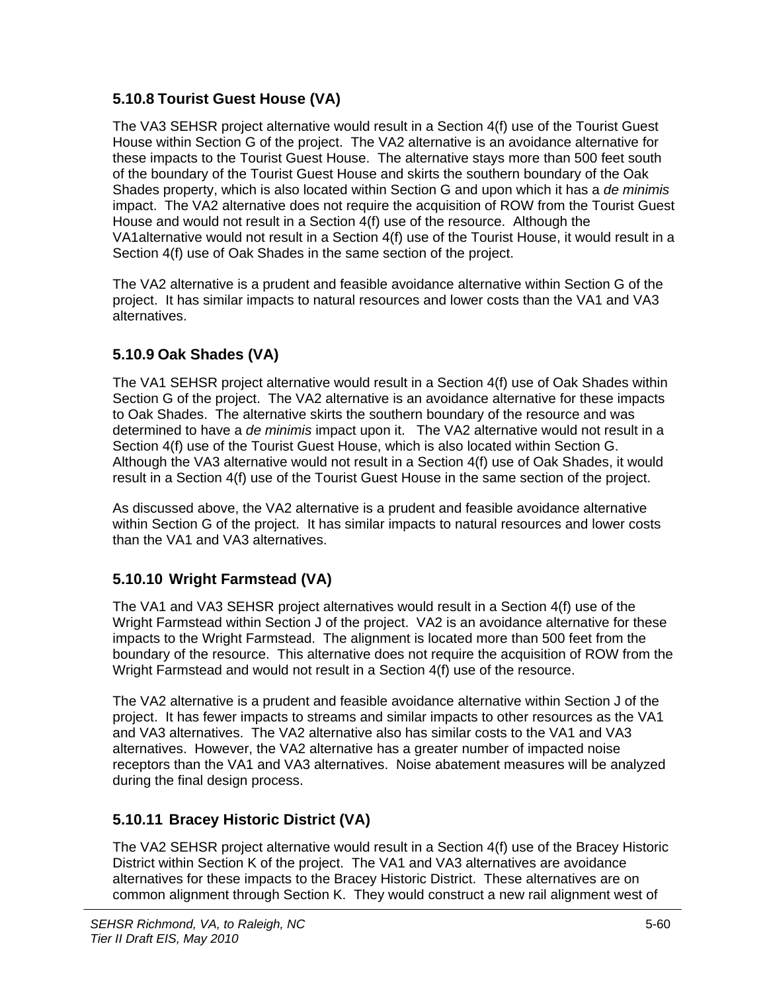#### **5.10.8 Tourist Guest House (VA)**

The VA3 SEHSR project alternative would result in a Section 4(f) use of the Tourist Guest House within Section G of the project. The VA2 alternative is an avoidance alternative for these impacts to the Tourist Guest House. The alternative stays more than 500 feet south of the boundary of the Tourist Guest House and skirts the southern boundary of the Oak Shades property, which is also located within Section G and upon which it has a *de minimis*  impact. The VA2 alternative does not require the acquisition of ROW from the Tourist Guest House and would not result in a Section 4(f) use of the resource. Although the VA1alternative would not result in a Section 4(f) use of the Tourist House, it would result in a Section 4(f) use of Oak Shades in the same section of the project.

The VA2 alternative is a prudent and feasible avoidance alternative within Section G of the project. It has similar impacts to natural resources and lower costs than the VA1 and VA3 alternatives.

#### **5.10.9 Oak Shades (VA)**

The VA1 SEHSR project alternative would result in a Section 4(f) use of Oak Shades within Section G of the project. The VA2 alternative is an avoidance alternative for these impacts to Oak Shades. The alternative skirts the southern boundary of the resource and was determined to have a *de minimis* impact upon it. The VA2 alternative would not result in a Section 4(f) use of the Tourist Guest House, which is also located within Section G. Although the VA3 alternative would not result in a Section 4(f) use of Oak Shades, it would result in a Section 4(f) use of the Tourist Guest House in the same section of the project.

As discussed above, the VA2 alternative is a prudent and feasible avoidance alternative within Section G of the project. It has similar impacts to natural resources and lower costs than the VA1 and VA3 alternatives.

#### **5.10.10 Wright Farmstead (VA)**

The VA1 and VA3 SEHSR project alternatives would result in a Section 4(f) use of the Wright Farmstead within Section J of the project. VA2 is an avoidance alternative for these impacts to the Wright Farmstead. The alignment is located more than 500 feet from the boundary of the resource. This alternative does not require the acquisition of ROW from the Wright Farmstead and would not result in a Section 4(f) use of the resource.

The VA2 alternative is a prudent and feasible avoidance alternative within Section J of the project. It has fewer impacts to streams and similar impacts to other resources as the VA1 and VA3 alternatives. The VA2 alternative also has similar costs to the VA1 and VA3 alternatives. However, the VA2 alternative has a greater number of impacted noise receptors than the VA1 and VA3 alternatives. Noise abatement measures will be analyzed during the final design process.

## **5.10.11 Bracey Historic District (VA)**

The VA2 SEHSR project alternative would result in a Section 4(f) use of the Bracey Historic District within Section K of the project. The VA1 and VA3 alternatives are avoidance alternatives for these impacts to the Bracey Historic District. These alternatives are on common alignment through Section K. They would construct a new rail alignment west of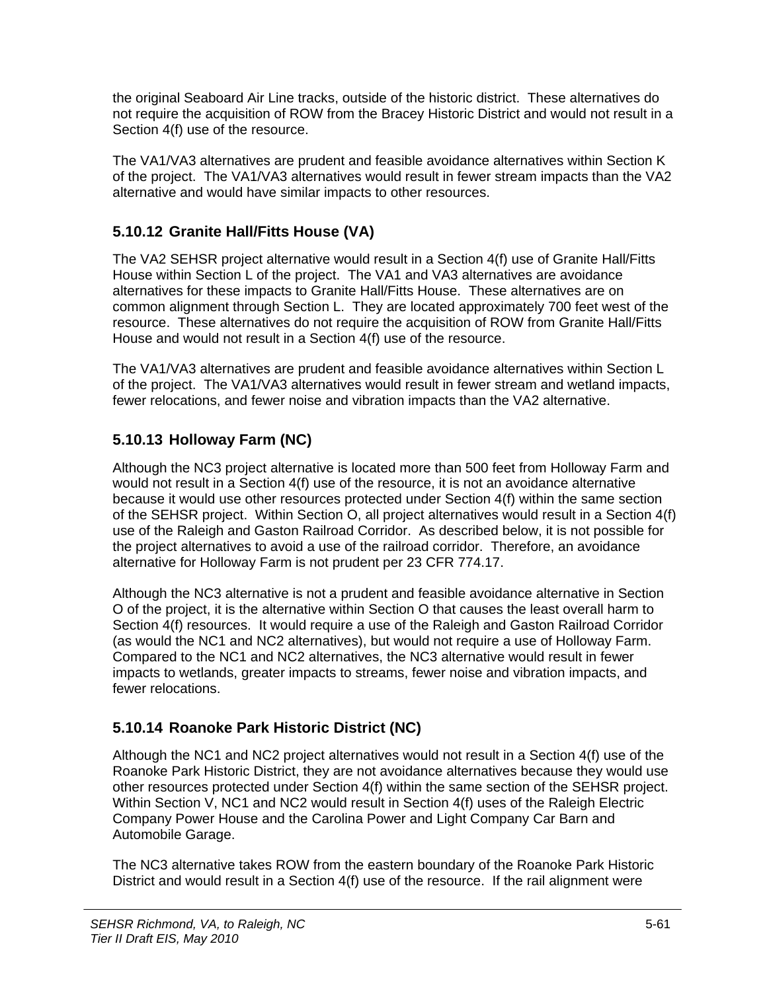the original Seaboard Air Line tracks, outside of the historic district. These alternatives do not require the acquisition of ROW from the Bracey Historic District and would not result in a Section 4(f) use of the resource.

The VA1/VA3 alternatives are prudent and feasible avoidance alternatives within Section K of the project. The VA1/VA3 alternatives would result in fewer stream impacts than the VA2 alternative and would have similar impacts to other resources.

#### **5.10.12 Granite Hall/Fitts House (VA)**

The VA2 SEHSR project alternative would result in a Section 4(f) use of Granite Hall/Fitts House within Section L of the project. The VA1 and VA3 alternatives are avoidance alternatives for these impacts to Granite Hall/Fitts House. These alternatives are on common alignment through Section L. They are located approximately 700 feet west of the resource. These alternatives do not require the acquisition of ROW from Granite Hall/Fitts House and would not result in a Section 4(f) use of the resource.

The VA1/VA3 alternatives are prudent and feasible avoidance alternatives within Section L of the project. The VA1/VA3 alternatives would result in fewer stream and wetland impacts, fewer relocations, and fewer noise and vibration impacts than the VA2 alternative.

## **5.10.13 Holloway Farm (NC)**

Although the NC3 project alternative is located more than 500 feet from Holloway Farm and would not result in a Section 4(f) use of the resource, it is not an avoidance alternative because it would use other resources protected under Section 4(f) within the same section of the SEHSR project. Within Section O, all project alternatives would result in a Section 4(f) use of the Raleigh and Gaston Railroad Corridor. As described below, it is not possible for the project alternatives to avoid a use of the railroad corridor. Therefore, an avoidance alternative for Holloway Farm is not prudent per 23 CFR 774.17.

Although the NC3 alternative is not a prudent and feasible avoidance alternative in Section O of the project, it is the alternative within Section O that causes the least overall harm to Section 4(f) resources. It would require a use of the Raleigh and Gaston Railroad Corridor (as would the NC1 and NC2 alternatives), but would not require a use of Holloway Farm. Compared to the NC1 and NC2 alternatives, the NC3 alternative would result in fewer impacts to wetlands, greater impacts to streams, fewer noise and vibration impacts, and fewer relocations.

## **5.10.14 Roanoke Park Historic District (NC)**

Although the NC1 and NC2 project alternatives would not result in a Section 4(f) use of the Roanoke Park Historic District, they are not avoidance alternatives because they would use other resources protected under Section 4(f) within the same section of the SEHSR project. Within Section V, NC1 and NC2 would result in Section 4(f) uses of the Raleigh Electric Company Power House and the Carolina Power and Light Company Car Barn and Automobile Garage.

The NC3 alternative takes ROW from the eastern boundary of the Roanoke Park Historic District and would result in a Section 4(f) use of the resource. If the rail alignment were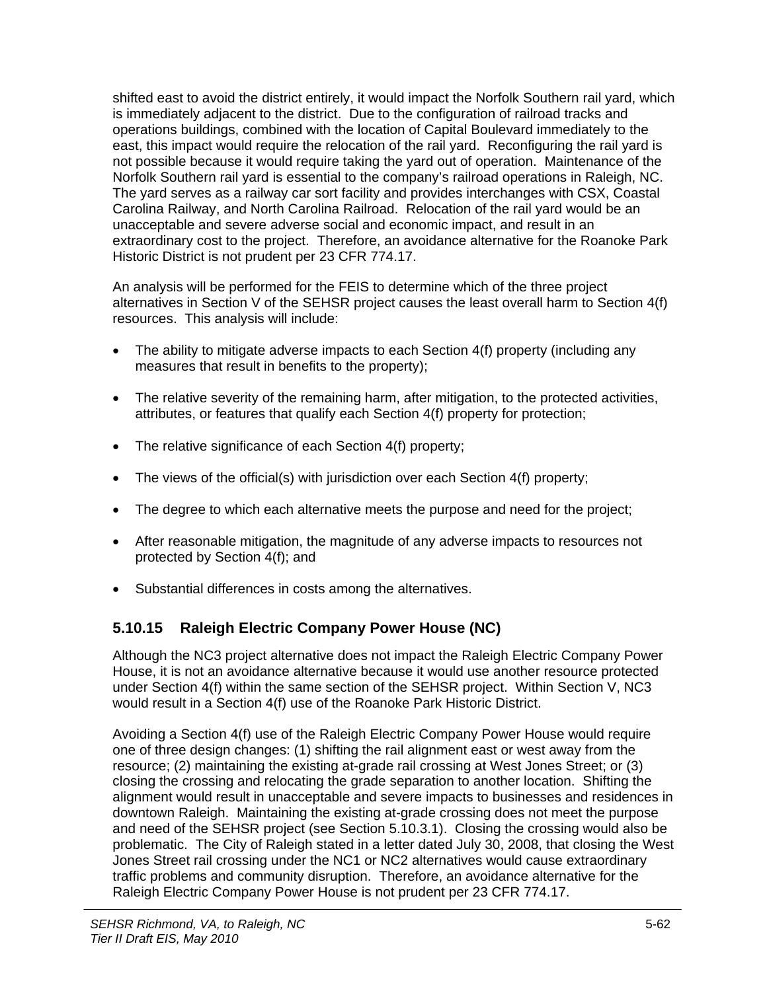shifted east to avoid the district entirely, it would impact the Norfolk Southern rail yard, which is immediately adjacent to the district. Due to the configuration of railroad tracks and operations buildings, combined with the location of Capital Boulevard immediately to the east, this impact would require the relocation of the rail yard. Reconfiguring the rail yard is not possible because it would require taking the yard out of operation. Maintenance of the Norfolk Southern rail yard is essential to the company's railroad operations in Raleigh, NC. The yard serves as a railway car sort facility and provides interchanges with CSX, Coastal Carolina Railway, and North Carolina Railroad. Relocation of the rail yard would be an unacceptable and severe adverse social and economic impact, and result in an extraordinary cost to the project. Therefore, an avoidance alternative for the Roanoke Park Historic District is not prudent per 23 CFR 774.17.

An analysis will be performed for the FEIS to determine which of the three project alternatives in Section V of the SEHSR project causes the least overall harm to Section 4(f) resources. This analysis will include:

- The ability to mitigate adverse impacts to each Section 4(f) property (including any measures that result in benefits to the property);
- The relative severity of the remaining harm, after mitigation, to the protected activities, attributes, or features that qualify each Section 4(f) property for protection;
- The relative significance of each Section 4(f) property;
- The views of the official(s) with jurisdiction over each Section 4(f) property;
- The degree to which each alternative meets the purpose and need for the project;
- After reasonable mitigation, the magnitude of any adverse impacts to resources not protected by Section 4(f); and
- Substantial differences in costs among the alternatives.

## **5.10.15 Raleigh Electric Company Power House (NC)**

Although the NC3 project alternative does not impact the Raleigh Electric Company Power House, it is not an avoidance alternative because it would use another resource protected under Section 4(f) within the same section of the SEHSR project. Within Section V, NC3 would result in a Section 4(f) use of the Roanoke Park Historic District.

Avoiding a Section 4(f) use of the Raleigh Electric Company Power House would require one of three design changes: (1) shifting the rail alignment east or west away from the resource; (2) maintaining the existing at-grade rail crossing at West Jones Street; or (3) closing the crossing and relocating the grade separation to another location. Shifting the alignment would result in unacceptable and severe impacts to businesses and residences in downtown Raleigh. Maintaining the existing at-grade crossing does not meet the purpose and need of the SEHSR project (see Section 5.10.3.1). Closing the crossing would also be problematic. The City of Raleigh stated in a letter dated July 30, 2008, that closing the West Jones Street rail crossing under the NC1 or NC2 alternatives would cause extraordinary traffic problems and community disruption. Therefore, an avoidance alternative for the Raleigh Electric Company Power House is not prudent per 23 CFR 774.17.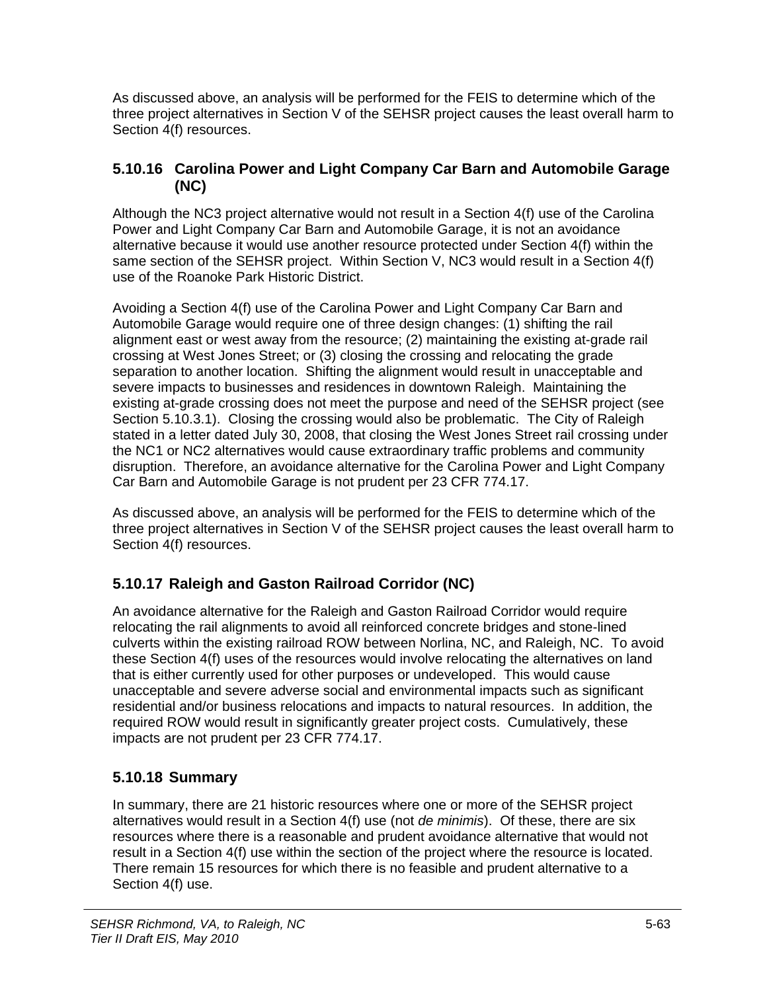As discussed above, an analysis will be performed for the FEIS to determine which of the three project alternatives in Section V of the SEHSR project causes the least overall harm to Section 4(f) resources.

#### **5.10.16 Carolina Power and Light Company Car Barn and Automobile Garage (NC)**

Although the NC3 project alternative would not result in a Section 4(f) use of the Carolina Power and Light Company Car Barn and Automobile Garage, it is not an avoidance alternative because it would use another resource protected under Section 4(f) within the same section of the SEHSR project. Within Section V, NC3 would result in a Section 4(f) use of the Roanoke Park Historic District.

Avoiding a Section 4(f) use of the Carolina Power and Light Company Car Barn and Automobile Garage would require one of three design changes: (1) shifting the rail alignment east or west away from the resource; (2) maintaining the existing at-grade rail crossing at West Jones Street; or (3) closing the crossing and relocating the grade separation to another location. Shifting the alignment would result in unacceptable and severe impacts to businesses and residences in downtown Raleigh. Maintaining the existing at-grade crossing does not meet the purpose and need of the SEHSR project (see Section 5.10.3.1). Closing the crossing would also be problematic. The City of Raleigh stated in a letter dated July 30, 2008, that closing the West Jones Street rail crossing under the NC1 or NC2 alternatives would cause extraordinary traffic problems and community disruption. Therefore, an avoidance alternative for the Carolina Power and Light Company Car Barn and Automobile Garage is not prudent per 23 CFR 774.17.

As discussed above, an analysis will be performed for the FEIS to determine which of the three project alternatives in Section V of the SEHSR project causes the least overall harm to Section 4(f) resources.

## **5.10.17 Raleigh and Gaston Railroad Corridor (NC)**

An avoidance alternative for the Raleigh and Gaston Railroad Corridor would require relocating the rail alignments to avoid all reinforced concrete bridges and stone-lined culverts within the existing railroad ROW between Norlina, NC, and Raleigh, NC. To avoid these Section 4(f) uses of the resources would involve relocating the alternatives on land that is either currently used for other purposes or undeveloped. This would cause unacceptable and severe adverse social and environmental impacts such as significant residential and/or business relocations and impacts to natural resources. In addition, the required ROW would result in significantly greater project costs. Cumulatively, these impacts are not prudent per 23 CFR 774.17.

#### **5.10.18 Summary**

In summary, there are 21 historic resources where one or more of the SEHSR project alternatives would result in a Section 4(f) use (not *de minimis*). Of these, there are six resources where there is a reasonable and prudent avoidance alternative that would not result in a Section 4(f) use within the section of the project where the resource is located. There remain 15 resources for which there is no feasible and prudent alternative to a Section 4(f) use.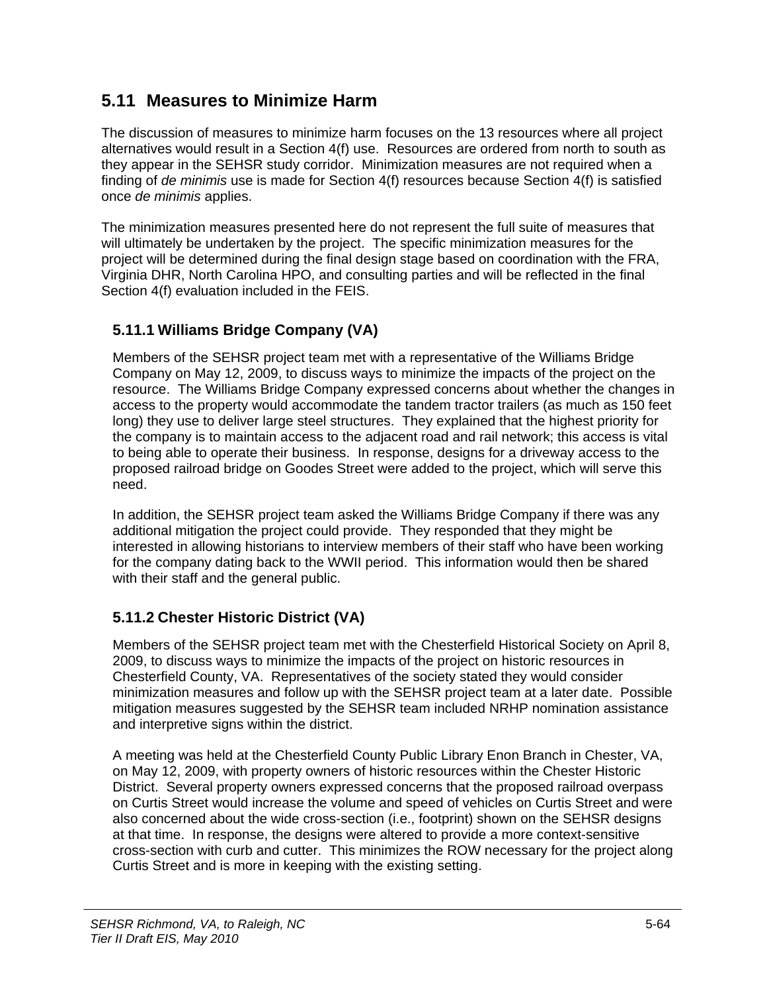## **5.11 Measures to Minimize Harm**

The discussion of measures to minimize harm focuses on the 13 resources where all project alternatives would result in a Section 4(f) use. Resources are ordered from north to south as they appear in the SEHSR study corridor. Minimization measures are not required when a finding of *de minimis* use is made for Section 4(f) resources because Section 4(f) is satisfied once *de minimis* applies.

The minimization measures presented here do not represent the full suite of measures that will ultimately be undertaken by the project. The specific minimization measures for the project will be determined during the final design stage based on coordination with the FRA, Virginia DHR, North Carolina HPO, and consulting parties and will be reflected in the final Section 4(f) evaluation included in the FEIS.

#### **5.11.1 Williams Bridge Company (VA)**

Members of the SEHSR project team met with a representative of the Williams Bridge Company on May 12, 2009, to discuss ways to minimize the impacts of the project on the resource. The Williams Bridge Company expressed concerns about whether the changes in access to the property would accommodate the tandem tractor trailers (as much as 150 feet long) they use to deliver large steel structures. They explained that the highest priority for the company is to maintain access to the adjacent road and rail network; this access is vital to being able to operate their business. In response, designs for a driveway access to the proposed railroad bridge on Goodes Street were added to the project, which will serve this need.

In addition, the SEHSR project team asked the Williams Bridge Company if there was any additional mitigation the project could provide. They responded that they might be interested in allowing historians to interview members of their staff who have been working for the company dating back to the WWII period. This information would then be shared with their staff and the general public.

## **5.11.2 Chester Historic District (VA)**

Members of the SEHSR project team met with the Chesterfield Historical Society on April 8, 2009, to discuss ways to minimize the impacts of the project on historic resources in Chesterfield County, VA. Representatives of the society stated they would consider minimization measures and follow up with the SEHSR project team at a later date. Possible mitigation measures suggested by the SEHSR team included NRHP nomination assistance and interpretive signs within the district.

A meeting was held at the Chesterfield County Public Library Enon Branch in Chester, VA, on May 12, 2009, with property owners of historic resources within the Chester Historic District. Several property owners expressed concerns that the proposed railroad overpass on Curtis Street would increase the volume and speed of vehicles on Curtis Street and were also concerned about the wide cross-section (i.e., footprint) shown on the SEHSR designs at that time. In response, the designs were altered to provide a more context-sensitive cross-section with curb and cutter. This minimizes the ROW necessary for the project along Curtis Street and is more in keeping with the existing setting.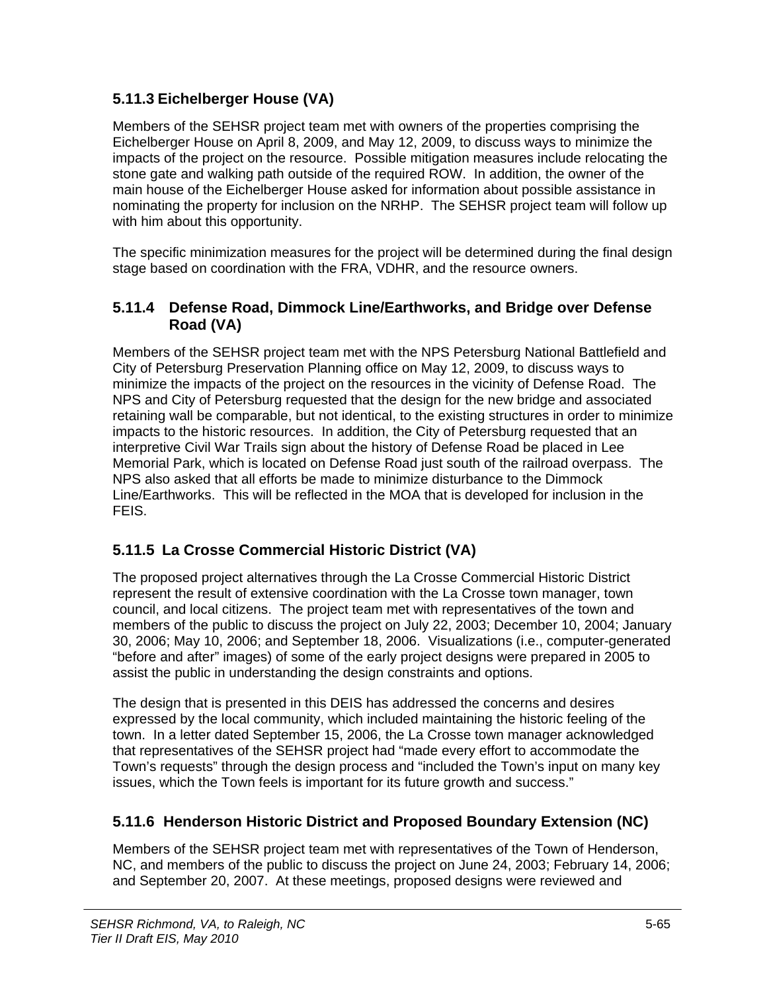#### **5.11.3 Eichelberger House (VA)**

Members of the SEHSR project team met with owners of the properties comprising the Eichelberger House on April 8, 2009, and May 12, 2009, to discuss ways to minimize the impacts of the project on the resource. Possible mitigation measures include relocating the stone gate and walking path outside of the required ROW. In addition, the owner of the main house of the Eichelberger House asked for information about possible assistance in nominating the property for inclusion on the NRHP. The SEHSR project team will follow up with him about this opportunity.

The specific minimization measures for the project will be determined during the final design stage based on coordination with the FRA, VDHR, and the resource owners.

#### **5.11.4 Defense Road, Dimmock Line/Earthworks, and Bridge over Defense Road (VA)**

Members of the SEHSR project team met with the NPS Petersburg National Battlefield and City of Petersburg Preservation Planning office on May 12, 2009, to discuss ways to minimize the impacts of the project on the resources in the vicinity of Defense Road. The NPS and City of Petersburg requested that the design for the new bridge and associated retaining wall be comparable, but not identical, to the existing structures in order to minimize impacts to the historic resources. In addition, the City of Petersburg requested that an interpretive Civil War Trails sign about the history of Defense Road be placed in Lee Memorial Park, which is located on Defense Road just south of the railroad overpass. The NPS also asked that all efforts be made to minimize disturbance to the Dimmock Line/Earthworks. This will be reflected in the MOA that is developed for inclusion in the FEIS.

#### **5.11.5 La Crosse Commercial Historic District (VA)**

The proposed project alternatives through the La Crosse Commercial Historic District represent the result of extensive coordination with the La Crosse town manager, town council, and local citizens. The project team met with representatives of the town and members of the public to discuss the project on July 22, 2003; December 10, 2004; January 30, 2006; May 10, 2006; and September 18, 2006. Visualizations (i.e., computer-generated "before and after" images) of some of the early project designs were prepared in 2005 to assist the public in understanding the design constraints and options.

The design that is presented in this DEIS has addressed the concerns and desires expressed by the local community, which included maintaining the historic feeling of the town. In a letter dated September 15, 2006, the La Crosse town manager acknowledged that representatives of the SEHSR project had "made every effort to accommodate the Town's requests" through the design process and "included the Town's input on many key issues, which the Town feels is important for its future growth and success."

#### **5.11.6 Henderson Historic District and Proposed Boundary Extension (NC)**

Members of the SEHSR project team met with representatives of the Town of Henderson, NC, and members of the public to discuss the project on June 24, 2003; February 14, 2006; and September 20, 2007. At these meetings, proposed designs were reviewed and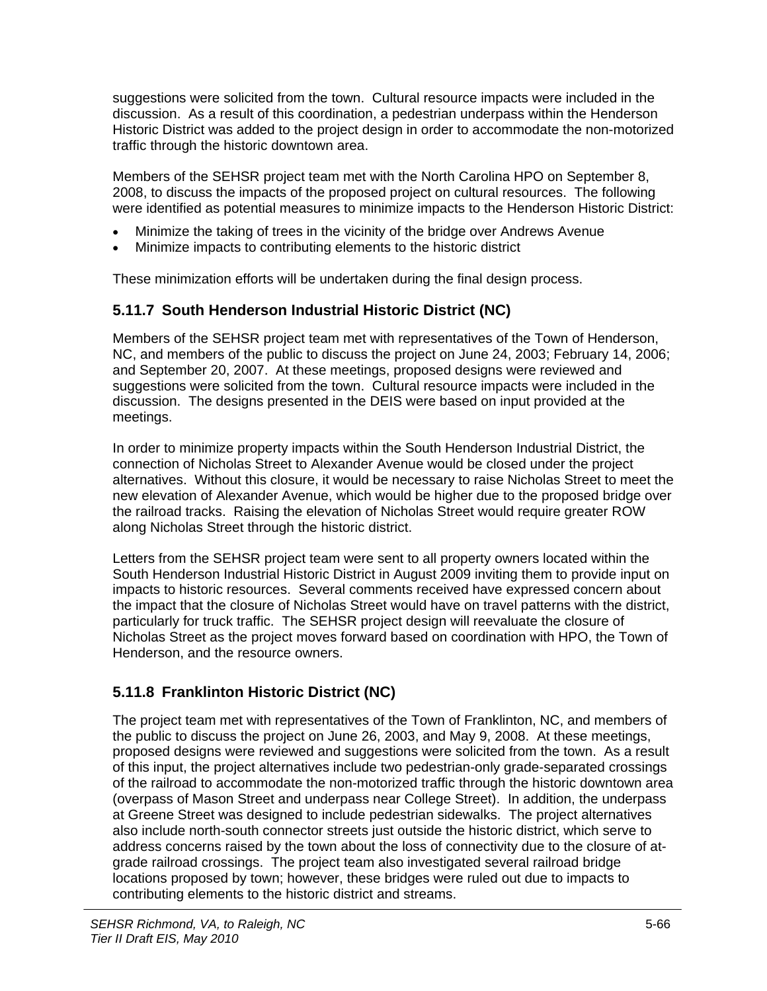suggestions were solicited from the town. Cultural resource impacts were included in the discussion. As a result of this coordination, a pedestrian underpass within the Henderson Historic District was added to the project design in order to accommodate the non-motorized traffic through the historic downtown area.

Members of the SEHSR project team met with the North Carolina HPO on September 8, 2008, to discuss the impacts of the proposed project on cultural resources. The following were identified as potential measures to minimize impacts to the Henderson Historic District:

- Minimize the taking of trees in the vicinity of the bridge over Andrews Avenue
- Minimize impacts to contributing elements to the historic district

These minimization efforts will be undertaken during the final design process.

#### **5.11.7 South Henderson Industrial Historic District (NC)**

Members of the SEHSR project team met with representatives of the Town of Henderson, NC, and members of the public to discuss the project on June 24, 2003; February 14, 2006; and September 20, 2007. At these meetings, proposed designs were reviewed and suggestions were solicited from the town. Cultural resource impacts were included in the discussion. The designs presented in the DEIS were based on input provided at the meetings.

In order to minimize property impacts within the South Henderson Industrial District, the connection of Nicholas Street to Alexander Avenue would be closed under the project alternatives. Without this closure, it would be necessary to raise Nicholas Street to meet the new elevation of Alexander Avenue, which would be higher due to the proposed bridge over the railroad tracks. Raising the elevation of Nicholas Street would require greater ROW along Nicholas Street through the historic district.

Letters from the SEHSR project team were sent to all property owners located within the South Henderson Industrial Historic District in August 2009 inviting them to provide input on impacts to historic resources. Several comments received have expressed concern about the impact that the closure of Nicholas Street would have on travel patterns with the district, particularly for truck traffic. The SEHSR project design will reevaluate the closure of Nicholas Street as the project moves forward based on coordination with HPO, the Town of Henderson, and the resource owners.

## **5.11.8 Franklinton Historic District (NC)**

The project team met with representatives of the Town of Franklinton, NC, and members of the public to discuss the project on June 26, 2003, and May 9, 2008. At these meetings, proposed designs were reviewed and suggestions were solicited from the town. As a result of this input, the project alternatives include two pedestrian-only grade-separated crossings of the railroad to accommodate the non-motorized traffic through the historic downtown area (overpass of Mason Street and underpass near College Street). In addition, the underpass at Greene Street was designed to include pedestrian sidewalks. The project alternatives also include north-south connector streets just outside the historic district, which serve to address concerns raised by the town about the loss of connectivity due to the closure of atgrade railroad crossings. The project team also investigated several railroad bridge locations proposed by town; however, these bridges were ruled out due to impacts to contributing elements to the historic district and streams.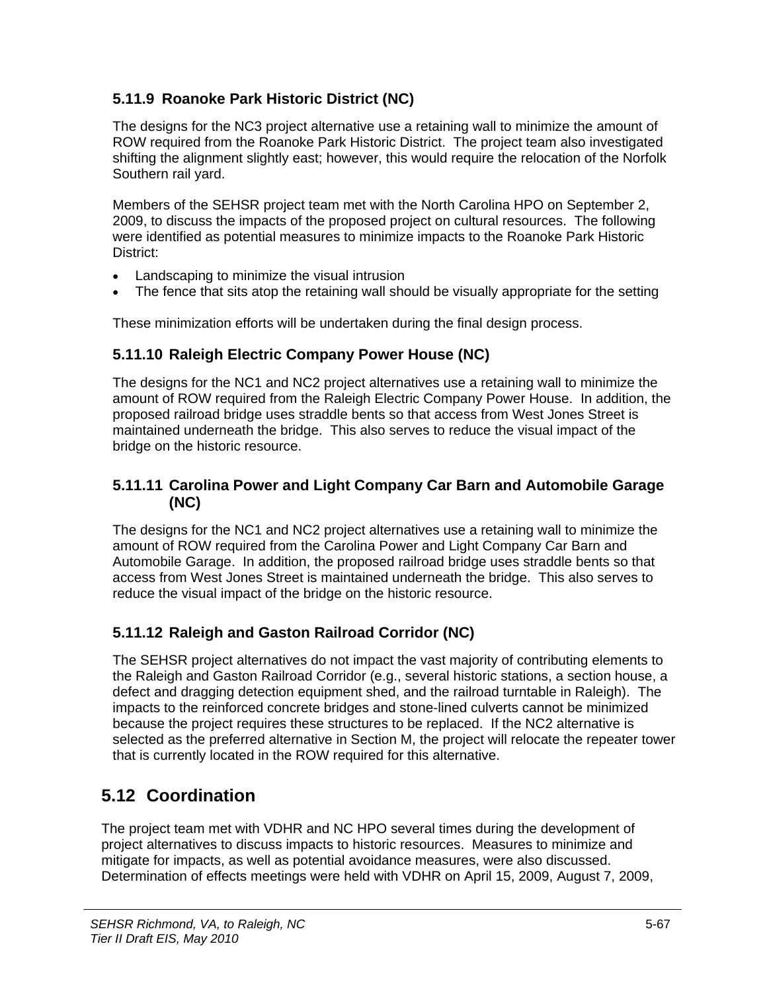### **5.11.9 Roanoke Park Historic District (NC)**

The designs for the NC3 project alternative use a retaining wall to minimize the amount of ROW required from the Roanoke Park Historic District. The project team also investigated shifting the alignment slightly east; however, this would require the relocation of the Norfolk Southern rail yard.

Members of the SEHSR project team met with the North Carolina HPO on September 2, 2009, to discuss the impacts of the proposed project on cultural resources. The following were identified as potential measures to minimize impacts to the Roanoke Park Historic District:

- Landscaping to minimize the visual intrusion
- The fence that sits atop the retaining wall should be visually appropriate for the setting

These minimization efforts will be undertaken during the final design process.

#### **5.11.10 Raleigh Electric Company Power House (NC)**

The designs for the NC1 and NC2 project alternatives use a retaining wall to minimize the amount of ROW required from the Raleigh Electric Company Power House. In addition, the proposed railroad bridge uses straddle bents so that access from West Jones Street is maintained underneath the bridge. This also serves to reduce the visual impact of the bridge on the historic resource.

#### **5.11.11 Carolina Power and Light Company Car Barn and Automobile Garage (NC)**

The designs for the NC1 and NC2 project alternatives use a retaining wall to minimize the amount of ROW required from the Carolina Power and Light Company Car Barn and Automobile Garage. In addition, the proposed railroad bridge uses straddle bents so that access from West Jones Street is maintained underneath the bridge. This also serves to reduce the visual impact of the bridge on the historic resource.

#### **5.11.12 Raleigh and Gaston Railroad Corridor (NC)**

The SEHSR project alternatives do not impact the vast majority of contributing elements to the Raleigh and Gaston Railroad Corridor (e.g., several historic stations, a section house, a defect and dragging detection equipment shed, and the railroad turntable in Raleigh). The impacts to the reinforced concrete bridges and stone-lined culverts cannot be minimized because the project requires these structures to be replaced. If the NC2 alternative is selected as the preferred alternative in Section M, the project will relocate the repeater tower that is currently located in the ROW required for this alternative.

# **5.12 Coordination**

The project team met with VDHR and NC HPO several times during the development of project alternatives to discuss impacts to historic resources. Measures to minimize and mitigate for impacts, as well as potential avoidance measures, were also discussed. Determination of effects meetings were held with VDHR on April 15, 2009, August 7, 2009,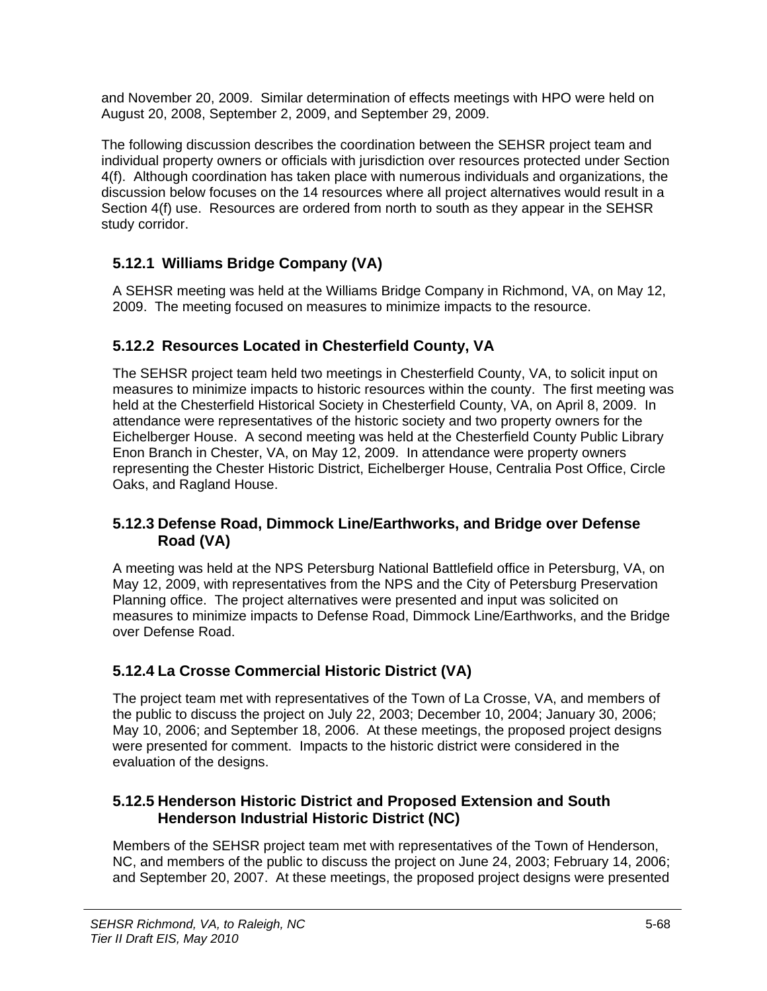and November 20, 2009. Similar determination of effects meetings with HPO were held on August 20, 2008, September 2, 2009, and September 29, 2009.

The following discussion describes the coordination between the SEHSR project team and individual property owners or officials with jurisdiction over resources protected under Section 4(f). Although coordination has taken place with numerous individuals and organizations, the discussion below focuses on the 14 resources where all project alternatives would result in a Section 4(f) use. Resources are ordered from north to south as they appear in the SEHSR study corridor.

## **5.12.1 Williams Bridge Company (VA)**

A SEHSR meeting was held at the Williams Bridge Company in Richmond, VA, on May 12, 2009. The meeting focused on measures to minimize impacts to the resource.

#### **5.12.2 Resources Located in Chesterfield County, VA**

The SEHSR project team held two meetings in Chesterfield County, VA, to solicit input on measures to minimize impacts to historic resources within the county. The first meeting was held at the Chesterfield Historical Society in Chesterfield County, VA, on April 8, 2009. In attendance were representatives of the historic society and two property owners for the Eichelberger House. A second meeting was held at the Chesterfield County Public Library Enon Branch in Chester, VA, on May 12, 2009. In attendance were property owners representing the Chester Historic District, Eichelberger House, Centralia Post Office, Circle Oaks, and Ragland House.

#### **5.12.3 Defense Road, Dimmock Line/Earthworks, and Bridge over Defense Road (VA)**

A meeting was held at the NPS Petersburg National Battlefield office in Petersburg, VA, on May 12, 2009, with representatives from the NPS and the City of Petersburg Preservation Planning office. The project alternatives were presented and input was solicited on measures to minimize impacts to Defense Road, Dimmock Line/Earthworks, and the Bridge over Defense Road.

## **5.12.4 La Crosse Commercial Historic District (VA)**

The project team met with representatives of the Town of La Crosse, VA, and members of the public to discuss the project on July 22, 2003; December 10, 2004; January 30, 2006; May 10, 2006; and September 18, 2006. At these meetings, the proposed project designs were presented for comment. Impacts to the historic district were considered in the evaluation of the designs.

#### **5.12.5 Henderson Historic District and Proposed Extension and South Henderson Industrial Historic District (NC)**

Members of the SEHSR project team met with representatives of the Town of Henderson, NC, and members of the public to discuss the project on June 24, 2003; February 14, 2006; and September 20, 2007. At these meetings, the proposed project designs were presented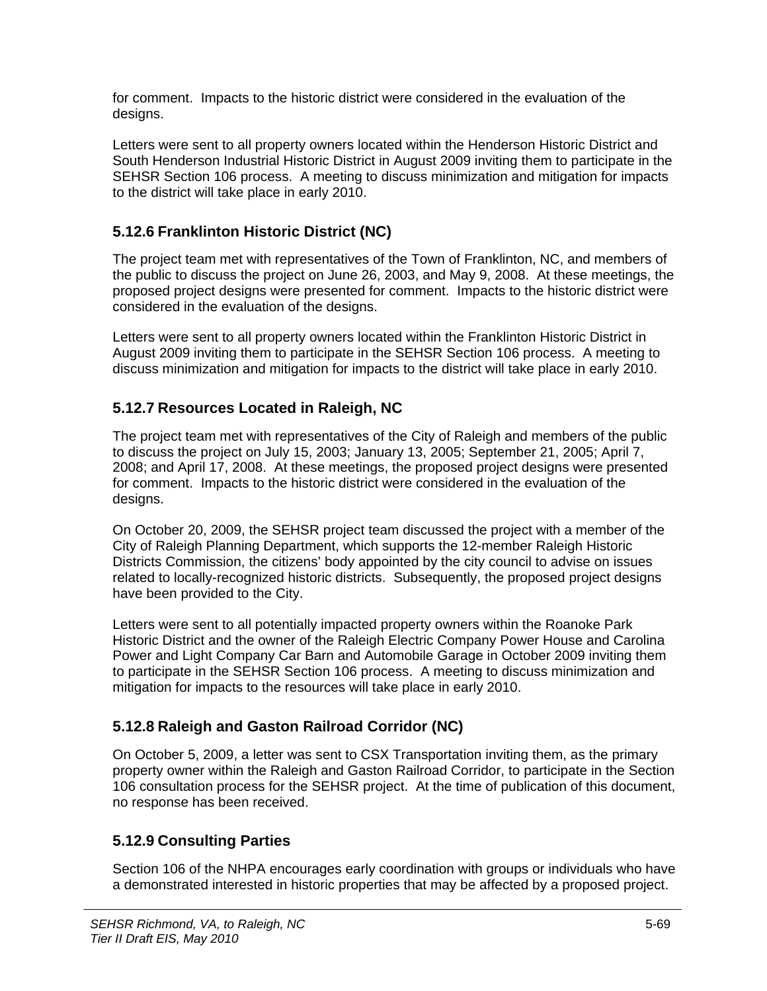for comment. Impacts to the historic district were considered in the evaluation of the designs.

Letters were sent to all property owners located within the Henderson Historic District and South Henderson Industrial Historic District in August 2009 inviting them to participate in the SEHSR Section 106 process. A meeting to discuss minimization and mitigation for impacts to the district will take place in early 2010.

#### **5.12.6 Franklinton Historic District (NC)**

The project team met with representatives of the Town of Franklinton, NC, and members of the public to discuss the project on June 26, 2003, and May 9, 2008. At these meetings, the proposed project designs were presented for comment. Impacts to the historic district were considered in the evaluation of the designs.

Letters were sent to all property owners located within the Franklinton Historic District in August 2009 inviting them to participate in the SEHSR Section 106 process. A meeting to discuss minimization and mitigation for impacts to the district will take place in early 2010.

#### **5.12.7 Resources Located in Raleigh, NC**

The project team met with representatives of the City of Raleigh and members of the public to discuss the project on July 15, 2003; January 13, 2005; September 21, 2005; April 7, 2008; and April 17, 2008. At these meetings, the proposed project designs were presented for comment. Impacts to the historic district were considered in the evaluation of the designs.

On October 20, 2009, the SEHSR project team discussed the project with a member of the City of Raleigh Planning Department, which supports the 12-member Raleigh Historic Districts Commission, the citizens' body appointed by the city council to advise on issues related to locally-recognized historic districts. Subsequently, the proposed project designs have been provided to the City.

Letters were sent to all potentially impacted property owners within the Roanoke Park Historic District and the owner of the Raleigh Electric Company Power House and Carolina Power and Light Company Car Barn and Automobile Garage in October 2009 inviting them to participate in the SEHSR Section 106 process. A meeting to discuss minimization and mitigation for impacts to the resources will take place in early 2010.

## **5.12.8 Raleigh and Gaston Railroad Corridor (NC)**

On October 5, 2009, a letter was sent to CSX Transportation inviting them, as the primary property owner within the Raleigh and Gaston Railroad Corridor, to participate in the Section 106 consultation process for the SEHSR project. At the time of publication of this document, no response has been received.

## **5.12.9 Consulting Parties**

Section 106 of the NHPA encourages early coordination with groups or individuals who have a demonstrated interested in historic properties that may be affected by a proposed project.